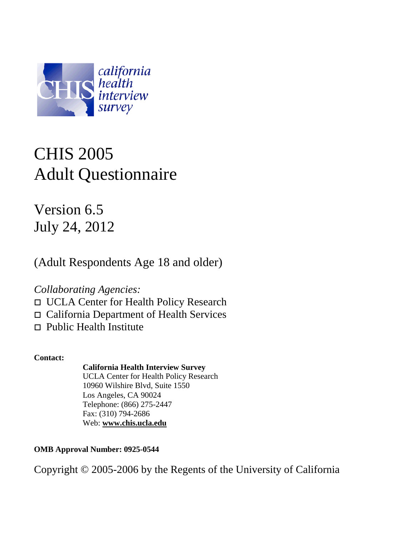

# CHIS 2005 Adult Questionnaire

Version 6.5 July 24, 2012

(Adult Respondents Age 18 and older)

# *Collaborating Agencies:*

- UCLA Center for Health Policy Research
- California Department of Health Services
- $\Box$  Public Health Institute

# **Contact:**

**California Health Interview Survey**

UCLA Center for Health Policy Research 10960 Wilshire Blvd, Suite 1550 Los Angeles, CA 90024 Telephone: (866) 275-2447 Fax: (310) 794-2686 Web: **[www.chis.ucla.edu](http://www.chis.ucla.edu/)**

# **OMB Approval Number: 0925-0544**

Copyright © 2005-2006 by the Regents of the University of California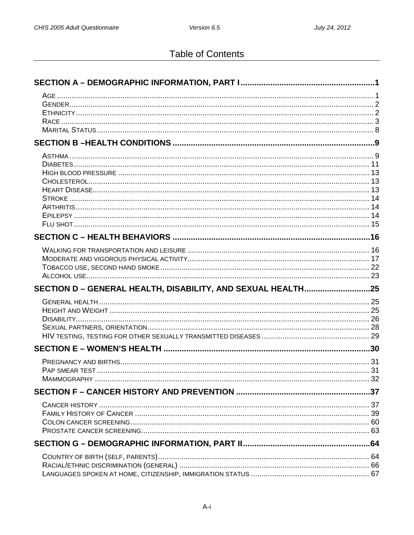# **Table of Contents**

| SECTION D - GENERAL HEALTH, DISABILITY, AND SEXUAL HEALTH25 |  |
|-------------------------------------------------------------|--|
|                                                             |  |
|                                                             |  |
|                                                             |  |
|                                                             |  |
|                                                             |  |
|                                                             |  |
|                                                             |  |
|                                                             |  |
|                                                             |  |
|                                                             |  |
|                                                             |  |
|                                                             |  |
|                                                             |  |
|                                                             |  |
|                                                             |  |
|                                                             |  |
|                                                             |  |
|                                                             |  |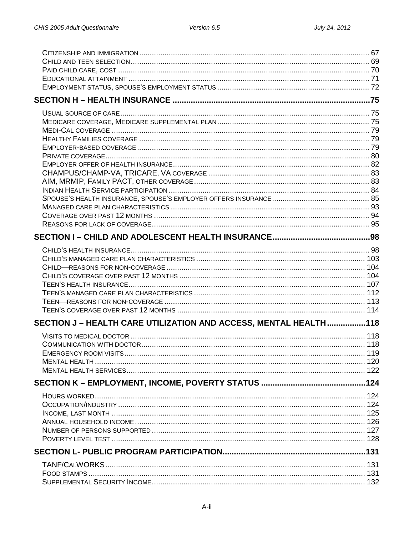| SECTION J - HEALTH CARE UTILIZATION AND ACCESS, MENTAL HEALTH118 |  |
|------------------------------------------------------------------|--|
|                                                                  |  |
|                                                                  |  |
|                                                                  |  |
|                                                                  |  |
|                                                                  |  |
|                                                                  |  |
|                                                                  |  |
|                                                                  |  |
|                                                                  |  |
|                                                                  |  |
|                                                                  |  |
|                                                                  |  |
|                                                                  |  |
|                                                                  |  |
|                                                                  |  |
|                                                                  |  |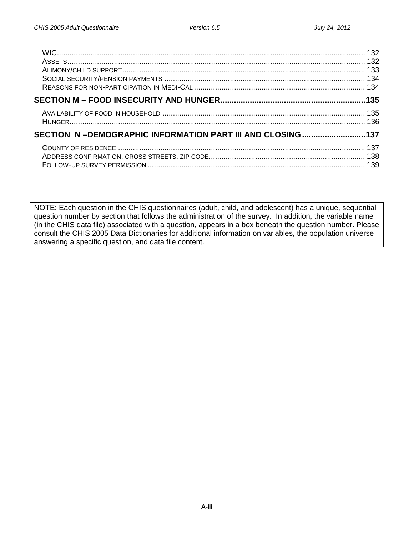| SECTION N-DEMOGRAPHIC INFORMATION PART III AND CLOSING 137 |  |
|------------------------------------------------------------|--|
|                                                            |  |
|                                                            |  |
|                                                            |  |
|                                                            |  |

NOTE: Each question in the CHIS questionnaires (adult, child, and adolescent) has a unique, sequential question number by section that follows the administration of the survey. In addition, the variable name (in the CHIS data file) associated with a question, appears in a box beneath the question number. Please consult the CHIS 2005 Data Dictionaries for additional information on variables, the population universe answering a specific question, and data file content.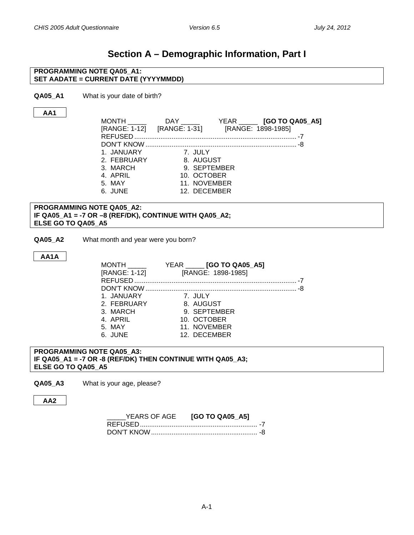# **Section A – Demographic Information, Part I**

### <span id="page-4-0"></span>**PROGRAMMING NOTE QA05\_A1: SET AADATE = CURRENT DATE (YYYYMMDD)**

<span id="page-4-1"></span>**QA05\_A1** What is your date of birth?

**AA1**

|             | MONTH DAY    | YEAR <b>[GO TO QA05 A5]</b> |
|-------------|--------------|-----------------------------|
|             |              | [RANGE: 1898-1985]          |
|             |              |                             |
|             |              |                             |
| 1. JANUARY  | 7. JULY      |                             |
| 2. FEBRUARY | 8. AUGUST    |                             |
| 3. MARCH    | 9. SEPTEMBER |                             |
| 4. APRIL    | 10. OCTOBER  |                             |
| 5. MAY      | 11. NOVEMBER |                             |
| 6. JUNE     | 12. DECEMBER |                             |
|             |              |                             |

**PROGRAMMING NOTE QA05\_A2: IF QA05\_A1 = -7 OR –8 (REF/DK), CONTINUE WITH QA05\_A2; ELSE GO TO QA05\_A5**

**QA05\_A2** What month and year were you born?

**AA1A**

| [RANGE: 1-12]           | MONTH YEAR <b>[GO TO QA05 A5]</b><br>[RANGE: 1898-1985] |  |
|-------------------------|---------------------------------------------------------|--|
| 1. JANUARY              | 7. JULY                                                 |  |
| 2. FEBRUARY<br>3. MARCH | 8. AUGUST<br>9. SEPTEMBER                               |  |
| 4. APRIL                | 10. OCTOBER                                             |  |
| 5. MAY<br>6. JUNE       | 11. NOVEMBER<br>12. DECEMBER                            |  |

**PROGRAMMING NOTE QA05\_A3: IF QA05\_A1 = -7 OR -8 (REF/DK) THEN CONTINUE WITH QA05\_A3; ELSE GO TO QA05\_A5**

**QA05\_A3** What is your age, please?

**AA2**

| YEARS OF AGE [GO TO QA05_A5] |
|------------------------------|
|                              |
|                              |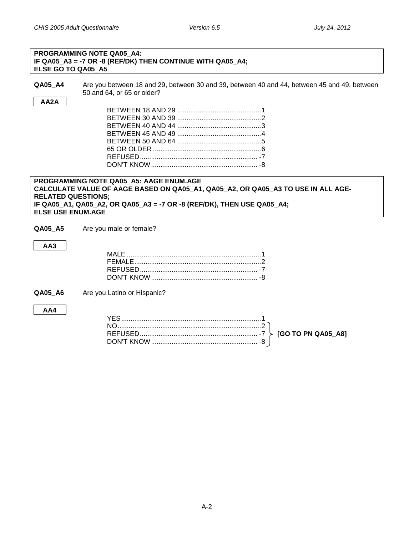### **PROGRAMMING NOTE QA05\_A4: IF QA05\_A3 = -7 OR -8 (REF/DK) THEN CONTINUE WITH QA05\_A4; ELSE GO TO QA05\_A5**

**QA05\_A4** Are you between 18 and 29, between 30 and 39, between 40 and 44, between 45 and 49, between 50 and 64, or 65 or older?

**AA2A**

### **PROGRAMMING NOTE QA05\_A5: AAGE ENUM.AGE CALCULATE VALUE OF AAGE BASED ON QA05\_A1, QA05\_A2, OR QA05\_A3 TO USE IN ALL AGE-RELATED QUESTIONS; IF QA05\_A1, QA05\_A2, OR QA05\_A3 = -7 OR -8 (REF/DK), THEN USE QA05\_A4; ELSE USE ENUM.AGE**

<span id="page-5-0"></span>**QA05\_A5** Are you male or female?

**AA3**

<span id="page-5-1"></span>**QA05\_A6** Are you Latino or Hispanic?

**AA4**

| YFS |  |
|-----|--|
| NO. |  |
|     |  |
|     |  |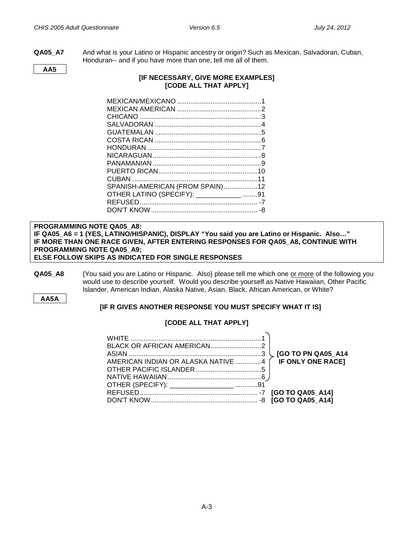**QA05\_A7** And what is your Latino or Hispanic ancestry or origin? Such as Mexican, Salvadoran, Cuban, Honduran-- and if you have more than one, tell me all of them.

**AA5**

### **[IF NECESSARY, GIVE MORE EXAMPLES] [CODE ALL THAT APPLY]**

| SPANISH-AMERICAN (FROM SPAIN)12         |  |
|-----------------------------------------|--|
| OTHER LATINO (SPECIFY): ____________ 91 |  |
|                                         |  |
|                                         |  |
|                                         |  |

### **PROGRAMMING NOTE QA05\_A8: IF QA05\_A6 = 1 (YES, LATINO/HISPANIC), DISPLAY "You said you are Latino or Hispanic. Also…" IF MORE THAN ONE RACE GIVEN, AFTER ENTERING RESPONSES FOR QA05\_A8, CONTINUE WITH PROGRAMMING NOTE QA05\_A9; ELSE FOLLOW SKIPS AS INDICATED FOR SINGLE RESPONSES**

<span id="page-6-0"></span>

**QA05\_A8** {You said you are Latino or Hispanic. Also} please tell me which one or more of the following you would use to describe yourself. Would you describe yourself as Native Hawaiian, Other Pacific Islander, American Indian, Alaska Native, Asian, Black, African American, or White?

**AA5A**

### **[IF R GIVES ANOTHER RESPONSE YOU MUST SPECIFY WHAT IT IS]**

### **[CODE ALL THAT APPLY]**

| AMERICAN INDIAN OR ALASKA NATIVE 4   IF ONLY ONE RACE] |  |
|--------------------------------------------------------|--|
| OTHER (SPECIFY): ____________________ 91               |  |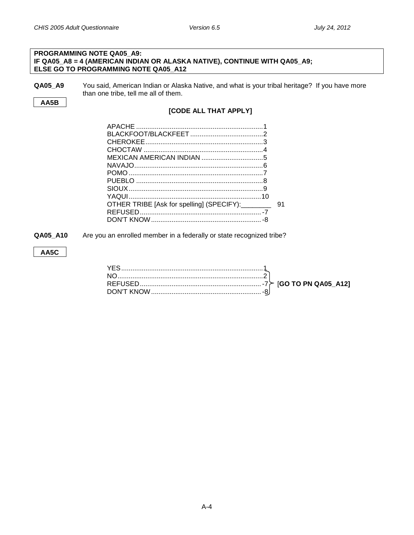### **PROGRAMMING NOTE QA05\_A9: IF QA05\_A8 = 4 (AMERICAN INDIAN OR ALASKA NATIVE), CONTINUE WITH QA05\_A9; ELSE GO TO PROGRAMMING NOTE QA05\_A12**

**QA05\_A9** You said, American Indian or Alaska Native, and what is your tribal heritage? If you have more than one tribe, tell me all of them.

### **AA5B**

### **[CODE ALL THAT APPLY]**

| OTHER TRIBE [Ask for spelling] (SPECIFY): | 91 |
|-------------------------------------------|----|
|                                           |    |
|                                           |    |

### **QA05\_A10** Are you an enrolled member in a federally or state recognized tribe?

### **AA5C**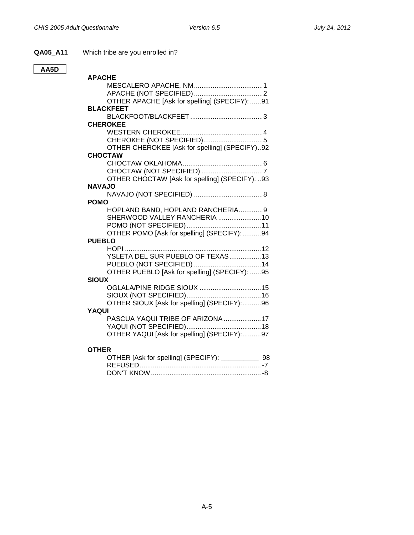| QA05_A11 | Which tribe are you enrolled in? |
|----------|----------------------------------|
|----------|----------------------------------|

## **AA5D**

| <b>APACHE</b>                                           |
|---------------------------------------------------------|
|                                                         |
|                                                         |
| OTHER APACHE [Ask for spelling] (SPECIFY): 91           |
| <b>BLACKFEET</b>                                        |
|                                                         |
| <b>CHEROKEE</b>                                         |
|                                                         |
|                                                         |
| OTHER CHEROKEE [Ask for spelling] (SPECIFY)92           |
| <b>CHOCTAW</b>                                          |
|                                                         |
|                                                         |
| OTHER CHOCTAW [Ask for spelling] (SPECIFY): 93          |
| <b>NAVAJO</b>                                           |
|                                                         |
| <b>POMO</b>                                             |
| HOPLAND BAND, HOPLAND RANCHERIA9                        |
| SHERWOOD VALLEY RANCHERIA 10                            |
|                                                         |
| OTHER POMO [Ask for spelling] (SPECIFY): 94             |
| <b>PUEBLO</b>                                           |
|                                                         |
| YSLETA DEL SUR PUEBLO OF TEXAS13                        |
|                                                         |
| OTHER PUEBLO [Ask for spelling] (SPECIFY): 95           |
| <b>SIOUX</b>                                            |
|                                                         |
|                                                         |
| OTHER SIOUX [Ask for spelling] (SPECIFY):96             |
| YAQUI                                                   |
| PASCUA YAQUI TRIBE OF ARIZONA 17                        |
|                                                         |
| OTHER YAQUI [Ask for spelling] (SPECIFY):97             |
|                                                         |
| OTHER                                                   |
| OTHER [Ask for spelling] (SPECIFY): ________________ 98 |
|                                                         |
|                                                         |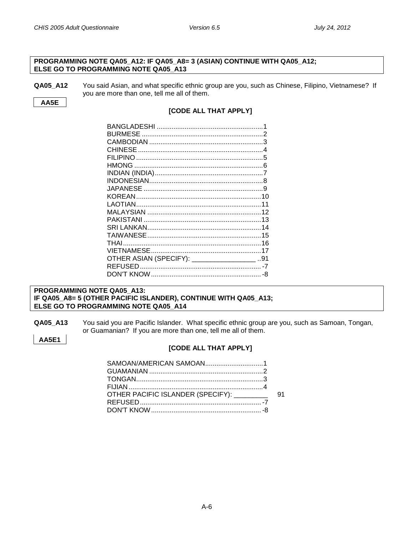### **PROGRAMMING NOTE QA05\_A12: IF QA05\_A8= 3 (ASIAN) CONTINUE WITH QA05\_A12; ELSE GO TO PROGRAMMING NOTE QA05\_A13**

**QA05\_A12** You said Asian, and what specific ethnic group are you, such as Chinese, Filipino, Vietnamese? If you are more than one, tell me all of them.

|--|

### **[CODE ALL THAT APPLY]**

| OTHER ASIAN (SPECIFY): ___________________.91 |  |
|-----------------------------------------------|--|
|                                               |  |
|                                               |  |
|                                               |  |

### **PROGRAMMING NOTE QA05\_A13: IF QA05\_A8= 5 (OTHER PACIFIC ISLANDER), CONTINUE WITH QA05\_A13; ELSE GO TO PROGRAMMING NOTE QA05\_A14**

**QA05\_A13** You said you are Pacific Islander. What specific ethnic group are you, such as Samoan, Tongan, or Guamanian? If you are more than one, tell me all of them.

**AA5E1**

### **[CODE ALL THAT APPLY]**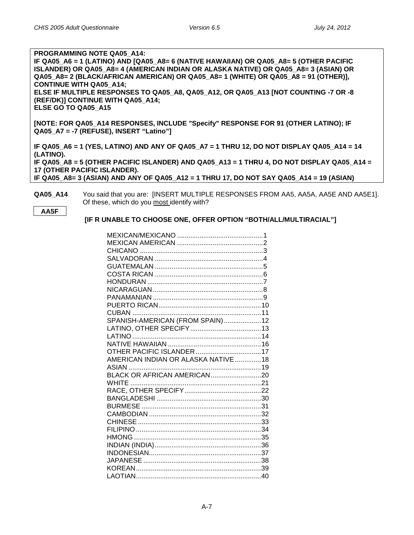**PROGRAMMING NOTE QA05\_A14: IF QA05\_A6 = 1 (LATINO) AND [QA05\_A8= 6 (NATIVE HAWAIIAN) OR QA05\_A8= 5 (OTHER PACIFIC ISLANDER) OR QA05\_A8= 4 (AMERICAN INDIAN OR ALASKA NATIVE) OR QA05\_A8= 3 (ASIAN) OR QA05\_A8= 2 (BLACK/AFRICAN AMERICAN) OR QA05\_A8= 1 (WHITE) OR QA05\_A8 = 91 (OTHER)], CONTINUE WITH QA05\_A14; ELSE IF MULTIPLE RESPONSES TO QA05\_A8, QA05\_A12, OR QA05\_A13 [NOT COUNTING -7 OR -8 (REF/DK)] CONTINUE WITH QA05\_A14; ELSE GO TO QA05\_A15**

**[NOTE: FOR QA05\_A14 RESPONSES, INCLUDE "Specify" RESPONSE FOR 91 (OTHER LATINO); IF QA05\_A7 = -7 (REFUSE), INSERT "Latino"]**

**IF QA05\_A6 = 1 (YES, LATINO) AND ANY OF QA05\_A7 = 1 THRU 12, DO NOT DISPLAY QA05\_A14 = 14 (LATINO). IF QA05\_A8 = 5 (OTHER PACIFIC ISLANDER) AND QA05\_A13 = 1 THRU 4, DO NOT DISPLAY QA05\_A14 = 17 (OTHER PACIFIC ISLANDER). IF QA05\_A8= 3 (ASIAN) AND ANY OF QA05\_A12 = 1 THRU 17, DO NOT SAY QA05\_A14 = 19 (ASIAN)**

**QA05\_A14** You said that you are: [INSERT MULTIPLE RESPONSES FROM AA5, AA5A, AA5E AND AA5E1]. Of these, which do you most identify with?

**AA5F**

### **[IF R UNABLE TO CHOOSE ONE, OFFER OPTION "BOTH/ALL/MULTIRACIAL"]**

| SPANISH-AMERICAN (FROM SPAIN)12     |  |
|-------------------------------------|--|
|                                     |  |
|                                     |  |
|                                     |  |
|                                     |  |
| AMERICAN INDIAN OR ALASKA NATIVE 18 |  |
|                                     |  |
|                                     |  |
|                                     |  |
|                                     |  |
|                                     |  |
|                                     |  |
|                                     |  |
|                                     |  |
|                                     |  |
|                                     |  |
|                                     |  |
|                                     |  |
|                                     |  |
|                                     |  |
|                                     |  |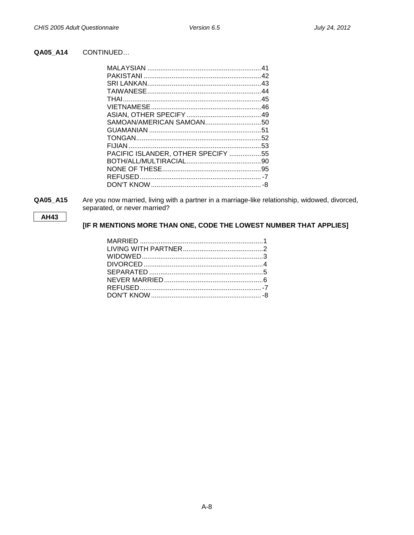### QA05\_A14 CONTINUED...

| PACIFIC ISLANDER, OTHER SPECIFY 55 |  |
|------------------------------------|--|
|                                    |  |
|                                    |  |
|                                    |  |
|                                    |  |
|                                    |  |

<span id="page-11-0"></span>QA05\_A15

Are you now married, living with a partner in a marriage-like relationship, widowed, divorced, separated, or never married?

### **AH43**

### [IF R MENTIONS MORE THAN ONE, CODE THE LOWEST NUMBER THAT APPLIES]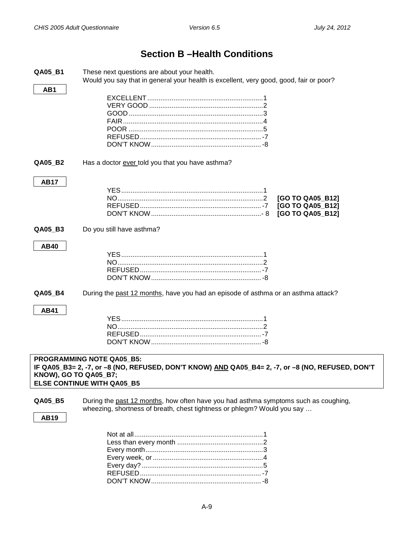# **Section B –Health Conditions**

<span id="page-12-1"></span><span id="page-12-0"></span>

| QA05_B1<br>AB1                        | These next questions are about your health.<br>Would you say that in general your health is excellent, very good, good, fair or poor?                              |
|---------------------------------------|--------------------------------------------------------------------------------------------------------------------------------------------------------------------|
| QA05_B2                               | Has a doctor ever told you that you have asthma?                                                                                                                   |
| <b>AB17</b>                           | [GO TO QA05 B12]<br>[GO TO QA05_B12]<br>[GO TO QA05 B12]                                                                                                           |
| QA05_B3                               | Do you still have asthma?                                                                                                                                          |
| <b>AB40</b><br>QA05_B4<br><b>AB41</b> | During the past 12 months, have you had an episode of asthma or an asthma attack?                                                                                  |
| KNOW), GO TO QA05_B7;                 | PROGRAMMING NOTE QA05_B5:<br>IF QA05_B3= 2, -7, or -8 (NO, REFUSED, DON'T KNOW) AND QA05_B4= 2, -7, or -8 (NO, REFUSED, DON'T<br><b>ELSE CONTINUE WITH QA05 B5</b> |
| QA05_B5<br><b>AB19</b>                | During the past 12 months, how often have you had asthma symptoms such as coughing,<br>wheezing, shortness of breath, chest tightness or phlegm? Would you say     |
|                                       |                                                                                                                                                                    |

DON'T KNOW...........................................................-8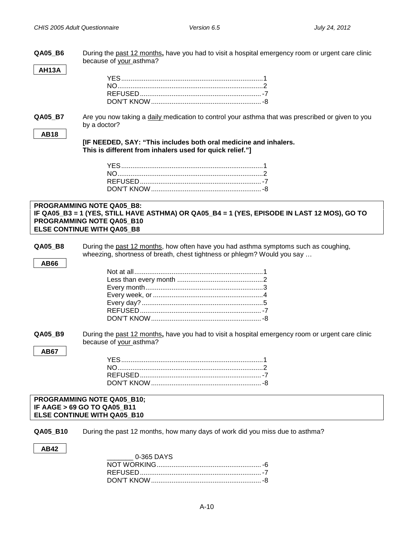| QA05_B6      | During the past 12 months, have you had to visit a hospital emergency room or urgent care clinic<br>because of your asthma?                                                                       |
|--------------|---------------------------------------------------------------------------------------------------------------------------------------------------------------------------------------------------|
| <b>AH13A</b> |                                                                                                                                                                                                   |
|              |                                                                                                                                                                                                   |
|              |                                                                                                                                                                                                   |
|              |                                                                                                                                                                                                   |
|              |                                                                                                                                                                                                   |
|              |                                                                                                                                                                                                   |
| QA05_B7      | Are you now taking a daily medication to control your asthma that was prescribed or given to you<br>by a doctor?                                                                                  |
| <b>AB18</b>  |                                                                                                                                                                                                   |
|              | [IF NEEDED, SAY: "This includes both oral medicine and inhalers.<br>This is different from inhalers used for quick relief."]                                                                      |
|              |                                                                                                                                                                                                   |
|              |                                                                                                                                                                                                   |
|              |                                                                                                                                                                                                   |
|              |                                                                                                                                                                                                   |
|              |                                                                                                                                                                                                   |
|              | <b>PROGRAMMING NOTE QA05 B8:</b><br>IF QA05_B3 = 1 (YES, STILL HAVE ASTHMA) OR QA05_B4 = 1 (YES, EPISODE IN LAST 12 MOS), GO TO<br>PROGRAMMING NOTE QA05 B10<br><b>ELSE CONTINUE WITH QA05_B8</b> |
|              |                                                                                                                                                                                                   |
| QA05_B8      | During the past 12 months, how often have you had asthma symptoms such as coughing,                                                                                                               |
|              | wheezing, shortness of breath, chest tightness or phlegm? Would you say                                                                                                                           |
| <b>AB66</b>  |                                                                                                                                                                                                   |
|              |                                                                                                                                                                                                   |
|              |                                                                                                                                                                                                   |
|              |                                                                                                                                                                                                   |
|              |                                                                                                                                                                                                   |
|              |                                                                                                                                                                                                   |
|              |                                                                                                                                                                                                   |
|              |                                                                                                                                                                                                   |
|              |                                                                                                                                                                                                   |
| QA05_B9      | During the past 12 months, have you had to visit a hospital emergency room or urgent care clinic<br>because of your asthma?                                                                       |
| <b>AB67</b>  |                                                                                                                                                                                                   |
|              |                                                                                                                                                                                                   |
|              |                                                                                                                                                                                                   |
|              |                                                                                                                                                                                                   |
|              |                                                                                                                                                                                                   |
|              |                                                                                                                                                                                                   |
|              | PROGRAMMING NOTE QA05_B10;                                                                                                                                                                        |
|              | IF AAGE > 69 GO TO QA05 B11                                                                                                                                                                       |
|              | ELSE CONTINUE WITH QA05_B10                                                                                                                                                                       |
| QA05_B10     | During the past 12 months, how many days of work did you miss due to asthma?                                                                                                                      |
|              |                                                                                                                                                                                                   |
| <b>AB42</b>  |                                                                                                                                                                                                   |
|              | 0-365 DAYS                                                                                                                                                                                        |

| $\sim$ $\sim$ $\sim$ $\sim$ $\sim$ $\sim$ |  |
|-------------------------------------------|--|
|                                           |  |
|                                           |  |
|                                           |  |
|                                           |  |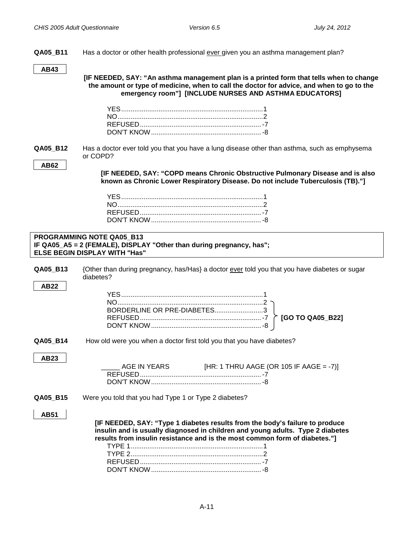<span id="page-14-0"></span>

| QA05_B11    | Has a doctor or other health professional ever given you an asthma management plan?                                                                                                                                                            |
|-------------|------------------------------------------------------------------------------------------------------------------------------------------------------------------------------------------------------------------------------------------------|
| <b>AB43</b> | [IF NEEDED, SAY: "An asthma management plan is a printed form that tells when to change<br>the amount or type of medicine, when to call the doctor for advice, and when to go to the<br>emergency room"] [INCLUDE NURSES AND ASTHMA EDUCATORS] |
|             |                                                                                                                                                                                                                                                |
|             |                                                                                                                                                                                                                                                |
| QA05_B12    | Has a doctor ever told you that you have a lung disease other than asthma, such as emphysema<br>or COPD?                                                                                                                                       |
| <b>AB62</b> | [IF NEEDED, SAY: "COPD means Chronic Obstructive Pulmonary Disease and is also<br>known as Chronic Lower Respiratory Disease. Do not include Tuberculosis (TB)."]                                                                              |
|             |                                                                                                                                                                                                                                                |
|             |                                                                                                                                                                                                                                                |
|             | PROGRAMMING NOTE QA05 B13<br>IF QA05_A5 = 2 (FEMALE), DISPLAY "Other than during pregnancy, has";<br><b>ELSE BEGIN DISPLAY WITH "Has"</b>                                                                                                      |
|             |                                                                                                                                                                                                                                                |
| QA05_B13    | {Other than during pregnancy, has/Has} a doctor ever told you that you have diabetes or sugar                                                                                                                                                  |
| <b>AB22</b> | diabetes?                                                                                                                                                                                                                                      |
|             |                                                                                                                                                                                                                                                |
|             | BORDERLINE OR PRE-DIABETES3<br>[GO TO QA05_B22]                                                                                                                                                                                                |
| QA05_B14    | How old were you when a doctor first told you that you have diabetes?                                                                                                                                                                          |
| AB23        |                                                                                                                                                                                                                                                |
|             | AGE IN YEARS<br>[HR: 1 THRU AAGE (OR 105 IF AAGE = -7)]                                                                                                                                                                                        |
| QA05_B15    | Were you told that you had Type 1 or Type 2 diabetes?                                                                                                                                                                                          |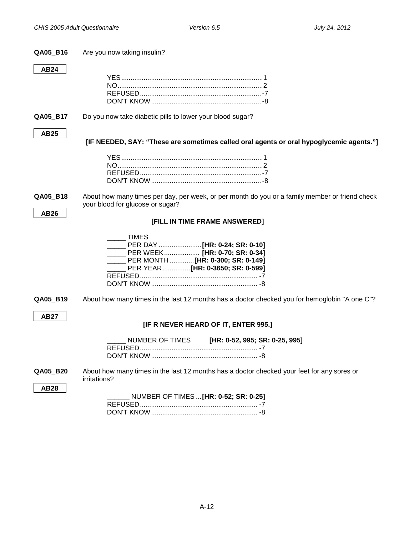| QA05_B16                | Are you now taking insulin?                                                                                                        |
|-------------------------|------------------------------------------------------------------------------------------------------------------------------------|
| <b>AB24</b>             |                                                                                                                                    |
| QA05_B17                | Do you now take diabetic pills to lower your blood sugar?                                                                          |
| <b>AB25</b>             | [IF NEEDED, SAY: "These are sometimes called oral agents or oral hypoglycemic agents."]                                            |
|                         |                                                                                                                                    |
| QA05_B18<br><b>AB26</b> | About how many times per day, per week, or per month do you or a family member or friend check<br>your blood for glucose or sugar? |
|                         | [FILL IN TIME FRAME ANSWERED]                                                                                                      |
|                         | ______ TIMES<br>______ PER WEEK [HR: 0-70; SR: 0-34]<br>____ PER MONTH [HR: 0-300; SR: 0-149]<br>PER YEAR[HR: 0-3650; SR: 0-599]   |
| QA05_B19                | About how many times in the last 12 months has a doctor checked you for hemoglobin "A one C"?                                      |
| <b>AB27</b>             | [IF R NEVER HEARD OF IT, ENTER 995.]                                                                                               |
|                         | NUMBER OF TIMES [HR: 0-52, 995; SR: 0-25, 995]                                                                                     |
| QA05 B20<br><b>AB28</b> | About how many times in the last 12 months has a doctor checked your feet for any sores or<br>irritations?                         |
|                         | NUMBER OF TIMES  [HR: 0-52; SR: 0-25]                                                                                              |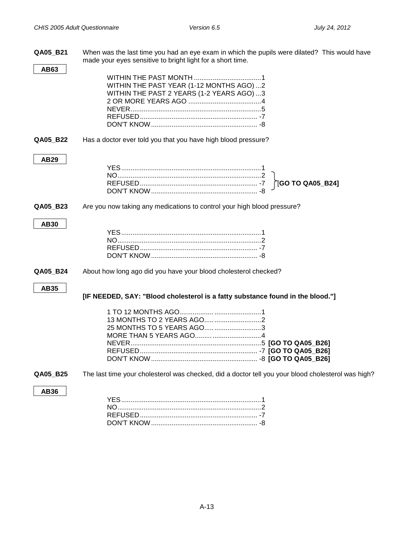**QA05\_B21** When was the last time you had an eye exam in which the pupils were dilated? This would have made your eyes sensitive to bright light for a short time.  $\overline{\mathbf{A} \mathbf{B} \mathbf{G} \mathbf{A}}$ 

<span id="page-16-0"></span>

| יטשה        | WITHIN THE PAST YEAR (1-12 MONTHS AGO) 2<br>WITHIN THE PAST 2 YEARS (1-2 YEARS AGO) 3              |
|-------------|----------------------------------------------------------------------------------------------------|
| QA05_B22    | Has a doctor ever told you that you have high blood pressure?                                      |
| AB29        |                                                                                                    |
| QA05_B23    | Are you now taking any medications to control your high blood pressure?                            |
| <b>AB30</b> |                                                                                                    |
| QA05_B24    | About how long ago did you have your blood cholesterol checked?                                    |
| <b>AB35</b> | [IF NEEDED, SAY: "Blood cholesterol is a fatty substance found in the blood."]                     |
|             | 25 MONTHS TO 5 YEARS AGO 3                                                                         |
| QA05_B25    | The last time your cholesterol was checked, did a doctor tell you your blood cholesterol was high? |
| <b>AB36</b> |                                                                                                    |

<span id="page-16-2"></span><span id="page-16-1"></span>DON'T KNOW......................................................... -8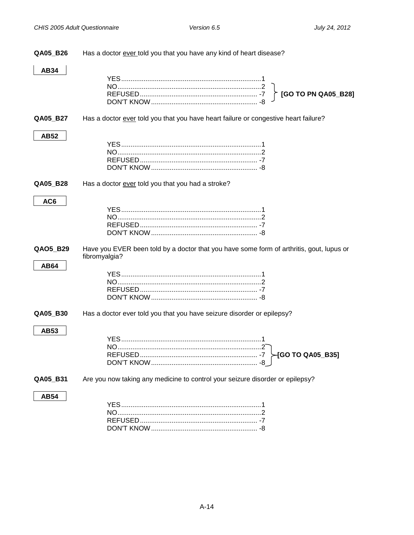<span id="page-17-2"></span><span id="page-17-1"></span><span id="page-17-0"></span>

| QA05 B26                | Has a doctor ever told you that you have any kind of heart disease?                                       |
|-------------------------|-----------------------------------------------------------------------------------------------------------|
| <b>AB34</b>             | [GO TO PN QA05_B28]                                                                                       |
| QA05_B27                | Has a doctor ever told you that you have heart failure or congestive heart failure?                       |
| <b>AB52</b>             |                                                                                                           |
| QA05_B28                | Has a doctor ever told you that you had a stroke?                                                         |
| AC6                     |                                                                                                           |
| QAO5_B29<br><b>AB64</b> | Have you EVER been told by a doctor that you have some form of arthritis, gout, lupus or<br>fibromyalgia? |
|                         |                                                                                                           |
| QA05_B30                | Has a doctor ever told you that you have seizure disorder or epilepsy?                                    |
| <b>AB53</b>             | <b>-[GO TO QA05_B35]</b>                                                                                  |
| QA05_B31                | Are you now taking any medicine to control your seizure disorder or epilepsy?                             |
| <b>AB54</b>             |                                                                                                           |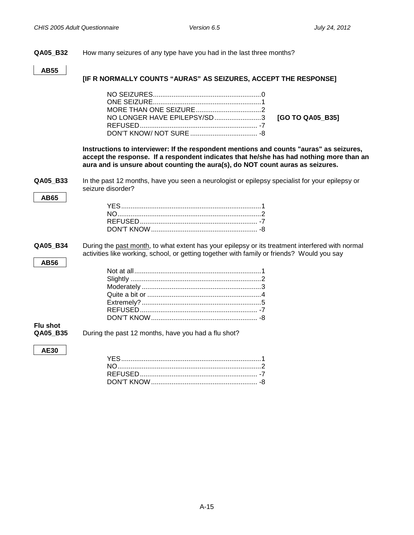### **QA05\_B32** How many seizures of any type have you had in the last three months?

### **AB55**

### **[IF R NORMALLY COUNTS "AURAS" AS SEIZURES, ACCEPT THE RESPONSE]**

<span id="page-18-0"></span>

|                      | NO LONGER HAVE EPILEPSY/SD3<br>[GO TO QA05_B35]                                                                                                                                                                                                                      |
|----------------------|----------------------------------------------------------------------------------------------------------------------------------------------------------------------------------------------------------------------------------------------------------------------|
|                      |                                                                                                                                                                                                                                                                      |
|                      |                                                                                                                                                                                                                                                                      |
|                      | Instructions to interviewer: If the respondent mentions and counts "auras" as seizures,<br>accept the response. If a respondent indicates that he/she has had nothing more than an<br>aura and is unsure about counting the aura(s), do NOT count auras as seizures. |
| QA05_B33             | In the past 12 months, have you seen a neurologist or epilepsy specialist for your epilepsy or<br>seizure disorder?                                                                                                                                                  |
| <b>AB65</b>          |                                                                                                                                                                                                                                                                      |
|                      |                                                                                                                                                                                                                                                                      |
|                      |                                                                                                                                                                                                                                                                      |
|                      |                                                                                                                                                                                                                                                                      |
|                      |                                                                                                                                                                                                                                                                      |
| QA05 B34             | During the past month, to what extent has your epilepsy or its treatment interfered with normal<br>activities like working, school, or getting together with family or friends? Would you say                                                                        |
| <b>AB56</b>          |                                                                                                                                                                                                                                                                      |
|                      |                                                                                                                                                                                                                                                                      |
|                      |                                                                                                                                                                                                                                                                      |
|                      |                                                                                                                                                                                                                                                                      |
|                      |                                                                                                                                                                                                                                                                      |
|                      |                                                                                                                                                                                                                                                                      |
|                      |                                                                                                                                                                                                                                                                      |
|                      |                                                                                                                                                                                                                                                                      |
| Flu shot<br>QA05_B35 | During the past 12 months, have you had a flu shot?                                                                                                                                                                                                                  |
|                      |                                                                                                                                                                                                                                                                      |
| <b>AE30</b>          |                                                                                                                                                                                                                                                                      |
|                      |                                                                                                                                                                                                                                                                      |
|                      |                                                                                                                                                                                                                                                                      |
|                      |                                                                                                                                                                                                                                                                      |
|                      |                                                                                                                                                                                                                                                                      |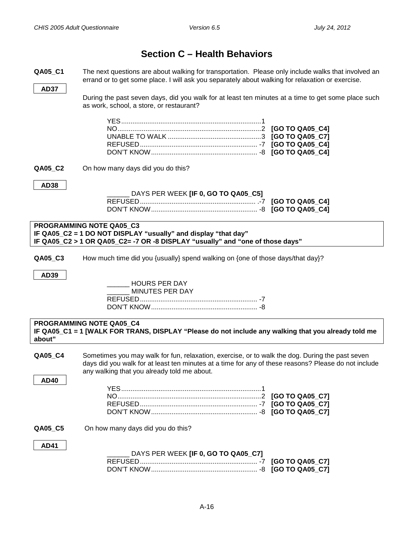# **Section C – Health Behaviors**

<span id="page-19-1"></span><span id="page-19-0"></span>**QA05\_C1** The next questions are about walking for transportation. Please only include walks that involved an errand or to get some place. I will ask you separately about walking for relaxation or exercise.

**AD37**

During the past seven days, did you walk for at least ten minutes at a time to get some place such as work, school, a store, or restaurant?

**QA05\_C2** On how many days did you do this?

**AD38**

| DAYS PER WEEK [IF 0, GO TO QA05 C5] |  |
|-------------------------------------|--|
|                                     |  |
|                                     |  |

|             | <b>PROGRAMMING NOTE QA05 C3</b>                                                                      |
|-------------|------------------------------------------------------------------------------------------------------|
|             | IF QA05_C2 = 1 DO NOT DISPLAY "usually" and display "that day"                                       |
|             | IF QA05_C2 > 1 OR QA05_C2= -7 OR -8 DISPLAY "usually" and "one of those days"                        |
|             |                                                                                                      |
| QA05_C3     | How much time did you {usually} spend walking on {one of those days/that day}?                       |
|             |                                                                                                      |
| <b>AD39</b> |                                                                                                      |
|             | <b>HOURS PER DAY</b>                                                                                 |
|             | <b>MINUTES PER DAY</b>                                                                               |
|             |                                                                                                      |
|             |                                                                                                      |
|             |                                                                                                      |
|             | PROGRAMMING NOTE QA05 C4                                                                             |
|             | IF QA05_C1 = 1 [WALK FOR TRANS, DISPLAY "Please do not include any walking that you already told me  |
| about"      |                                                                                                      |
|             |                                                                                                      |
| QA05 C4     | Sometimes you may walk for fun, relaxation, exercise, or to walk the dog. During the past seven      |
|             | days did you walk for at least ten minutes at a time for any of these reasons? Please do not include |
|             | any walking that you already told me about.                                                          |
| <b>AD40</b> |                                                                                                      |
|             |                                                                                                      |
|             |                                                                                                      |
|             |                                                                                                      |
|             |                                                                                                      |
|             |                                                                                                      |
| QA05 C5     | On how many days did you do this?                                                                    |
|             |                                                                                                      |
| <b>AD41</b> |                                                                                                      |
|             | DAYS PER WEEK [IF 0, GO TO QA05_C7]                                                                  |
|             |                                                                                                      |
|             |                                                                                                      |
|             |                                                                                                      |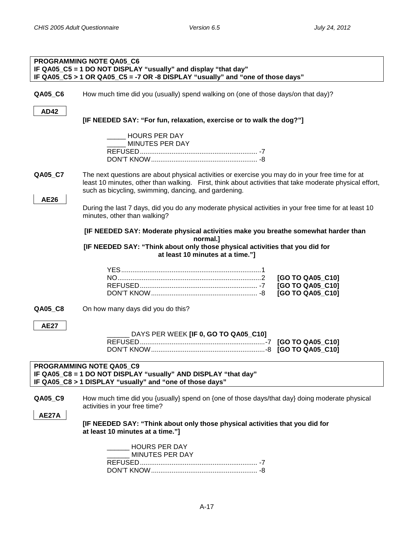<span id="page-20-0"></span>

| PROGRAMMING NOTE QA05_C6<br>IF QA05_C5 = 1 DO NOT DISPLAY "usually" and display "that day"<br>IF QA05_C5 > 1 OR QA05_C5 = -7 OR -8 DISPLAY "usually" and "one of those days" |                                                                                                                                                                                                                                                                     |                                                          |
|------------------------------------------------------------------------------------------------------------------------------------------------------------------------------|---------------------------------------------------------------------------------------------------------------------------------------------------------------------------------------------------------------------------------------------------------------------|----------------------------------------------------------|
| QA05_C6                                                                                                                                                                      | How much time did you (usually) spend walking on (one of those days/on that day)?                                                                                                                                                                                   |                                                          |
| <b>AD42</b>                                                                                                                                                                  | [IF NEEDED SAY: "For fun, relaxation, exercise or to walk the dog?"]                                                                                                                                                                                                |                                                          |
|                                                                                                                                                                              | <b>HOURS PER DAY</b><br>MINUTES PER DAY                                                                                                                                                                                                                             |                                                          |
| QA05_C7<br><b>AE26</b>                                                                                                                                                       | The next questions are about physical activities or exercise you may do in your free time for at<br>least 10 minutes, other than walking. First, think about activities that take moderate physical effort,<br>such as bicycling, swimming, dancing, and gardening. |                                                          |
|                                                                                                                                                                              | During the last 7 days, did you do any moderate physical activities in your free time for at least 10<br>minutes, other than walking?                                                                                                                               |                                                          |
|                                                                                                                                                                              | [IF NEEDED SAY: Moderate physical activities make you breathe somewhat harder than<br>normal.]                                                                                                                                                                      |                                                          |
|                                                                                                                                                                              | [IF NEEDED SAY: "Think about only those physical activities that you did for<br>at least 10 minutes at a time."]                                                                                                                                                    |                                                          |
|                                                                                                                                                                              |                                                                                                                                                                                                                                                                     | [GO TO QA05_C10]<br>[GO TO QA05_C10]<br>[GO TO QA05_C10] |
| QA05_C8                                                                                                                                                                      | On how many days did you do this?                                                                                                                                                                                                                                   |                                                          |
| <b>AE27</b>                                                                                                                                                                  | DAYS PER WEEK [IF 0, GO TO QA05_C10]                                                                                                                                                                                                                                |                                                          |
|                                                                                                                                                                              | PROGRAMMING NOTE QA05_C9<br>IF QA05_C8 = 1 DO NOT DISPLAY "usually" AND DISPLAY "that day"<br>IF QA05_C8 > 1 DISPLAY "usually" and "one of those days"                                                                                                              |                                                          |
| QA05_C9                                                                                                                                                                      | How much time did you {usually} spend on {one of those days/that day} doing moderate physical<br>activities in your free time?                                                                                                                                      |                                                          |
| AE27A                                                                                                                                                                        | [IF NEEDED SAY: "Think about only those physical activities that you did for<br>at least 10 minutes at a time."]                                                                                                                                                    |                                                          |
|                                                                                                                                                                              | <b>HOURS PER DAY</b><br><b>MINUTES PER DAY</b>                                                                                                                                                                                                                      |                                                          |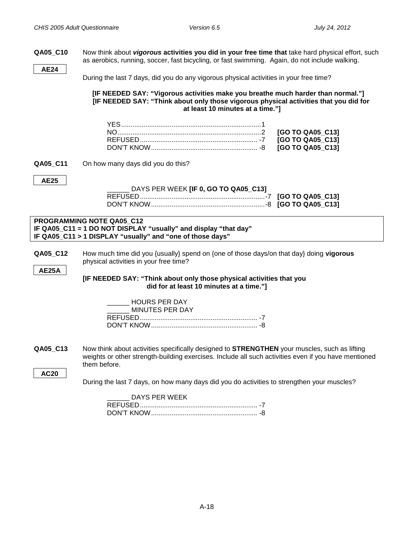### **QA05\_C10** Now think about *vigorous* **activities you did in your free time that** take hard physical effort, such as aerobics, running, soccer, fast bicycling, or fast swimming. Again, do not include walking.

**AE24**

During the last 7 days, did you do any vigorous physical activities in your free time?

 **[IF NEEDED SAY: "Vigorous activities make you breathe much harder than normal."] [IF NEEDED SAY: "Think about only those vigorous physical activities that you did for at least 10 minutes at a time."]**

**QA05\_C11** On how many days did you do this?

**AE25**

**AE25A**

| DAYS PER WEEK [IF 0, GO TO QA05_C13] |  |
|--------------------------------------|--|
|                                      |  |
|                                      |  |

### **PROGRAMMING NOTE QA05\_C12 IF QA05\_C11 = 1 DO NOT DISPLAY "usually" and display "that day" IF QA05\_C11 > 1 DISPLAY "usually" and "one of those days"**

**QA05\_C12** How much time did you {usually} spend on {one of those days/on that day} doing **vigorous** physical activities in your free time?

> **[IF NEEDED SAY: "Think about only those physical activities that you did for at least 10 minutes at a time."]**

| <b>HOURS PER DAY</b> |
|----------------------|
| MINUTES PER DAY      |
|                      |
|                      |

**QA05\_C13** Now think about activities specifically designed to **STRENGTHEN** your muscles, such as lifting weights or other strength-building exercises. Include all such activities even if you have mentioned them before.

**AC20**

During the last 7 days, on how many days did you do activities to strengthen your muscles?

| DAYS PER WEEK |  |
|---------------|--|
|               |  |
|               |  |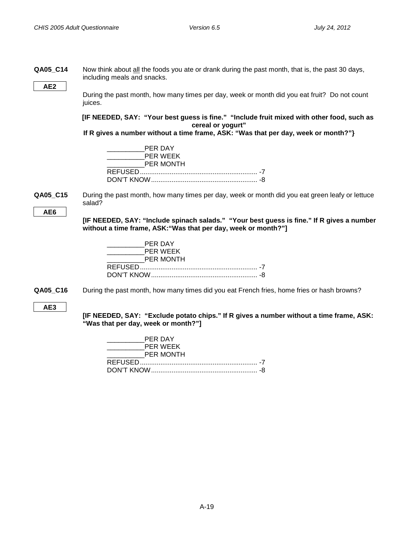| QA05 C14 | Now think about all the foods you ate or drank during the past month, that is, the past 30 days, |
|----------|--------------------------------------------------------------------------------------------------|
|          | including meals and snacks.                                                                      |

### **AE2**

During the past month, how many times per day, week or month did you eat fruit? Do not count juices.

 **[IF NEEDED, SAY: "Your best guess is fine." "Include fruit mixed with other food, such as cereal or yogurt"**

**If R gives a number without a time frame, ASK: "Was that per day, week or month?"}**

| PFR DAY          |
|------------------|
| PER WEEK         |
| <b>PER MONTH</b> |
|                  |
|                  |

**QA05\_C15** During the past month, how many times per day, week or month did you eat green leafy or lettuce salad?

```
AE6
```
**[IF NEEDED, SAY: "Include spinach salads." "Your best guess is fine." If R gives a number without a time frame, ASK:"Was that per day, week or month?"]**

| PFR DAY   |
|-----------|
| PFR WFFK  |
| PER MONTH |
|           |
|           |

**QA05\_C16** During the past month, how many times did you eat French fries, home fries or hash browns?

**AE3**

**[IF NEEDED, SAY: "Exclude potato chips." If R gives a number without a time frame, ASK: "Was that per day, week or month?"]**

| PFR DAY          |
|------------------|
| PFR WFFK         |
| <b>PER MONTH</b> |
|                  |
|                  |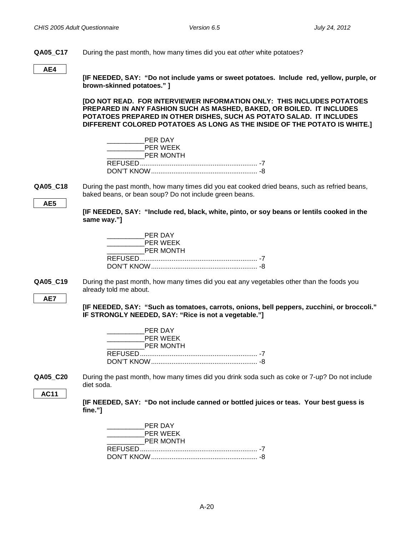**QA05\_C17** During the past month, how many times did you eat *other* white potatoes?

**AE4**

**[IF NEEDED, SAY: "Do not include yams or sweet potatoes. Include red, yellow, purple, or brown-skinned potatoes." ]**

**[DO NOT READ. FOR INTERVIEWER INFORMATION ONLY: THIS INCLUDES POTATOES PREPARED IN ANY FASHION SUCH AS MASHED, BAKED, OR BOILED. IT INCLUDES POTATOES PREPARED IN OTHER DISHES, SUCH AS POTATO SALAD. IT INCLUDES DIFFERENT COLORED POTATOES AS LONG AS THE INSIDE OF THE POTATO IS WHITE.]**

| PER DAY   |
|-----------|
| PER WEEK  |
| PER MONTH |
|           |
|           |

**QA05\_C18** During the past month, how many times did you eat cooked dried beans, such as refried beans, baked beans, or bean soup? Do not include green beans.

**AE5**

**[IF NEEDED, SAY: "Include red, black, white, pinto, or soy beans or lentils cooked in the same way."]**

| PFR DAY          |
|------------------|
| PFR WFFK         |
| <b>PER MONTH</b> |
|                  |
|                  |

**QA05\_C19** During the past month, how many times did you eat any vegetables other than the foods you already told me about.

**AE7**

**[IF NEEDED, SAY: "Such as tomatoes, carrots, onions, bell peppers, zucchini, or broccoli." IF STRONGLY NEEDED, SAY: "Rice is not a vegetable."]**

| PFR DAY          |
|------------------|
| PER WEEK         |
| <b>PER MONTH</b> |
|                  |
|                  |

**QA05\_C20** During the past month, how many times did you drink soda such as coke or 7-up? Do not include diet soda.

**AC11**

**[IF NEEDED, SAY: "Do not include canned or bottled juices or teas. Your best guess is fine."]**

| PFR DAY   |
|-----------|
| PFR WFFK  |
| PER MONTH |
|           |
|           |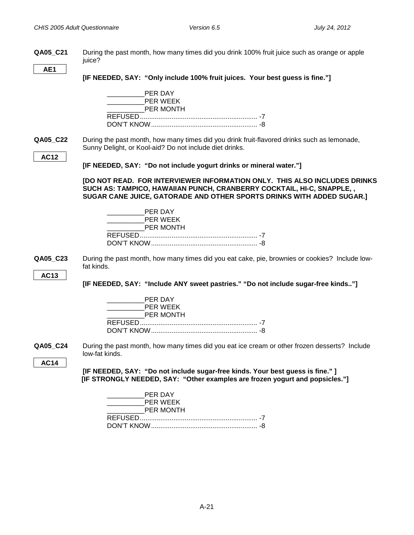| QA05 | C <sub>21</sub> |
|------|-----------------|
|------|-----------------|

During the past month, how many times did you drink 100% fruit juice such as orange or apple juice?

|--|

**[IF NEEDED, SAY: "Only include 100% fruit juices. Your best guess is fine."]**

| PER DAY          |
|------------------|
| PER WEEK         |
| <b>PER MONTH</b> |
|                  |
|                  |

**QA05\_C22** During the past month, how many times did you drink fruit-flavored drinks such as lemonade, Sunny Delight, or Kool-aid? Do not include diet drinks.

```
AC12
```
**[IF NEEDED, SAY: "Do not include yogurt drinks or mineral water."]**

**[DO NOT READ. FOR INTERVIEWER INFORMATION ONLY. THIS ALSO INCLUDES DRINKS SUCH AS: TAMPICO, HAWAIIAN PUNCH, CRANBERRY COCKTAIL, HI-C, SNAPPLE, , SUGAR CANE JUICE, GATORADE AND OTHER SPORTS DRINKS WITH ADDED SUGAR.]**

| PFR DAY          |
|------------------|
| PFR WFFK         |
| <b>PER MONTH</b> |
|                  |
|                  |

**QA05\_C23** During the past month, how many times did you eat cake, pie, brownies or cookies? Include lowfat kinds.

**AC13**

**[IF NEEDED, SAY: "Include ANY sweet pastries." "Do not include sugar-free kinds.."]**

| PFR DAY          |  |
|------------------|--|
| PER WEEK         |  |
| <b>PER MONTH</b> |  |
|                  |  |
|                  |  |

**QA05\_C24** During the past month, how many times did you eat ice cream or other frozen desserts? Include low-fat kinds.

**AC14**

**[IF NEEDED, SAY: "Do not include sugar-free kinds. Your best guess is fine." ] [IF STRONGLY NEEDED, SAY: "Other examples are frozen yogurt and popsicles."]**

| PFR DAY          |
|------------------|
| PER WEEK         |
| <b>PER MONTH</b> |
|                  |
|                  |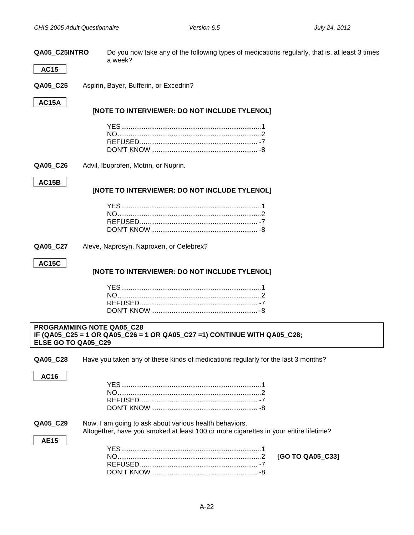<span id="page-25-0"></span>

| QA05_C25INTRO<br><b>AC15</b> | Do you now take any of the following types of medications regularly, that is, at least 3 times<br>a week?                                      |
|------------------------------|------------------------------------------------------------------------------------------------------------------------------------------------|
| QA05_C25                     | Aspirin, Bayer, Bufferin, or Excedrin?                                                                                                         |
| AC15A                        | [NOTE TO INTERVIEWER: DO NOT INCLUDE TYLENOL]                                                                                                  |
|                              |                                                                                                                                                |
| QA05_C26                     | Advil, Ibuprofen, Motrin, or Nuprin.                                                                                                           |
| AC15B                        | [NOTE TO INTERVIEWER: DO NOT INCLUDE TYLENOL]                                                                                                  |
|                              |                                                                                                                                                |
| QA05_C27                     | Aleve, Naprosyn, Naproxen, or Celebrex?                                                                                                        |
| <b>AC15C</b>                 | [NOTE TO INTERVIEWER: DO NOT INCLUDE TYLENOL]                                                                                                  |
|                              |                                                                                                                                                |
| ELSE GO TO QA05_C29          | PROGRAMMING NOTE QA05_C28<br>IF (QA05_C25 = 1 OR QA05_C26 = 1 OR QA05_C27 = 1) CONTINUE WITH QA05_C28;                                         |
| QA05_C28                     | Have you taken any of these kinds of medications regularly for the last 3 months?                                                              |
| <b>AC16</b>                  |                                                                                                                                                |
| QA05 C29                     | Now, I am going to ask about various health behaviors.<br>Altogether, have you smoked at least 100 or more cigarettes in your entire lifetime? |
| <b>AE15</b>                  | [GO TO QA05_C33]                                                                                                                               |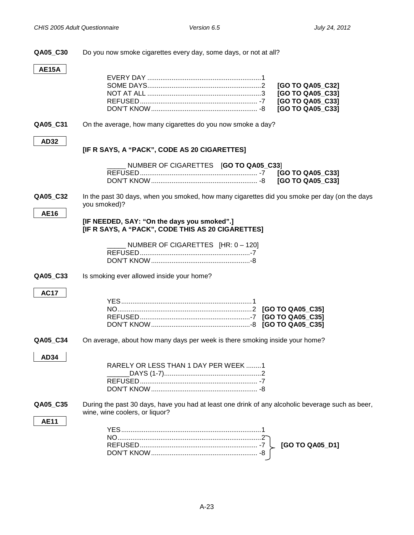<span id="page-26-0"></span>

| QA05_C30                | Do you now smoke cigarettes every day, some days, or not at all?                                                                                      |
|-------------------------|-------------------------------------------------------------------------------------------------------------------------------------------------------|
| <b>AE15A</b>            | [GO TO QA05_C32]<br>[GO TO QA05_C33]<br>[GO TO QA05_C33]<br>[GO TO QA05_C33]                                                                          |
| QA05_C31                | On the average, how many cigarettes do you now smoke a day?                                                                                           |
| <b>AD32</b>             | [IF R SAYS, A "PACK", CODE AS 20 CIGARETTES]                                                                                                          |
|                         | NUMBER OF CIGARETTES [GO TO QA05_C33]<br>[GO TO QA05_C33]<br>[GO TO QA05_C33]                                                                         |
| QA05_C32                | In the past 30 days, when you smoked, how many cigarettes did you smoke per day (on the days<br>you smoked)?                                          |
| <b>AE16</b>             | [IF NEEDED, SAY: "On the days you smoked".]<br>[IF R SAYS, A "PACK", CODE THIS AS 20 CIGARETTES]                                                      |
|                         | NUMBER OF CIGARETTES [HR: 0 - 120]                                                                                                                    |
| QA05_C33                | Is smoking ever allowed inside your home?                                                                                                             |
| <b>AC17</b>             |                                                                                                                                                       |
| QA05_C34                | On average, about how many days per week is there smoking inside your home?                                                                           |
| AD34                    | RARELY OR LESS THAN 1 DAY PER WEEK 1                                                                                                                  |
| QA05_C35<br><b>AE11</b> | During the past 30 days, have you had at least one drink of any alcoholic beverage such as beer,<br>wine, wine coolers, or liquor?<br>[GO TO QA05_D1] |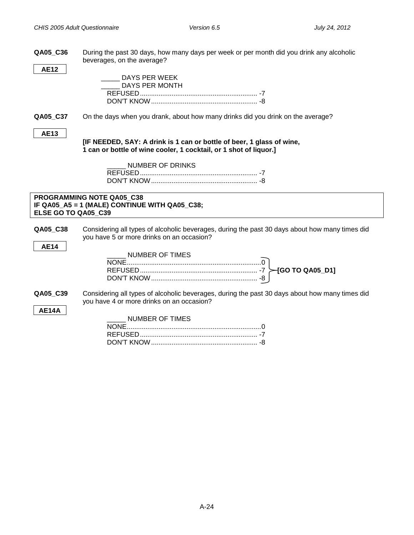| QA05_C36                 | During the past 30 days, how many days per week or per month did you drink any alcoholic<br>beverages, on the average?                                                |
|--------------------------|-----------------------------------------------------------------------------------------------------------------------------------------------------------------------|
| <b>AE12</b>              | DAYS PER WEEK<br>DAYS PER MONTH                                                                                                                                       |
| QA05_C37                 | On the days when you drank, about how many drinks did you drink on the average?                                                                                       |
| <b>AE13</b>              | [IF NEEDED, SAY: A drink is 1 can or bottle of beer, 1 glass of wine,<br>1 can or bottle of wine cooler, 1 cocktail, or 1 shot of liquor.]                            |
|                          | <b>NUMBER OF DRINKS</b>                                                                                                                                               |
|                          |                                                                                                                                                                       |
| ELSE GO TO QA05 C39      | PROGRAMMING NOTE QA05 C38<br>IF QA05_A5 = 1 (MALE) CONTINUE WITH QA05_C38;                                                                                            |
| QA05_C38<br><b>AE14</b>  | Considering all types of alcoholic beverages, during the past 30 days about how many times did<br>you have 5 or more drinks on an occasion?<br>NUMBER OF TIMES        |
| QA05 C39<br><b>AE14A</b> | Considering all types of alcoholic beverages, during the past 30 days about how many times did<br>you have 4 or more drinks on an occasion?<br><b>NUMBER OF TIMES</b> |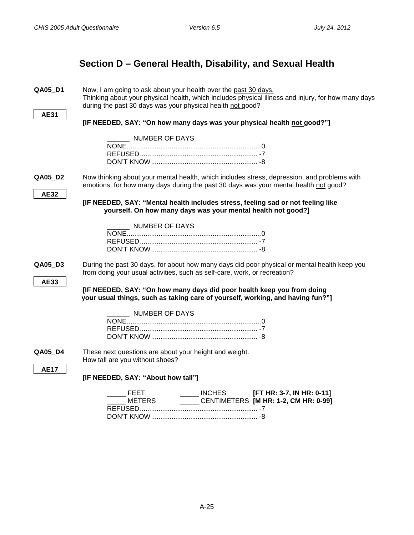# **Section D – General Health, Disability, and Sexual Health**

<span id="page-28-1"></span><span id="page-28-0"></span>**QA05 D1** Now, I am going to ask about your health over the past 30 days. Thinking about your physical health, which includes physical illness and injury, for how many days during the past 30 days was your physical health not good? **AE31 [IF NEEDED, SAY: "On how many days was your physical health not good?"]** \_\_\_\_\_\_ NUMBER OF DAYS NONE........................................................................0 REFUSED............................................................... -7 DON'T KNOW......................................................... -8 **QA05\_D2** Now thinking about your mental health, which includes stress, depression, and problems with emotions, for how many days during the past 30 days was your mental health not good? **AE32 [IF NEEDED, SAY: "Mental health includes stress, feeling sad or not feeling like yourself. On how many days was your mental health not good?]** \_\_\_\_\_\_ NUMBER OF DAYS NONE........................................................................0 REFUSED............................................................... -7 DON'T KNOW......................................................... -8 **QA05 D3** During the past 30 days, for about how many days did poor physical or mental health keep you from doing your usual activities, such as self-care, work, or recreation? **AE33 [IF NEEDED, SAY: "On how many days did poor health keep you from doing your usual things, such as taking care of yourself, working, and having fun?"]** \_\_\_\_\_\_ NUMBER OF DAYS NONE........................................................................0 REFUSED............................................................... -7 DON'T KNOW......................................................... -8 **QA05\_D4** These next questions are about your height and weight. How tall are you without shoes? **AE17 [IF NEEDED, SAY: "About how tall"]** \_\_\_\_\_ FEET \_\_\_\_\_ INCHES **[FT HR: 3-7, IN HR: 0-11]** \_\_\_\_\_ METERS \_\_\_\_\_ CENTIMETERS **[M HR: 1-2, CM HR: 0-99]**

<span id="page-28-2"></span>REFUSED............................................................... -7 DON'T KNOW......................................................... -8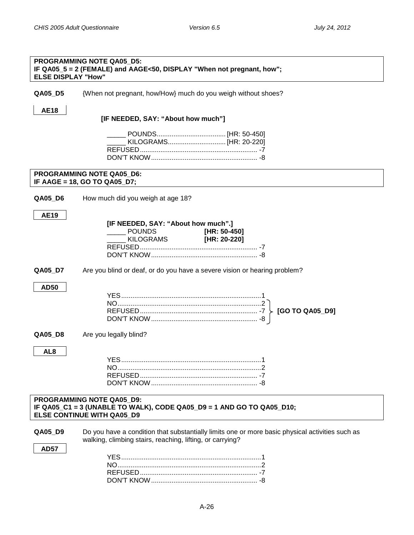<span id="page-29-0"></span>

| <b>PROGRAMMING NOTE QA05 D5:</b><br>IF QA05_5 = 2 (FEMALE) and AAGE<50, DISPLAY "When not pregnant, how";<br><b>ELSE DISPLAY "How"</b>  |                                                                                                                                                              |  |
|-----------------------------------------------------------------------------------------------------------------------------------------|--------------------------------------------------------------------------------------------------------------------------------------------------------------|--|
| QA05 D5                                                                                                                                 | {When not pregnant, how/How} much do you weigh without shoes?                                                                                                |  |
| <b>AE18</b>                                                                                                                             | [IF NEEDED, SAY: "About how much"]                                                                                                                           |  |
|                                                                                                                                         |                                                                                                                                                              |  |
|                                                                                                                                         | <b>PROGRAMMING NOTE QA05_D6:</b><br>IF AAGE = 18, GO TO QA05_D7;                                                                                             |  |
| QA05_D6                                                                                                                                 | How much did you weigh at age 18?                                                                                                                            |  |
| <b>AE19</b>                                                                                                                             | [IF NEEDED, SAY: "About how much".]<br><b>POUNDS</b><br>[HR: 50-450]<br>KILOGRAMS [HR: 20-220]                                                               |  |
| QA05_D7                                                                                                                                 | Are you blind or deaf, or do you have a severe vision or hearing problem?                                                                                    |  |
| <b>AD50</b>                                                                                                                             |                                                                                                                                                              |  |
| QA05_D8                                                                                                                                 | Are you legally blind?                                                                                                                                       |  |
| AL <sub>8</sub>                                                                                                                         |                                                                                                                                                              |  |
| PROGRAMMING NOTE QA05_D9:<br>IF QA05_C1 = 3 (UNABLE TO WALK), CODE QA05_D9 = 1 AND GO TO QA05_D10;<br><b>ELSE CONTINUE WITH QA05 D9</b> |                                                                                                                                                              |  |
| QA05_D9<br><b>AD57</b>                                                                                                                  | Do you have a condition that substantially limits one or more basic physical activities such as<br>walking, climbing stairs, reaching, lifting, or carrying? |  |
|                                                                                                                                         |                                                                                                                                                              |  |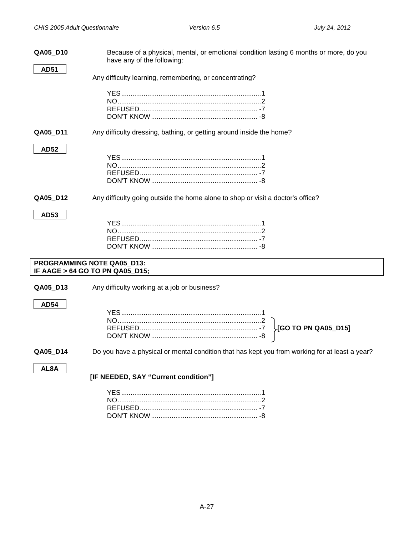| QA05_D10<br><b>AD51</b>                                       | Because of a physical, mental, or emotional condition lasting 6 months or more, do you<br>have any of the following:<br>Any difficulty learning, remembering, or concentrating? |  |
|---------------------------------------------------------------|---------------------------------------------------------------------------------------------------------------------------------------------------------------------------------|--|
| QA05_D11                                                      | Any difficulty dressing, bathing, or getting around inside the home?                                                                                                            |  |
| <b>AD52</b>                                                   |                                                                                                                                                                                 |  |
| QA05_D12                                                      | Any difficulty going outside the home alone to shop or visit a doctor's office?                                                                                                 |  |
| AD53                                                          |                                                                                                                                                                                 |  |
| PROGRAMMING NOTE QA05_D13:<br>IF AAGE > 64 GO TO PN QA05_D15; |                                                                                                                                                                                 |  |
| QA05_D13                                                      | Any difficulty working at a job or business?                                                                                                                                    |  |
| <b>AD54</b>                                                   |                                                                                                                                                                                 |  |
| QA05_D14                                                      | Do you have a physical or mental condition that has kept you from working for at least a year?                                                                                  |  |
| AL8A                                                          | [IF NEEDED, SAY "Current condition"]                                                                                                                                            |  |
|                                                               | N <sub>O</sub>                                                                                                                                                                  |  |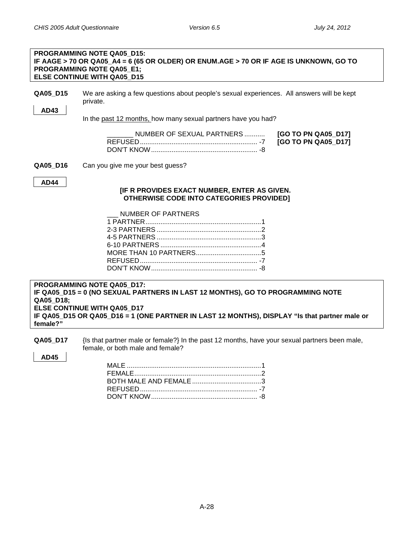### **PROGRAMMING NOTE QA05\_D15: IF AAGE > 70 OR QA05\_A4 = 6 (65 OR OLDER) OR ENUM.AGE > 70 OR IF AGE IS UNKNOWN, GO TO PROGRAMMING NOTE QA05\_E1; ELSE CONTINUE WITH QA05\_D15**

<span id="page-31-0"></span>**QA05 D15** We are asking a few questions about people's sexual experiences. All answers will be kept private.

**AD43**

In the past 12 months, how many sexual partners have you had?

| NUMBER OF SEXUAL PARTNERS  [GO TO PN QA05_D17] |  |
|------------------------------------------------|--|
|                                                |  |
|                                                |  |

**QA05 D16** Can you give me your best guess?

**AD44**

### **[IF R PROVIDES EXACT NUMBER, ENTER AS GIVEN. OTHERWISE CODE INTO CATEGORIES PROVIDED]**

| <b>NUMBER OF PARTNERS</b> |  |
|---------------------------|--|
|                           |  |
|                           |  |
|                           |  |
|                           |  |
|                           |  |
|                           |  |
|                           |  |

**PROGRAMMING NOTE QA05\_D17: IF QA05\_D15 = 0 (NO SEXUAL PARTNERS IN LAST 12 MONTHS), GO TO PROGRAMMING NOTE QA05\_D18; ELSE CONTINUE WITH QA05\_D17 IF QA05\_D15 OR QA05\_D16 = 1 (ONE PARTNER IN LAST 12 MONTHS), DISPLAY "Is that partner male or female?"** 

**QA05 D17** {Is that partner male or female?} In the past 12 months, have your sexual partners been male, female, or both male and female?

**AD45**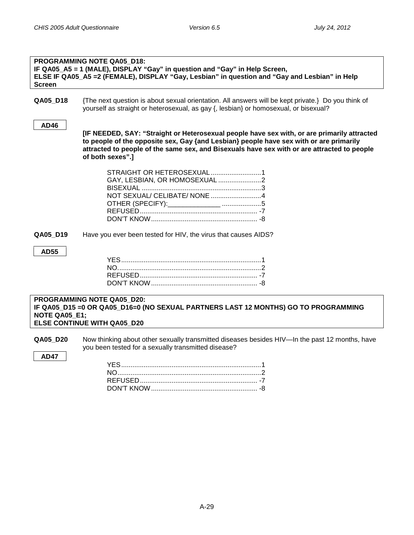| <b>PROGRAMMING NOTE QA05 D18:</b><br>IF QA05_A5 = 1 (MALE), DISPLAY "Gay" in question and "Gay" in Help Screen,<br>ELSE IF QA05 A5 = 2 (FEMALE), DISPLAY "Gay, Lesbian" in question and "Gay and Lesbian" in Help<br><b>Screen</b> |                                                                                                                                                                                                                                                                                                          |  |
|------------------------------------------------------------------------------------------------------------------------------------------------------------------------------------------------------------------------------------|----------------------------------------------------------------------------------------------------------------------------------------------------------------------------------------------------------------------------------------------------------------------------------------------------------|--|
| QA05_D18                                                                                                                                                                                                                           | {The next question is about sexual orientation. All answers will be kept private.} Do you think of<br>yourself as straight or heterosexual, as gay {, lesbian} or homosexual, or bisexual?                                                                                                               |  |
| <b>AD46</b>                                                                                                                                                                                                                        | [IF NEEDED, SAY: "Straight or Heterosexual people have sex with, or are primarily attracted<br>to people of the opposite sex, Gay {and Lesbian} people have sex with or are primarily<br>attracted to people of the same sex, and Bisexuals have sex with or are attracted to people<br>of both sexes".] |  |
|                                                                                                                                                                                                                                    | STRAIGHT OR HETEROSEXUAL1<br>GAY, LESBIAN, OR HOMOSEXUAL 2<br>NOT SEXUAL/ CELIBATE/ NONE 4                                                                                                                                                                                                               |  |
| QA05 D19                                                                                                                                                                                                                           | Have you ever been tested for HIV, the virus that causes AIDS?                                                                                                                                                                                                                                           |  |
| <b>AD55</b>                                                                                                                                                                                                                        |                                                                                                                                                                                                                                                                                                          |  |
| PROGRAMMING NOTE QA05 D20:<br>IF QA05_D15 = 0 OR QA05_D16=0 (NO SEXUAL PARTNERS LAST 12 MONTHS) GO TO PROGRAMMING<br><b>NOTE QA05 E1;</b>                                                                                          |                                                                                                                                                                                                                                                                                                          |  |

### <span id="page-32-0"></span>**ELSE CONTINUE WITH QA05\_D20**

**QA05\_D20** Now thinking about other sexually transmitted diseases besides HIV—In the past 12 months, have you been tested for a sexually transmitted disease?

**AD47**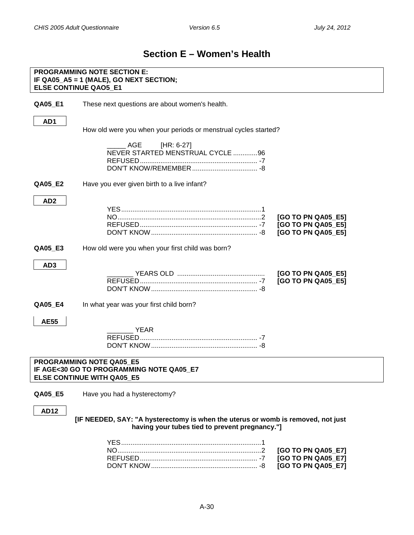# **Section E – Women's Health**

<span id="page-33-0"></span>

| <b>ELSE CONTINUE QAO5 E1</b>                                                                              | <b>PROGRAMMING NOTE SECTION E:</b><br>IF QA05_A5 = 1 (MALE), GO NEXT SECTION; |                                                                |
|-----------------------------------------------------------------------------------------------------------|-------------------------------------------------------------------------------|----------------------------------------------------------------|
| QA05_E1                                                                                                   | These next questions are about women's health.                                |                                                                |
| AD <sub>1</sub>                                                                                           | How old were you when your periods or menstrual cycles started?               |                                                                |
|                                                                                                           | AGE<br>$[HR: 6-27]$<br>NEVER STARTED MENSTRUAL CYCLE 96                       |                                                                |
| QA05_E2                                                                                                   | Have you ever given birth to a live infant?                                   |                                                                |
| AD <sub>2</sub>                                                                                           |                                                                               | [GO TO PN QA05_E5]<br>[GO TO PN QA05_E5]<br>[GO TO PN QA05_E5] |
| QA05 E3                                                                                                   | How old were you when your first child was born?                              |                                                                |
| AD <sub>3</sub>                                                                                           |                                                                               | [GO TO PN QA05_E5]<br>[GO TO PN QA05_E5]                       |
| QA05 E4                                                                                                   | In what year was your first child born?                                       |                                                                |
| <b>AE55</b>                                                                                               | YEAR                                                                          |                                                                |
| PROGRAMMING NOTE QA05_E5<br>IF AGE<30 GO TO PROGRAMMING NOTE QA05 E7<br><b>ELSE CONTINUE WITH QA05 E5</b> |                                                                               |                                                                |

**QA05\_E5** Have you had a hysterectomy?

### **AD12**

**[IF NEEDED, SAY: "A hysterectomy is when the uterus or womb is removed, not just having your tubes tied to prevent pregnancy."]**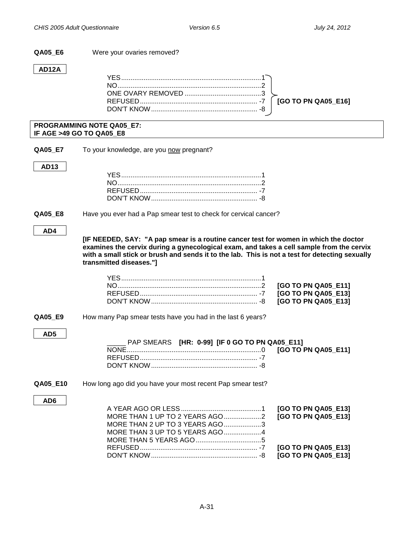### **QA05\_E6** Were your ovaries removed?

**AD12A**

| $\int$ [GO TO PN QA05 E16] |  |
|----------------------------|--|
|                            |  |
|                            |  |

### **PROGRAMMING NOTE QA05\_E7: IF AGE >49 GO TO QA05\_E8**

<span id="page-34-1"></span><span id="page-34-0"></span>

| QA05_E7         | To your knowledge, are you now pregnant?                                                                                                                                                                                                                                                                      |                                                                   |
|-----------------|---------------------------------------------------------------------------------------------------------------------------------------------------------------------------------------------------------------------------------------------------------------------------------------------------------------|-------------------------------------------------------------------|
| AD13            |                                                                                                                                                                                                                                                                                                               |                                                                   |
| QA05_E8         | Have you ever had a Pap smear test to check for cervical cancer?                                                                                                                                                                                                                                              |                                                                   |
| AD4             | [IF NEEDED, SAY: "A pap smear is a routine cancer test for women in which the doctor<br>examines the cervix during a gynecological exam, and takes a cell sample from the cervix<br>with a small stick or brush and sends it to the lab. This is not a test for detecting sexually<br>transmitted diseases."] |                                                                   |
|                 |                                                                                                                                                                                                                                                                                                               | [GO TO PN QA05_E11]<br>[GO TO PN QA05_E13]<br>[GO TO PN QA05 E13] |
| QA05_E9         | How many Pap smear tests have you had in the last 6 years?                                                                                                                                                                                                                                                    |                                                                   |
| AD <sub>5</sub> | PAP SMEARS [HR: 0-99] [IF 0 GO TO PN QA05_E11]                                                                                                                                                                                                                                                                | [GO TO PN QA05 E11]                                               |
| QA05_E10        | How long ago did you have your most recent Pap smear test?                                                                                                                                                                                                                                                    |                                                                   |
| AD <sub>6</sub> | MORE THAN 1 UP TO 2 YEARS AGO2<br>MORE THAN 2 UP TO 3 YEARS AGO3<br>MORE THAN 3 UP TO 5 YEARS AGO4                                                                                                                                                                                                            | [GO TO PN QA05_E13]<br>[GO TO PN QA05_E13]<br>[GO TO PN QA05_E13] |
|                 |                                                                                                                                                                                                                                                                                                               | [GO TO PN QA05 E13]                                               |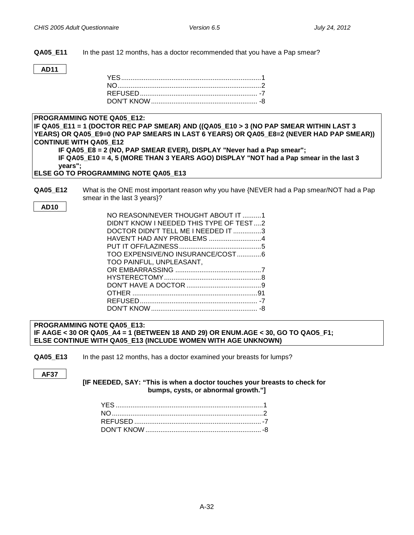**QA05\_E11** In the past 12 months, has a doctor recommended that you have a Pap smear?

**AD11**

### **PROGRAMMING NOTE QA05\_E12:**

**IF QA05\_E11 = 1 (DOCTOR REC PAP SMEAR) AND ((QA05\_E10 > 3 (NO PAP SMEAR WITHIN LAST 3 YEARS) OR QA05\_E9=0 (NO PAP SMEARS IN LAST 6 YEARS) OR QA05\_E8=2 (NEVER HAD PAP SMEAR)) CONTINUE WITH QA05\_E12 IF QA05\_E8 = 2 (NO, PAP SMEAR EVER), DISPLAY "Never had a Pap smear";**

**IF QA05\_E10 = 4, 5 (MORE THAN 3 YEARS AGO) DISPLAY "NOT had a Pap smear in the last 3 years";**

### **ELSE GO TO PROGRAMMING NOTE QA05\_E13**

**QA05\_E12** What is the ONE most important reason why you have {NEVER had a Pap smear/NOT had a Pap smear in the last 3 years}?

**AD10**

| NO REASON/NEVER THOUGHT ABOUT IT 1      |
|-----------------------------------------|
| DIDN'T KNOW I NEEDED THIS TYPE OF TEST2 |
| DOCTOR DIDN'T TELL ME I NEEDED IT 3     |
| HAVEN'T HAD ANY PROBLEMS 4              |
|                                         |
| TOO EXPENSIVE/NO INSURANCE/COST6        |
| TOO PAINFUL, UNPLEASANT,                |
|                                         |
|                                         |
|                                         |
|                                         |
|                                         |
|                                         |

### **PROGRAMMING NOTE QA05\_E13: IF AAGE < 30 OR QA05\_A4 = 1 (BETWEEN 18 AND 29) OR ENUM.AGE < 30, GO TO QAO5\_F1; ELSE CONTINUE WITH QA05\_E13 (INCLUDE WOMEN WITH AGE UNKNOWN)**

<span id="page-35-0"></span>**QA05\_E13** In the past 12 months, has a doctor examined your breasts for lumps?

**AF37**

**[IF NEEDED, SAY: "This is when a doctor touches your breasts to check for bumps, cysts, or abnormal growth."]**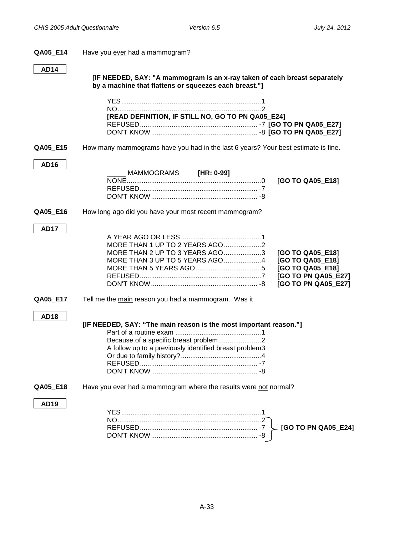| QA05_E14    | Have you ever had a mammogram?                                                    |                                         |
|-------------|-----------------------------------------------------------------------------------|-----------------------------------------|
| <b>AD14</b> |                                                                                   |                                         |
|             | [IF NEEDED, SAY: "A mammogram is an x-ray taken of each breast separately         |                                         |
|             | by a machine that flattens or squeezes each breast."]                             |                                         |
|             |                                                                                   |                                         |
|             | [READ DEFINITION, IF STILL NO, GO TO PN QA05_E24]                                 |                                         |
|             |                                                                                   |                                         |
|             |                                                                                   |                                         |
| QA05_E15    | How many mammograms have you had in the last 6 years? Your best estimate is fine. |                                         |
| <b>AD16</b> |                                                                                   |                                         |
|             | MAMMOGRAMS [HR: 0-99]                                                             |                                         |
|             |                                                                                   | [GO TO QA05_E18]                        |
|             |                                                                                   |                                         |
|             |                                                                                   |                                         |
| QA05_E16    | How long ago did you have your most recent mammogram?                             |                                         |
| <b>AD17</b> |                                                                                   |                                         |
|             |                                                                                   |                                         |
|             | MORE THAN 1 UP TO 2 YEARS AGO 2                                                   |                                         |
|             | MORE THAN 2 UP TO 3 YEARS AGO3                                                    | [GO TO QA05_E18]                        |
|             | MORE THAN 3 UP TO 5 YEARS AGO4                                                    | [GO TO QA05_E18]                        |
|             |                                                                                   | [GO TO QA05_E18]<br>[GO TO PN QA05_E27] |
|             |                                                                                   | [GO TO PN QA05_E27]                     |
| QA05_E17    | Tell me the main reason you had a mammogram. Was it                               |                                         |
|             |                                                                                   |                                         |
| <b>AD18</b> | [IF NEEDED, SAY: "The main reason is the most important reason."]                 |                                         |
|             |                                                                                   |                                         |
|             |                                                                                   |                                         |
|             | A follow up to a previously identified breast problem3                            |                                         |
|             |                                                                                   |                                         |
|             |                                                                                   |                                         |
| QA05_E18    | Have you ever had a mammogram where the results were not normal?                  |                                         |
| <b>AD19</b> |                                                                                   |                                         |
|             |                                                                                   |                                         |
|             |                                                                                   |                                         |
|             |                                                                                   | $\swarrow$ [GO TO PN QA05_E24]          |
|             |                                                                                   |                                         |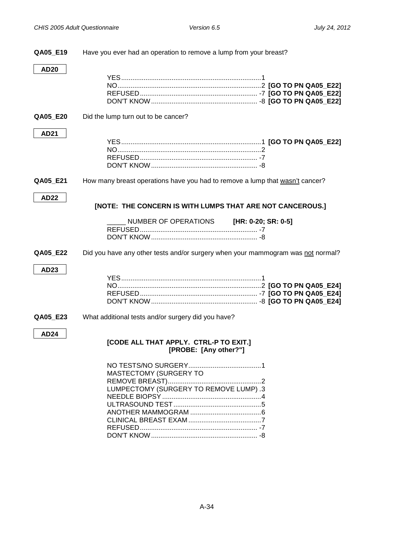| QA05_E19    | Have you ever had an operation to remove a lump from your breast?               |
|-------------|---------------------------------------------------------------------------------|
| <b>AD20</b> |                                                                                 |
| QA05_E20    | Did the lump turn out to be cancer?                                             |
| <b>AD21</b> |                                                                                 |
| QA05_E21    | How many breast operations have you had to remove a lump that wasn't cancer?    |
| <b>AD22</b> | [NOTE: THE CONCERN IS WITH LUMPS THAT ARE NOT CANCEROUS.]                       |
|             | NUMBER OF OPERATIONS [HR: 0-20; SR: 0-5]                                        |
| QA05_E22    | Did you have any other tests and/or surgery when your mammogram was not normal? |
| AD23        |                                                                                 |
| QA05_E23    | What additional tests and/or surgery did you have?                              |
| <b>AD24</b> | [CODE ALL THAT APPLY. CTRL-P TO EXIT.]<br>[PROBE: [Any other?"]                 |
|             | MASTECTOMY (SURGERY TO<br>LUMPECTOMY (SURGERY TO REMOVE LUMP) 3                 |

DON'T KNOW......................................................... -8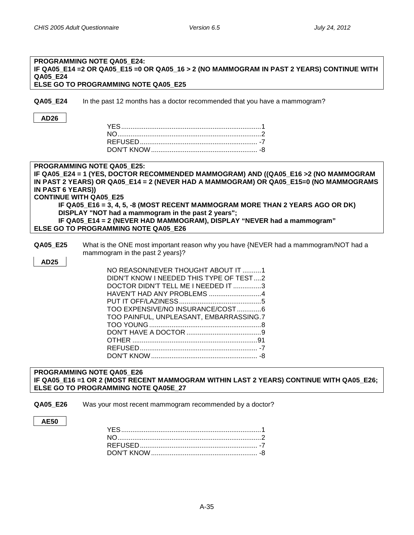| QA05 E24          | PROGRAMMING NOTE QA05_E24:<br>IF QA05_E14 = 2 OR QA05_E15 = 0 OR QA05_16 > 2 (NO MAMMOGRAM IN PAST 2 YEARS) CONTINUE WITH                                                    |
|-------------------|------------------------------------------------------------------------------------------------------------------------------------------------------------------------------|
|                   | ELSE GO TO PROGRAMMING NOTE QA05_E25                                                                                                                                         |
| QA05 E24          | In the past 12 months has a doctor recommended that you have a mammogram?                                                                                                    |
| <b>AD26</b>       |                                                                                                                                                                              |
|                   |                                                                                                                                                                              |
|                   |                                                                                                                                                                              |
|                   |                                                                                                                                                                              |
|                   |                                                                                                                                                                              |
|                   | PROGRAMMING NOTE QA05 E25:                                                                                                                                                   |
|                   | IF QA05_E24 = 1 (YES, DOCTOR RECOMMENDED MAMMOGRAM) AND ((QA05_E16 >2 (NO MAMMOGRAM<br>IN PAST 2 YEARS) OR QA05 E14 = 2 (NEVER HAD A MAMMOGRAM) OR QA05 E15=0 (NO MAMMOGRAMS |
| IN PAST 6 YEARS)) |                                                                                                                                                                              |
|                   | <b>CONTINUE WITH QA05 E25</b>                                                                                                                                                |
|                   | IF QA05_E16 = 3, 4, 5, -8 (MOST RECENT MAMMOGRAM MORE THAN 2 YEARS AGO OR DK)                                                                                                |
|                   | DISPLAY "NOT had a mammogram in the past 2 years";<br>IF QA05_E14 = 2 (NEVER HAD MAMMOGRAM), DISPLAY "NEVER had a mammogram"                                                 |
|                   | ELSE GO TO PROGRAMMING NOTE QA05 E26                                                                                                                                         |
|                   |                                                                                                                                                                              |
| QA05_E25          | What is the ONE most important reason why you have {NEVER had a mammogram/NOT had a                                                                                          |
|                   | mammogram in the past 2 years}?                                                                                                                                              |
| <b>AD25</b>       |                                                                                                                                                                              |
|                   | NO REASON/NEVER THOUGHT ABOUT IT 1                                                                                                                                           |
|                   | DIDN'T KNOW I NEEDED THIS TYPE OF TEST2                                                                                                                                      |
|                   | DOCTOR DIDN'T TELL ME I NEEDED IT 3                                                                                                                                          |
|                   | HAVEN'T HAD ANY PROBLEMS 4                                                                                                                                                   |
|                   | TOO EXPENSIVE/NO INSURANCE/COST6                                                                                                                                             |
|                   | TOO PAINFUL, UNPLEASANT, EMBARRASSING.7                                                                                                                                      |
|                   |                                                                                                                                                                              |
|                   |                                                                                                                                                                              |
|                   |                                                                                                                                                                              |
|                   |                                                                                                                                                                              |
|                   |                                                                                                                                                                              |
|                   | PROGRAMMING NOTE QA05_E26                                                                                                                                                    |
|                   | IF QA05_E16 =1 OR 2 (MOST RECENT MAMMOGRAM WITHIN LAST 2 YEARS) CONTINUE WITH QA05_E26;                                                                                      |
|                   | ELSE GO TO PROGRAMMING NOTE QA05E 27                                                                                                                                         |
|                   |                                                                                                                                                                              |

**QA05\_E26** Was your most recent mammogram recommended by a doctor?

## **AE50**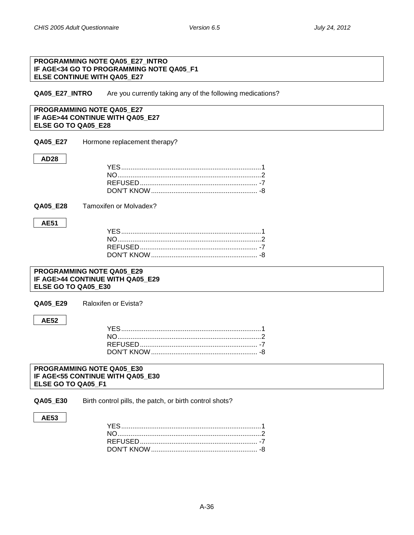#### **PROGRAMMING NOTE QA05\_E27\_INTRO IF AGE<34 GO TO PROGRAMMING NOTE QA05\_F1 ELSE CONTINUE WITH QA05\_E27**

#### **QA05\_E27\_INTRO** Are you currently taking any of the following medications?

#### **PROGRAMMING NOTE QA05\_E27 IF AGE>44 CONTINUE WITH QA05\_E27 ELSE GO TO QA05\_E28**

| QA05 E27 | Hormone replacement therapy? |  |
|----------|------------------------------|--|
|----------|------------------------------|--|

#### **AD28**

#### **QA05\_E28** Tamoxifen or Molvadex?

#### **AE51**

#### **PROGRAMMING NOTE QA05\_E29 IF AGE>44 CONTINUE WITH QA05\_E29 ELSE GO TO QA05\_E30**

#### **QA05\_E29** Raloxifen or Evista?

#### **AE52**

#### **PROGRAMMING NOTE QA05\_E30 IF AGE<55 CONTINUE WITH QA05\_E30 ELSE GO TO QA05\_F1**

#### **QA05\_E30** Birth control pills, the patch, or birth control shots?

#### **AE53**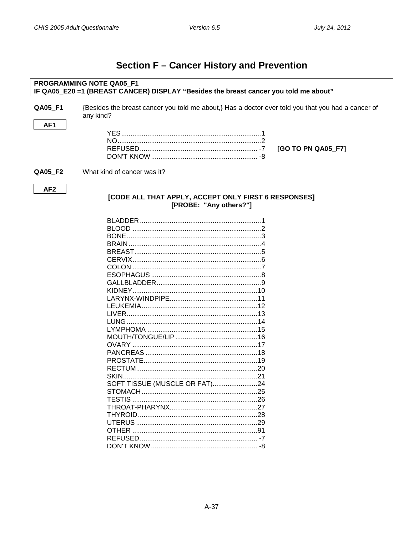# Section F - Cancer History and Prevention

## PROGRAMMING NOTE QA05 F1 IF QA05\_E20 =1 (BREAST CANCER) DISPLAY "Besides the breast cancer you told me about"

QA05\_F1 {Besides the breast cancer you told me about,} Has a doctor ever told you that you had a cancer of any kind?

AF<sub>1</sub>

#### What kind of cancer was it? QA05 F2

AF<sub>2</sub>

#### [CODE ALL THAT APPLY, ACCEPT ONLY FIRST 6 RESPONSES] [PROBE: "Any others?"]

| SOFT TISSUE (MUSCLE OR FAT)24 |  |
|-------------------------------|--|
|                               |  |
|                               |  |
|                               |  |
|                               |  |
|                               |  |
|                               |  |
|                               |  |
|                               |  |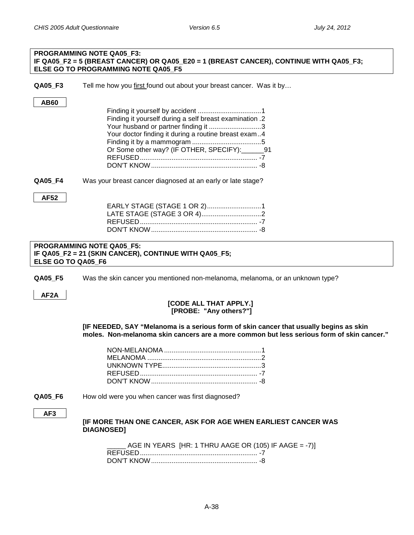#### **PROGRAMMING NOTE QA05\_F3: IF QA05\_F2 = 5 (BREAST CANCER) OR QA05\_E20 = 1 (BREAST CANCER), CONTINUE WITH QA05\_F3; ELSE GO TO PROGRAMMING NOTE QA05\_F5**

| QA05_F3                | Tell me how you first found out about your breast cancer. Was it by                       |
|------------------------|-------------------------------------------------------------------------------------------|
| <b>AB60</b>            |                                                                                           |
|                        |                                                                                           |
|                        | Finding it yourself during a self breast examination .2                                   |
|                        | Your husband or partner finding it 3                                                      |
|                        | Your doctor finding it during a routine breast exam4                                      |
|                        |                                                                                           |
|                        | Or Some other way? (IF OTHER, SPECIFY): ______91                                          |
|                        |                                                                                           |
|                        |                                                                                           |
| QA05_F4<br><b>AF52</b> | Was your breast cancer diagnosed at an early or late stage?                               |
|                        |                                                                                           |
|                        |                                                                                           |
|                        |                                                                                           |
|                        |                                                                                           |
| ELSE GO TO QA05 F6     | <b>PROGRAMMING NOTE QA05 F5:</b><br>IF QA05_F2 = 21 (SKIN CANCER), CONTINUE WITH QA05_F5; |
| QA05 F5                | Was the skin cancer you mentioned non-melanoma, melanoma, or an unknown type?             |
| AF <sub>2</sub> A      |                                                                                           |

#### **[CODE ALL THAT APPLY.] [PROBE: "Any others?"]**

**[IF NEEDED, SAY "Melanoma is a serious form of skin cancer that usually begins as skin moles. Non-melanoma skin cancers are a more common but less serious form of skin cancer."**

#### **QA05\_F6** How old were you when cancer was first diagnosed?

**AF3**

#### **[IF MORE THAN ONE CANCER, ASK FOR AGE WHEN EARLIEST CANCER WAS DIAGNOSED]**

| $\frac{1}{2}$ AGE IN YEARS [HR: 1 THRU AAGE OR (105) IF AAGE = -7] |
|--------------------------------------------------------------------|
|                                                                    |
|                                                                    |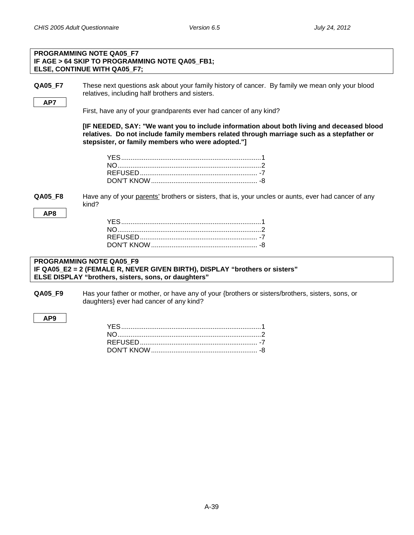#### **PROGRAMMING NOTE QA05\_F7 IF AGE > 64 SKIP TO PROGRAMMING NOTE QA05\_FB1; ELSE, CONTINUE WITH QA05\_F7;**

**AP7**

**QA05\_F7** These next questions ask about your family history of cancer. By family we mean only your blood relatives, including half brothers and sisters.

First, have any of your grandparents ever had cancer of any kind?

**[IF NEEDED, SAY: "We want you to include information about both living and deceased blood relatives. Do not include family members related through marriage such as a stepfather or stepsister, or family members who were adopted."]**

**QA05\_F8** Have any of your parents' brothers or sisters, that is, your uncles or aunts, ever had cancer of any kind?

**AP8**

## **PROGRAMMING NOTE QA05\_F9 IF QA05\_E2 = 2 (FEMALE R, NEVER GIVEN BIRTH), DISPLAY "brothers or sisters" ELSE DISPLAY "brothers, sisters, sons, or daughters"**

**QA05\_F9** Has your father or mother, or have any of your {brothers or sisters/brothers, sisters, sons, or daughters} ever had cancer of any kind?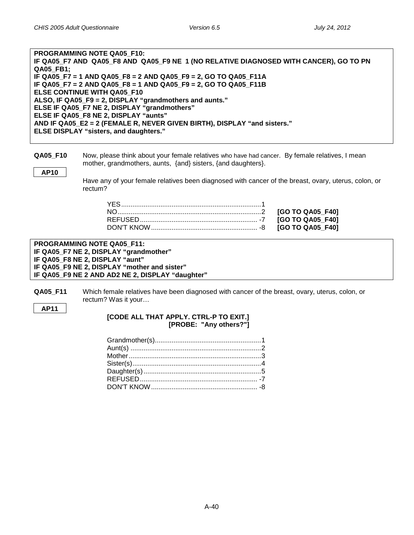**PROGRAMMING NOTE QA05\_F10: IF QA05\_F7 AND QA05\_F8 AND QA05\_F9 NE 1 (NO RELATIVE DIAGNOSED WITH CANCER), GO TO PN QA05\_FB1; IF QA05\_F7 = 1 AND QA05\_F8 = 2 AND QA05\_F9 = 2, GO TO QA05\_F11A IF QA05\_F7 = 2 AND QA05\_F8 = 1 AND QA05\_F9 = 2, GO TO QA05\_F11B ELSE CONTINUE WITH QA05\_F10 ALSO, IF QA05\_F9 = 2, DISPLAY "grandmothers and aunts." ELSE IF QA05\_F7 NE 2, DISPLAY "grandmothers" ELSE IF QA05\_F8 NE 2, DISPLAY "aunts" AND IF QA05\_E2 = 2 (FEMALE R, NEVER GIVEN BIRTH), DISPLAY "and sisters." ELSE DISPLAY "sisters, and daughters."**

**QA05\_F10** Now, please think about your female relatives who have had cancer. By female relatives, I mean mother, grandmothers, aunts, {and} sisters, {and daughters}.

**AP10**

Have any of your female relatives been diagnosed with cancer of the breast, ovary, uterus, colon, or rectum?

**PROGRAMMING NOTE QA05\_F11: IF QA05\_F7 NE 2, DISPLAY "grandmother" IF QA05\_F8 NE 2, DISPLAY "aunt" IF QA05\_F9 NE 2, DISPLAY "mother and sister" IF QA05\_F9 NE 2 AND AD2 NE 2, DISPLAY "daughter"**

**QA05\_F11** Which female relatives have been diagnosed with cancer of the breast, ovary, uterus, colon, or rectum? Was it your…

**AP11**

#### **[CODE ALL THAT APPLY. CTRL-P TO EXIT.] [PROBE: "Any others?"]**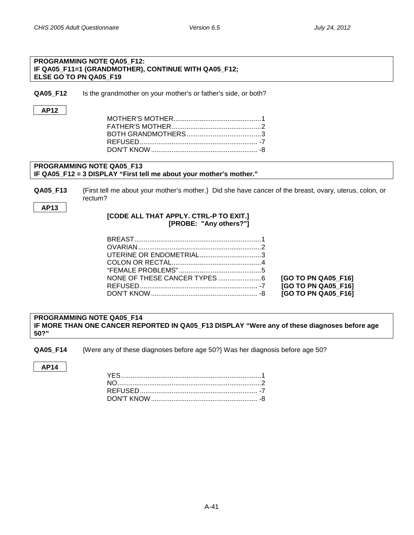#### **PROGRAMMING NOTE QA05\_F12: IF QA05\_F11=1 (GRANDMOTHER), CONTINUE WITH QA05\_F12; ELSE GO TO PN QA05\_F19**

**QA05\_F12** Is the grandmother on your mother's or father's side, or both?

## **AP12**

#### **PROGRAMMING NOTE QA05\_F13 IF QA05\_F12 = 3 DISPLAY "First tell me about your mother's mother."**

**QA05\_F13** {First tell me about your mother's mother.} Did she have cancer of the breast, ovary, uterus, colon, or rectum?

**AP13**

#### **[CODE ALL THAT APPLY. CTRL-P TO EXIT.] [PROBE: "Any others?"]**

**PROGRAMMING NOTE QA05\_F14 IF MORE THAN ONE CANCER REPORTED IN QA05\_F13 DISPLAY "Were any of these diagnoses before age 50?"**

**QA05\_F14** {Were any of these diagnoses before age 50?} Was her diagnosis before age 50?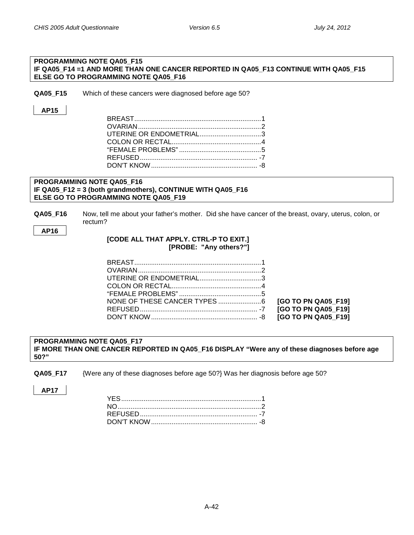#### **PROGRAMMING NOTE QA05\_F15** IF QA05 F14 =1 AND MORE THAN ONE CANCER REPORTED IN QA05 F13 CONTINUE WITH QA05 F15 **ELSE GO TO PROGRAMMING NOTE QA05\_F16**

**QA05\_F15** Which of these cancers were diagnosed before age 50?

## **AP15**

| UTERINE OR ENDOMETRIAL3 |  |
|-------------------------|--|
|                         |  |
|                         |  |
|                         |  |
|                         |  |
|                         |  |

**PROGRAMMING NOTE QA05\_F16 IF QA05\_F12 = 3 (both grandmothers), CONTINUE WITH QA05\_F16 ELSE GO TO PROGRAMMING NOTE QA05\_F19**

**QA05\_F16** Now, tell me about your father's mother. Did she have cancer of the breast, ovary, uterus, colon, or rectum?

#### **AP16**

#### **[CODE ALL THAT APPLY. CTRL-P TO EXIT.] [PROBE: "Any others?"]**

**PROGRAMMING NOTE QA05\_F17 IF MORE THAN ONE CANCER REPORTED IN QA05\_F16 DISPLAY "Were any of these diagnoses before age 50?"**

**QA05\_F17** {Were any of these diagnoses before age 50?} Was her diagnosis before age 50?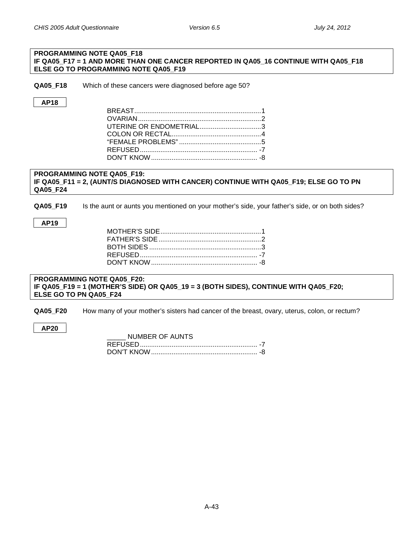#### **PROGRAMMING NOTE QA05\_F18 IF QA05\_F17 = 1 AND MORE THAN ONE CANCER REPORTED IN QA05\_16 CONTINUE WITH QA05\_F18 ELSE GO TO PROGRAMMING NOTE QA05\_F19**

**QA05\_F18** Which of these cancers were diagnosed before age 50?

## **AP18**

| UTERINE OR ENDOMETRIAL3 |  |
|-------------------------|--|
|                         |  |
|                         |  |
|                         |  |
|                         |  |
|                         |  |

#### **PROGRAMMING NOTE QA05\_F19: IF QA05\_F11 = 2, (AUNT/S DIAGNOSED WITH CANCER) CONTINUE WITH QA05\_F19; ELSE GO TO PN QA05\_F24**

**QA05\_F19** Is the aunt or aunts you mentioned on your mother's side, your father's side, or on both sides?

**AP19**

#### **PROGRAMMING NOTE QA05\_F20: IF QA05\_F19 = 1 (MOTHER'S SIDE) OR QA05\_19 = 3 (BOTH SIDES), CONTINUE WITH QA05\_F20; ELSE GO TO PN QA05\_F24**

**QA05\_F20** How many of your mother's sisters had cancer of the breast, ovary, uterus, colon, or rectum?

| NUMBER OF AUNTS |  |
|-----------------|--|
|                 |  |
|                 |  |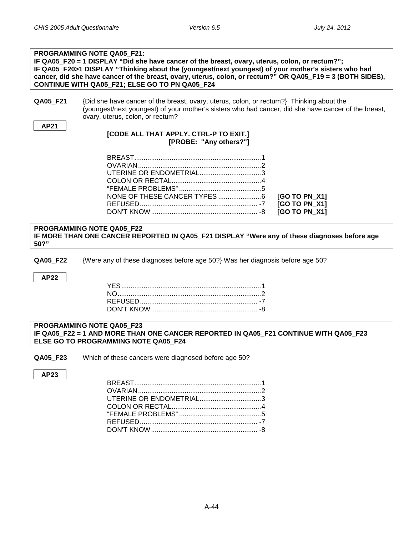## **PROGRAMMING NOTE QA05\_F21:**

**IF QA05\_F20 = 1 DISPLAY "Did she have cancer of the breast, ovary, uterus, colon, or rectum?"; IF QA05\_F20>1 DISPLAY "Thinking about the (youngest/next youngest) of your mother's sisters who had cancer, did she have cancer of the breast, ovary, uterus, colon, or rectum?" OR QA05\_F19 = 3 (BOTH SIDES), CONTINUE WITH QA05\_F21; ELSE GO TO PN QA05\_F24**

#### **QA05 F21** {Did she have cancer of the breast, ovary, uterus, colon, or rectum?} Thinking about the (youngest/next youngest) of your mother's sisters who had cancer, did she have cancer of the breast, ovary, uterus, colon, or rectum?

**AP21**

#### **[CODE ALL THAT APPLY. CTRL-P TO EXIT.] [PROBE: "Any others?"]**

**PROGRAMMING NOTE QA05\_F22 IF MORE THAN ONE CANCER REPORTED IN QA05\_F21 DISPLAY "Were any of these diagnoses before age 50?"**

**QA05\_F22** {Were any of these diagnoses before age 50?} Was her diagnosis before age 50?

#### **AP22**

#### **PROGRAMMING NOTE QA05\_F23 IF QA05\_F22 = 1 AND MORE THAN ONE CANCER REPORTED IN QA05\_F21 CONTINUE WITH QA05\_F23 ELSE GO TO PROGRAMMING NOTE QA05\_F24**

**QA05\_F23** Which of these cancers were diagnosed before age 50?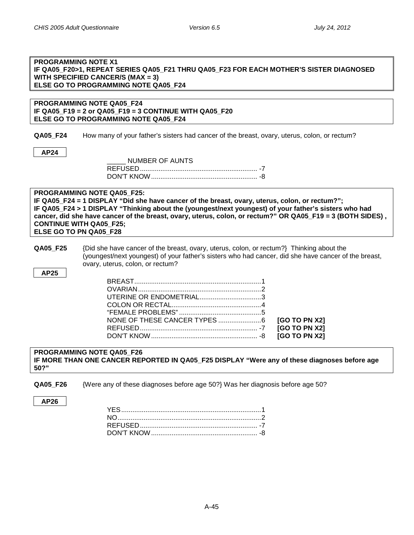#### **PROGRAMMING NOTE X1 IF QA05\_F20>1, REPEAT SERIES QA05\_F21 THRU QA05\_F23 FOR EACH MOTHER'S SISTER DIAGNOSED WITH SPECIFIED CANCER/S (MAX = 3) ELSE GO TO PROGRAMMING NOTE QA05\_F24**

**PROGRAMMING NOTE QA05\_F24 IF QA05\_F19 = 2 or QA05\_F19 = 3 CONTINUE WITH QA05\_F20 ELSE GO TO PROGRAMMING NOTE QA05\_F24**

**QA05 F24** How many of your father's sisters had cancer of the breast, ovary, uterus, colon, or rectum?

**AP24**

| NUMBER OF AUNTS |  |
|-----------------|--|
|                 |  |
|                 |  |

**PROGRAMMING NOTE QA05\_F25: IF QA05\_F24 = 1 DISPLAY "Did she have cancer of the breast, ovary, uterus, colon, or rectum?"; IF QA05\_F24 > 1 DISPLAY "Thinking about the (youngest/next youngest) of your father's sisters who had cancer, did she have cancer of the breast, ovary, uterus, colon, or rectum?" OR QA05\_F19 = 3 (BOTH SIDES) , CONTINUE WITH QA05\_F25; ELSE GO TO PN QA05\_F28**

**QA05\_F25** {Did she have cancer of the breast, ovary, uterus, colon, or rectum?} Thinking about the (youngest/next youngest) of your father's sisters who had cancer, did she have cancer of the breast, ovary, uterus, colon, or rectum?

**AP25**

| UTERINE OR ENDOMETRIAL3 |  |
|-------------------------|--|
|                         |  |
|                         |  |
|                         |  |
|                         |  |
|                         |  |

**PROGRAMMING NOTE QA05\_F26 IF MORE THAN ONE CANCER REPORTED IN QA05\_F25 DISPLAY "Were any of these diagnoses before age 50?"**

**QA05\_F26** {Were any of these diagnoses before age 50?} Was her diagnosis before age 50?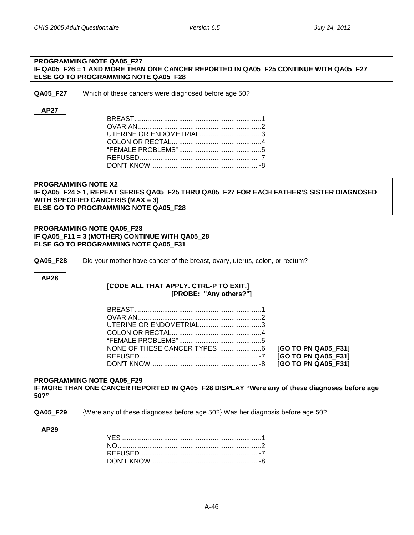#### **PROGRAMMING NOTE QA05\_F27 IF QA05 F26 = 1 AND MORE THAN ONE CANCER REPORTED IN QA05 F25 CONTINUE WITH QA05 F27 ELSE GO TO PROGRAMMING NOTE QA05\_F28**

**QA05 F27** Which of these cancers were diagnosed before age 50?

## **AP27**

| UTERINE OR ENDOMETRIAL3 |  |
|-------------------------|--|
|                         |  |
|                         |  |
|                         |  |
|                         |  |
|                         |  |

#### **PROGRAMMING NOTE X2 IF QA05\_F24 > 1, REPEAT SERIES QA05\_F25 THRU QA05\_F27 FOR EACH FATHER'S SISTER DIAGNOSED WITH SPECIFIED CANCER/S (MAX = 3) ELSE GO TO PROGRAMMING NOTE QA05\_F28**

**PROGRAMMING NOTE QA05\_F28 IF QA05\_F11 = 3 (MOTHER) CONTINUE WITH QA05\_28 ELSE GO TO PROGRAMMING NOTE QA05\_F31**

**QA05\_F28** Did your mother have cancer of the breast, ovary, uterus, colon, or rectum?

#### **AP28**

#### **[CODE ALL THAT APPLY. CTRL-P TO EXIT.] [PROBE: "Any others?"]**

| UTERINE OR ENDOMETRIAL3 |  |
|-------------------------|--|
|                         |  |
|                         |  |
|                         |  |
|                         |  |
|                         |  |

**PROGRAMMING NOTE QA05\_F29 IF MORE THAN ONE CANCER REPORTED IN QA05\_F28 DISPLAY "Were any of these diagnoses before age 50?"**

**QA05\_F29** {Were any of these diagnoses before age 50?} Was her diagnosis before age 50?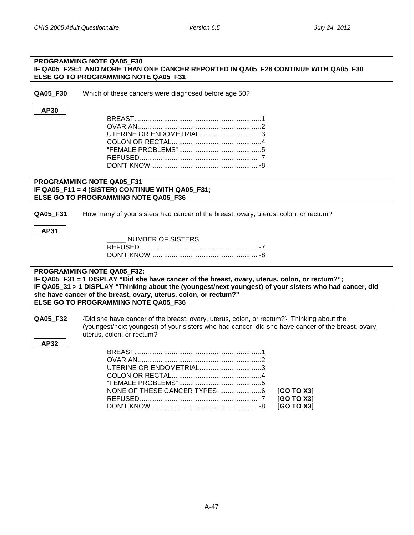#### **PROGRAMMING NOTE QA05\_F30 IF QA05\_F29=1 AND MORE THAN ONE CANCER REPORTED IN QA05\_F28 CONTINUE WITH QA05\_F30 ELSE GO TO PROGRAMMING NOTE QA05\_F31**

**QA05 F30** Which of these cancers were diagnosed before age 50?

#### **AP30**

| UTERINE OR ENDOMETRIAL3 |  |
|-------------------------|--|
|                         |  |
|                         |  |
|                         |  |
|                         |  |

#### **PROGRAMMING NOTE QA05\_F31 IF QA05\_F11 = 4 (SISTER) CONTINUE WITH QA05\_F31; ELSE GO TO PROGRAMMING NOTE QA05\_F36**

**QA05 F31** How many of your sisters had cancer of the breast, ovary, uterus, colon, or rectum?

**AP31**

| NUMBER OF SISTERS |  |
|-------------------|--|
|                   |  |
|                   |  |

## **PROGRAMMING NOTE QA05\_F32:**

**IF QA05\_F31 = 1 DISPLAY "Did she have cancer of the breast, ovary, uterus, colon, or rectum?"; IF QA05\_31 > 1 DISPLAY "Thinking about the (youngest/next youngest) of your sisters who had cancer, did she have cancer of the breast, ovary, uterus, colon, or rectum?" ELSE GO TO PROGRAMMING NOTE QA05\_F36**

**QA05 F32** {Did she have cancer of the breast, ovary, uterus, colon, or rectum?} Thinking about the (youngest/next youngest) of your sisters who had cancer, did she have cancer of the breast, ovary, uterus, colon, or rectum?

| ×<br>۰, |
|---------|
|---------|

| UTERINE OR ENDOMETRIAL3 |  |
|-------------------------|--|
|                         |  |
|                         |  |
|                         |  |
|                         |  |
|                         |  |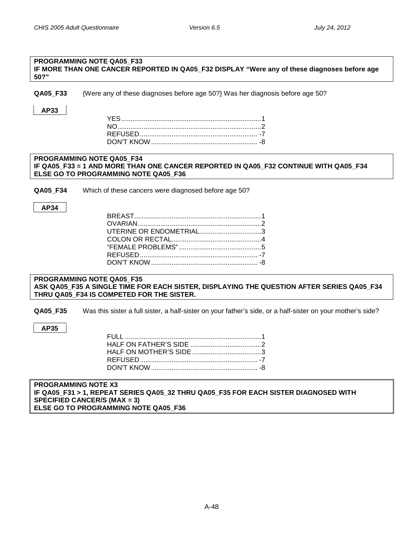#### **PROGRAMMING NOTE QA05\_F33 IF MORE THAN ONE CANCER REPORTED IN QA05\_F32 DISPLAY "Were any of these diagnoses before age 50?"**

**QA05\_F33** {Were any of these diagnoses before age 50?} Was her diagnosis before age 50?

#### **AP33**

#### **PROGRAMMING NOTE QA05\_F34 IF QA05\_F33 = 1 AND MORE THAN ONE CANCER REPORTED IN QA05\_F32 CONTINUE WITH QA05\_F34 ELSE GO TO PROGRAMMING NOTE QA05\_F36**

| QA05_F34 |  |  |  | Which of these cancers were diagnosed before age 50? |
|----------|--|--|--|------------------------------------------------------|
|----------|--|--|--|------------------------------------------------------|

#### **AP34**

#### **PROGRAMMING NOTE QA05\_F35 ASK QA05\_F35 A SINGLE TIME FOR EACH SISTER, DISPLAYING THE QUESTION AFTER SERIES QA05\_F34 THRU QA05\_F34 IS COMPETED FOR THE SISTER.**

**QA05\_F35** Was this sister a full sister, a half-sister on your father's side, or a half-sister on your mother's side?

#### **AP35**

#### **PROGRAMMING NOTE X3 IF QA05\_F31 > 1, REPEAT SERIES QA05\_32 THRU QA05\_F35 FOR EACH SISTER DIAGNOSED WITH SPECIFIED CANCER/S (MAX = 3) ELSE GO TO PROGRAMMING NOTE QA05\_F36**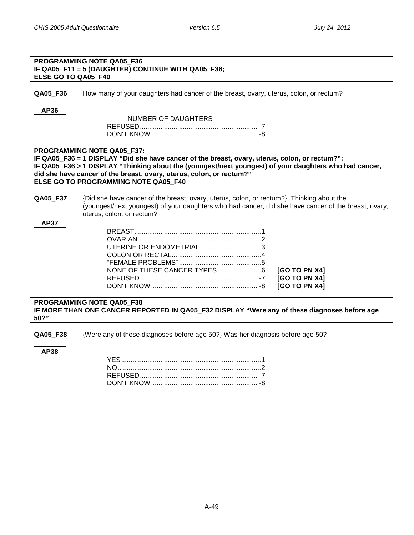#### **PROGRAMMING NOTE QA05\_F36 IF QA05\_F11 = 5 (DAUGHTER) CONTINUE WITH QA05\_F36; ELSE GO TO QA05\_F40**

**QA05 F36** How many of your daughters had cancer of the breast, ovary, uterus, colon, or rectum?

**AP36**

| NUMBER OF DAUGHTERS |  |
|---------------------|--|
|                     |  |
|                     |  |

## **PROGRAMMING NOTE QA05\_F37:**

**IF QA05\_F36 = 1 DISPLAY "Did she have cancer of the breast, ovary, uterus, colon, or rectum?"; IF QA05\_F36 > 1 DISPLAY "Thinking about the (youngest/next youngest) of your daughters who had cancer, did she have cancer of the breast, ovary, uterus, colon, or rectum?" ELSE GO TO PROGRAMMING NOTE QA05\_F40**

**QA05\_F37** {Did she have cancer of the breast, ovary, uterus, colon, or rectum?} Thinking about the (youngest/next youngest) of your daughters who had cancer, did she have cancer of the breast, ovary, uterus, colon, or rectum?

**AP37**

#### **PROGRAMMING NOTE QA05\_F38 IF MORE THAN ONE CANCER REPORTED IN QA05\_F32 DISPLAY "Were any of these diagnoses before age 50?"**

**QA05\_F38** {Were any of these diagnoses before age 50?} Was her diagnosis before age 50?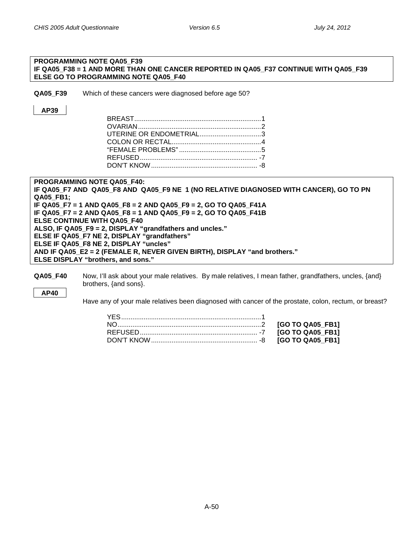#### **PROGRAMMING NOTE QA05\_F39** IF QA05 F38 = 1 AND MORE THAN ONE CANCER REPORTED IN QA05 F37 CONTINUE WITH QA05 F39 **ELSE GO TO PROGRAMMING NOTE QA05\_F40**

**QA05 F39** Which of these cancers were diagnosed before age 50?

#### **AP39**

| UTERINE OR ENDOMETRIAL3 |  |
|-------------------------|--|
|                         |  |
|                         |  |
|                         |  |
|                         |  |

**PROGRAMMING NOTE QA05\_F40: IF QA05\_F7 AND QA05\_F8 AND QA05\_F9 NE 1 (NO RELATIVE DIAGNOSED WITH CANCER), GO TO PN QA05\_FB1; IF QA05\_F7 = 1 AND QA05\_F8 = 2 AND QA05\_F9 = 2, GO TO QA05\_F41A IF QA05\_F7 = 2 AND QA05\_F8 = 1 AND QA05\_F9 = 2, GO TO QA05\_F41B ELSE CONTINUE WITH QA05\_F40 ALSO, IF QA05\_F9 = 2, DISPLAY "grandfathers and uncles." ELSE IF QA05\_F7 NE 2, DISPLAY "grandfathers" ELSE IF QA05\_F8 NE 2, DISPLAY "uncles" AND IF QA05\_E2 = 2 (FEMALE R, NEVER GIVEN BIRTH), DISPLAY "and brothers." ELSE DISPLAY "brothers, and sons."**

**QA05 F40** Now, I'll ask about your male relatives. By male relatives, I mean father, grandfathers, uncles, {and} brothers, {and sons}.

**AP40**

Have any of your male relatives been diagnosed with cancer of the prostate, colon, rectum, or breast?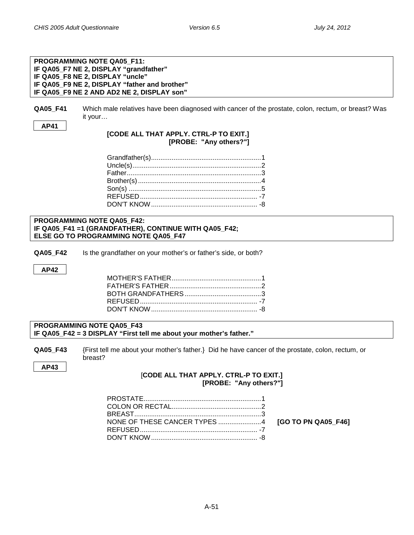#### **PROGRAMMING NOTE QA05\_F11: IF QA05\_F7 NE 2, DISPLAY "grandfather" IF QA05\_F8 NE 2, DISPLAY "uncle" IF QA05\_F9 NE 2, DISPLAY "father and brother" IF QA05\_F9 NE 2 AND AD2 NE 2, DISPLAY son"**

**QA05\_F41** Which male relatives have been diagnosed with cancer of the prostate, colon, rectum, or breast? Was it your…

**AP41**

## **[CODE ALL THAT APPLY. CTRL-P TO EXIT.] [PROBE: "Any others?"]**

#### **PROGRAMMING NOTE QA05\_F42: IF QA05\_F41 =1 (GRANDFATHER), CONTINUE WITH QA05\_F42; ELSE GO TO PROGRAMMING NOTE QA05\_F47**

**QA05\_F42** Is the grandfather on your mother's or father's side, or both?

## **AP42**

**PROGRAMMING NOTE QA05\_F43 IF QA05\_F42 = 3 DISPLAY "First tell me about your mother's father."**

**QA05\_F43** {First tell me about your mother's father.} Did he have cancer of the prostate, colon, rectum, or breast?

**AP43**

## [**CODE ALL THAT APPLY. CTRL-P TO EXIT.] [PROBE: "Any others?"]**

| NONE OF THESE CANCER TYPES 4 [GO TO PN QA05 F46] |  |
|--------------------------------------------------|--|
|                                                  |  |
|                                                  |  |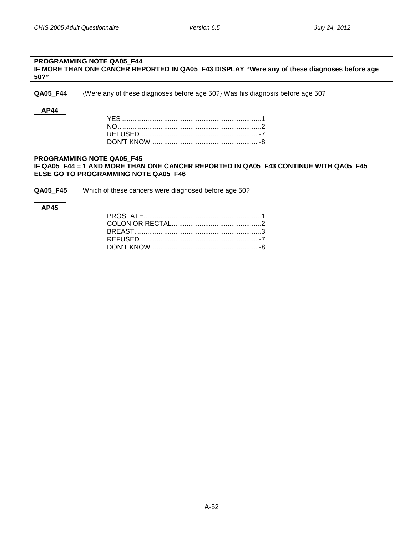#### **PROGRAMMING NOTE QA05\_F44 IF MORE THAN ONE CANCER REPORTED IN QA05\_F43 DISPLAY "Were any of these diagnoses before age 50?"**

**QA05\_F44** {Were any of these diagnoses before age 50?} Was his diagnosis before age 50?

#### **AP44**

#### **PROGRAMMING NOTE QA05\_F45 IF QA05\_F44 = 1 AND MORE THAN ONE CANCER REPORTED IN QA05\_F43 CONTINUE WITH QA05\_F45 ELSE GO TO PROGRAMMING NOTE QA05\_F46**

| QA05_F45 |  | Which of these cancers were diagnosed before age 50? |  |
|----------|--|------------------------------------------------------|--|
|----------|--|------------------------------------------------------|--|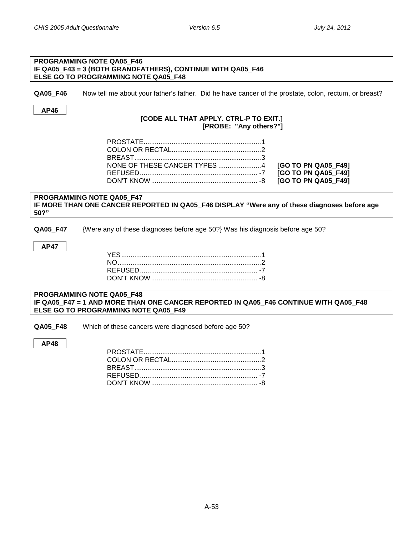#### **PROGRAMMING NOTE QA05\_F46 IF QA05\_F43 = 3 (BOTH GRANDFATHERS), CONTINUE WITH QA05\_F46 ELSE GO TO PROGRAMMING NOTE QA05\_F48**

**QA05\_F46** Now tell me about your father's father. Did he have cancer of the prostate, colon, rectum, or breast?

**AP46**

#### **[CODE ALL THAT APPLY. CTRL-P TO EXIT.] [PROBE: "Any others?"]**

| NONE OF THESE CANCER TYPES 4 <b>[GO TO PN QA05 F49]</b> |  |
|---------------------------------------------------------|--|
|                                                         |  |
|                                                         |  |

#### **PROGRAMMING NOTE QA05\_F47 IF MORE THAN ONE CANCER REPORTED IN QA05\_F46 DISPLAY "Were any of these diagnoses before age 50?"**

**QA05\_F47** {Were any of these diagnoses before age 50?} Was his diagnosis before age 50?

**AP47**

#### **PROGRAMMING NOTE QA05\_F48 IF QA05\_F47 = 1 AND MORE THAN ONE CANCER REPORTED IN QA05\_F46 CONTINUE WITH QA05\_F48 ELSE GO TO PROGRAMMING NOTE QA05\_F49**

**QA05\_F48** Which of these cancers were diagnosed before age 50?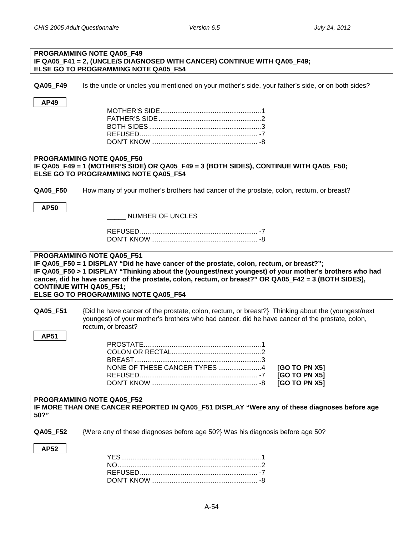#### **PROGRAMMING NOTE QA05\_F49 IF QA05\_F41 = 2, (UNCLE/S DIAGNOSED WITH CANCER) CONTINUE WITH QA05\_F49; ELSE GO TO PROGRAMMING NOTE QA05\_F54**

**QA05 F49** Is the uncle or uncles you mentioned on your mother's side, your father's side, or on both sides?

#### **AP49**

#### **PROGRAMMING NOTE QA05\_F50 IF QA05\_F49 = 1 (MOTHER'S SIDE) OR QA05\_F49 = 3 (BOTH SIDES), CONTINUE WITH QA05\_F50; ELSE GO TO PROGRAMMING NOTE QA05\_F54**

#### **QA05 F50** How many of your mother's brothers had cancer of the prostate, colon, rectum, or breast?

**AP50**

\_\_\_\_\_ NUMBER OF UNCLES

#### **PROGRAMMING NOTE QA05\_F51**

**IF QA05\_F50 = 1 DISPLAY "Did he have cancer of the prostate, colon, rectum, or breast?"; IF QA05\_F50 > 1 DISPLAY "Thinking about the (youngest/next youngest) of your mother's brothers who had cancer, did he have cancer of the prostate, colon, rectum, or breast?" OR QA05\_F42 = 3 (BOTH SIDES), CONTINUE WITH QA05\_F51; ELSE GO TO PROGRAMMING NOTE QA05\_F54**

**QA05\_F51** {Did he have cancer of the prostate, colon, rectum, or breast?} Thinking about the (youngest/next youngest) of your mother's brothers who had cancer, did he have cancer of the prostate, colon, rectum, or breast?

**AP51**

#### **PROGRAMMING NOTE QA05\_F52 IF MORE THAN ONE CANCER REPORTED IN QA05\_F51 DISPLAY "Were any of these diagnoses before age 50?"**

**QA05\_F52** {Were any of these diagnoses before age 50?} Was his diagnosis before age 50?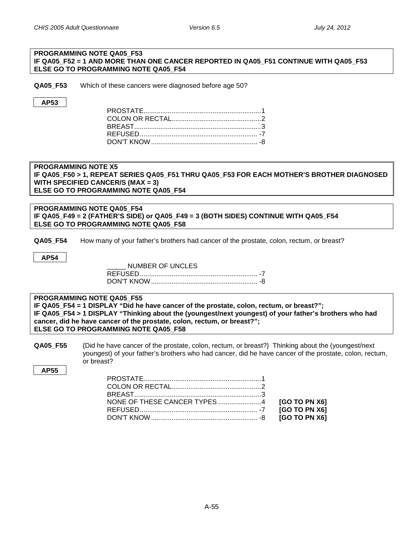#### **PROGRAMMING NOTE QA05\_F53** IF QA05 F52 = 1 AND MORE THAN ONE CANCER REPORTED IN QA05 F51 CONTINUE WITH QA05 F53 **ELSE GO TO PROGRAMMING NOTE QA05\_F54**

**QA05\_F53** Which of these cancers were diagnosed before age 50?

#### **AP53**

**PROGRAMMING NOTE X5 IF QA05\_F50 > 1, REPEAT SERIES QA05\_F51 THRU QA05\_F53 FOR EACH MOTHER'S BROTHER DIAGNOSED WITH SPECIFIED CANCER/S (MAX = 3) ELSE GO TO PROGRAMMING NOTE QA05\_F54**

#### **PROGRAMMING NOTE QA05\_F54 IF QA05\_F49 = 2 (FATHER'S SIDE) or QA05\_F49 = 3 (BOTH SIDES) CONTINUE WITH QA05\_F54 ELSE GO TO PROGRAMMING NOTE QA05\_F58**

**QA05\_F54** How many of your father's brothers had cancer of the prostate, colon, rectum, or breast?

**AP54**

| NUMBER OF UNCLES |  |
|------------------|--|
|                  |  |
|                  |  |

#### **PROGRAMMING NOTE QA05\_F55**

**IF QA05\_F54 = 1 DISPLAY "Did he have cancer of the prostate, colon, rectum, or breast?"; IF QA05\_F54 > 1 DISPLAY "Thinking about the (youngest/next youngest) of your father's brothers who had cancer, did he have cancer of the prostate, colon, rectum, or breast?"; ELSE GO TO PROGRAMMING NOTE QA05\_F58**

**QA05\_F55** {Did he have cancer of the prostate, colon, rectum, or breast?} Thinking about the (youngest/next youngest) of your father's brothers who had cancer, did he have cancer of the prostate, colon, rectum, or breast?

| COLON OR RECTAL 2                          |  |
|--------------------------------------------|--|
|                                            |  |
| NONE OF THESE CANCER TYPES 4 [GO TO PN X6] |  |
|                                            |  |
|                                            |  |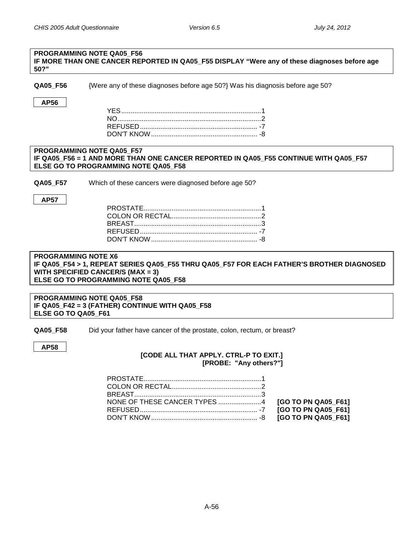| 50?"                       | PROGRAMMING NOTE QA05_F56<br>IF MORE THAN ONE CANCER REPORTED IN QA05_F55 DISPLAY "Were any of these diagnoses before age                                              |
|----------------------------|------------------------------------------------------------------------------------------------------------------------------------------------------------------------|
| QA05_F56                   | {Were any of these diagnoses before age 50?} Was his diagnosis before age 50?                                                                                          |
| <b>AP56</b>                |                                                                                                                                                                        |
|                            |                                                                                                                                                                        |
|                            |                                                                                                                                                                        |
|                            |                                                                                                                                                                        |
|                            | PROGRAMMING NOTE QA05_F57<br>IF QA05_F56 = 1 AND MORE THAN ONE CANCER REPORTED IN QA05_F55 CONTINUE WITH QA05_F57                                                      |
|                            | ELSE GO TO PROGRAMMING NOTE QA05_F58                                                                                                                                   |
| QA05_F57                   | Which of these cancers were diagnosed before age 50?                                                                                                                   |
| <b>AP57</b>                |                                                                                                                                                                        |
|                            |                                                                                                                                                                        |
|                            |                                                                                                                                                                        |
|                            |                                                                                                                                                                        |
|                            |                                                                                                                                                                        |
|                            |                                                                                                                                                                        |
| <b>PROGRAMMING NOTE X6</b> | IF QA05_F54 > 1, REPEAT SERIES QA05_F55 THRU QA05_F57 FOR EACH FATHER'S BROTHER DIAGNOSED<br>WITH SPECIFIED CANCER/S (MAX = 3)<br>ELSE GO TO PROGRAMMING NOTE QA05 F58 |
|                            | PROGRAMMING NOTE QA05_F58                                                                                                                                              |
| ELSE GO TO QA05 F61        | IF QA05_F42 = 3 (FATHER) CONTINUE WITH QA05_F58                                                                                                                        |
| QA05_F58                   | Did your father have cancer of the prostate, colon, rectum, or breast?                                                                                                 |
| <b>AP58</b>                | [CODE ALL THAT APPLY. CTRL-P TO EXIT.]<br>[PROBE: "Any others?"]                                                                                                       |
|                            |                                                                                                                                                                        |
|                            |                                                                                                                                                                        |
|                            |                                                                                                                                                                        |
|                            | NONE OF THESE CANCER TYPES 4<br>[GO TO PN QA05_F61]                                                                                                                    |
|                            | [GO TO PN QA05 F61]                                                                                                                                                    |
|                            | [GO TO PN QA05_F61]                                                                                                                                                    |
|                            |                                                                                                                                                                        |
|                            |                                                                                                                                                                        |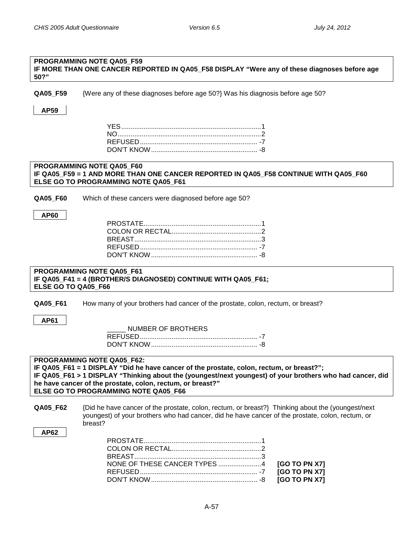#### **PROGRAMMING NOTE QA05\_F59 IF MORE THAN ONE CANCER REPORTED IN QA05 F58 DISPLAY "Were any of these diagnoses before age 50?"**

**QA05 F59** {Were any of these diagnoses before age 50?} Was his diagnosis before age 50?

**AP59**

#### **PROGRAMMING NOTE QA05\_F60 IF QA05\_F59 = 1 AND MORE THAN ONE CANCER REPORTED IN QA05\_F58 CONTINUE WITH QA05\_F60 ELSE GO TO PROGRAMMING NOTE QA05\_F61**

**QA05 F60** Which of these cancers were diagnosed before age 50?

**AP60**

#### **PROGRAMMING NOTE QA05\_F61 IF QA05\_F41 = 4 (BROTHER/S DIAGNOSED) CONTINUE WITH QA05\_F61; ELSE GO TO QA05\_F66**

**QA05\_F61** How many of your brothers had cancer of the prostate, colon, rectum, or breast?

**AP61**

| NUMBER OF BROTHERS |  |
|--------------------|--|
|                    |  |
|                    |  |

## **PROGRAMMING NOTE QA05\_F62:**

**IF QA05\_F61 = 1 DISPLAY "Did he have cancer of the prostate, colon, rectum, or breast?"; IF QA05\_F61 > 1 DISPLAY "Thinking about the (youngest/next youngest) of your brothers who had cancer, did he have cancer of the prostate, colon, rectum, or breast?" ELSE GO TO PROGRAMMING NOTE QA05\_F66**

**QA05\_F62** {Did he have cancer of the prostate, colon, rectum, or breast?} Thinking about the (youngest/next youngest) of your brothers who had cancer, did he have cancer of the prostate, colon, rectum, or breast?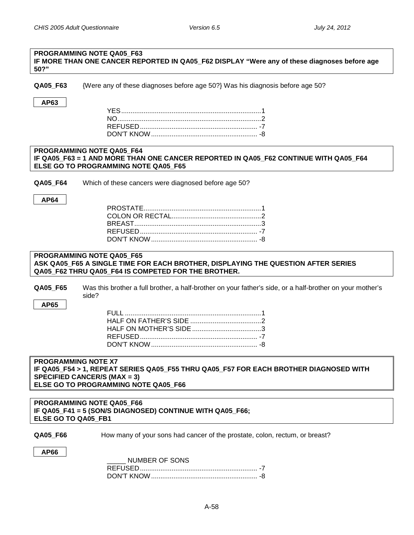| 50?"                       | PROGRAMMING NOTE QA05_F63<br>IF MORE THAN ONE CANCER REPORTED IN QA05_F62 DISPLAY "Were any of these diagnoses before age                                     |
|----------------------------|---------------------------------------------------------------------------------------------------------------------------------------------------------------|
| QA05_F63                   | {Were any of these diagnoses before age 50?} Was his diagnosis before age 50?                                                                                 |
| AP63                       |                                                                                                                                                               |
|                            |                                                                                                                                                               |
|                            |                                                                                                                                                               |
|                            |                                                                                                                                                               |
|                            |                                                                                                                                                               |
|                            | PROGRAMMING NOTE QA05_F64<br>IF QA05_F63 = 1 AND MORE THAN ONE CANCER REPORTED IN QA05_F62 CONTINUE WITH QA05_F64<br>ELSE GO TO PROGRAMMING NOTE QA05_F65     |
| QA05_F64                   | Which of these cancers were diagnosed before age 50?                                                                                                          |
| <b>AP64</b>                |                                                                                                                                                               |
|                            |                                                                                                                                                               |
|                            |                                                                                                                                                               |
|                            |                                                                                                                                                               |
|                            |                                                                                                                                                               |
|                            |                                                                                                                                                               |
|                            | PROGRAMMING NOTE QA05_F65                                                                                                                                     |
|                            | ASK QA05_F65 A SINGLE TIME FOR EACH BROTHER, DISPLAYING THE QUESTION AFTER SERIES<br>QA05_F62 THRU QA05_F64 IS COMPETED FOR THE BROTHER.                      |
| QA05_F65                   | Was this brother a full brother, a half-brother on your father's side, or a half-brother on your mother's<br>side?                                            |
| AP65                       |                                                                                                                                                               |
|                            |                                                                                                                                                               |
|                            |                                                                                                                                                               |
|                            |                                                                                                                                                               |
|                            |                                                                                                                                                               |
| <b>PROGRAMMING NOTE X7</b> | IF QA05_F54 > 1, REPEAT SERIES QA05_F55 THRU QA05_F57 FOR EACH BROTHER DIAGNOSED WITH<br>SPECIFIED CANCER/S (MAX = 3)<br>ELSE GO TO PROGRAMMING NOTE QA05 F66 |
| ELSE GO TO QA05_FB1        | PROGRAMMING NOTE QA05_F66<br>IF QA05_F41 = 5 (SON/S DIAGNOSED) CONTINUE WITH QA05_F66;                                                                        |
| QA05_F66                   | How many of your sons had cancer of the prostate, colon, rectum, or breast?                                                                                   |
|                            |                                                                                                                                                               |
| AP66                       |                                                                                                                                                               |
|                            | NUMBER OF SONS                                                                                                                                                |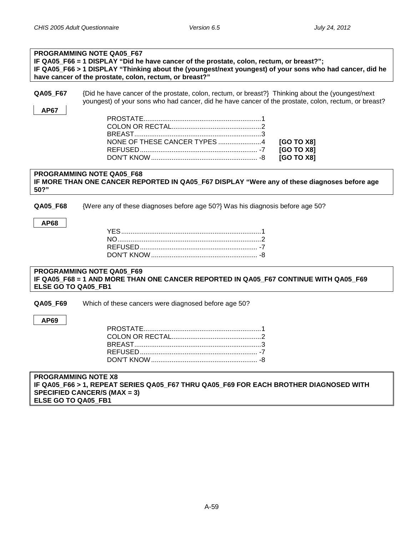## **PROGRAMMING NOTE QA05\_F67 IF QA05\_F66 = 1 DISPLAY "Did he have cancer of the prostate, colon, rectum, or breast?";** IF QA05 F66 > 1 DISPLAY "Thinking about the (youngest/next youngest) of your sons who had cancer, did he **have cancer of the prostate, colon, rectum, or breast?" QA05 F67** {Did he have cancer of the prostate, colon, rectum, or breast?} Thinking about the (youngest/next youngest) of your sons who had cancer, did he have cancer of the prostate, colon, rectum, or breast? **AP67** PROSTATE...............................................................1 COLON OR RECTAL................................................2 BREAST....................................................................3 NONE OF THESE CANCER TYPES .......................4 **[GO TO X8]** REFUSED............................................................... -7 **[GO TO X8]** DON'T KNOW......................................................... -8 **[GO TO X8] PROGRAMMING NOTE QA05\_F68 IF MORE THAN ONE CANCER REPORTED IN QA05\_F67 DISPLAY "Were any of these diagnoses before age 50?" QA05\_F68** {Were any of these diagnoses before age 50?} Was his diagnosis before age 50? **AP68** YES...........................................................................1 NO.............................................................................2 REFUSED............................................................... -7 DON'T KNOW......................................................... -8 **PROGRAMMING NOTE QA05\_F69 IF QA05\_F68 = 1 AND MORE THAN ONE CANCER REPORTED IN QA05\_F67 CONTINUE WITH QA05\_F69 ELSE GO TO QA05\_FB1 QA05\_F69** Which of these cancers were diagnosed before age 50? **AP69** PROSTATE...............................................................1 COLON OR RECTAL................................................2

#### **PROGRAMMING NOTE X8** IF QA05 F66 > 1, REPEAT SERIES QA05 F67 THRU QA05 F69 FOR EACH BROTHER DIAGNOSED WITH **SPECIFIED CANCER/S (MAX = 3) ELSE GO TO QA05\_FB1**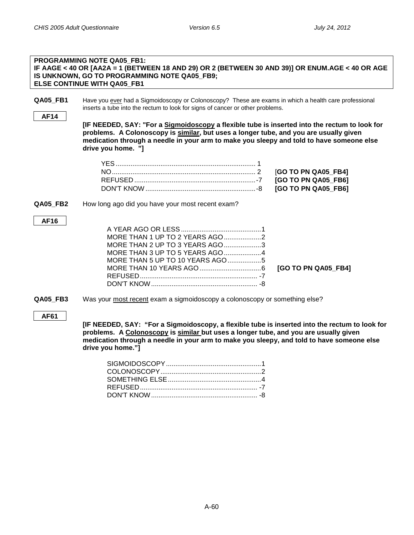| <b>PROGRAMMING NOTE QA05 FB1:</b><br>IF AAGE < 40 OR [AA2A = 1 (BETWEEN 18 AND 29) OR 2 (BETWEEN 30 AND 39)] OR ENUM.AGE < 40 OR AGE<br>IS UNKNOWN, GO TO PROGRAMMING NOTE QA05_FB9;<br>ELSE CONTINUE WITH QA05_FB1 |                                                                                                                                                                                                                                                                                                                                                                                                                                                                                                                                                                                                                                                                                                                                                                                                                                                                                                                                             |
|---------------------------------------------------------------------------------------------------------------------------------------------------------------------------------------------------------------------|---------------------------------------------------------------------------------------------------------------------------------------------------------------------------------------------------------------------------------------------------------------------------------------------------------------------------------------------------------------------------------------------------------------------------------------------------------------------------------------------------------------------------------------------------------------------------------------------------------------------------------------------------------------------------------------------------------------------------------------------------------------------------------------------------------------------------------------------------------------------------------------------------------------------------------------------|
|                                                                                                                                                                                                                     |                                                                                                                                                                                                                                                                                                                                                                                                                                                                                                                                                                                                                                                                                                                                                                                                                                                                                                                                             |
| drive you home. "]                                                                                                                                                                                                  |                                                                                                                                                                                                                                                                                                                                                                                                                                                                                                                                                                                                                                                                                                                                                                                                                                                                                                                                             |
|                                                                                                                                                                                                                     |                                                                                                                                                                                                                                                                                                                                                                                                                                                                                                                                                                                                                                                                                                                                                                                                                                                                                                                                             |
|                                                                                                                                                                                                                     | [GO TO PN QA05_FB4]                                                                                                                                                                                                                                                                                                                                                                                                                                                                                                                                                                                                                                                                                                                                                                                                                                                                                                                         |
|                                                                                                                                                                                                                     | [GO TO PN QA05_FB6]                                                                                                                                                                                                                                                                                                                                                                                                                                                                                                                                                                                                                                                                                                                                                                                                                                                                                                                         |
|                                                                                                                                                                                                                     | [GO TO PN QA05_FB6]                                                                                                                                                                                                                                                                                                                                                                                                                                                                                                                                                                                                                                                                                                                                                                                                                                                                                                                         |
| How long ago did you have your most recent exam?                                                                                                                                                                    |                                                                                                                                                                                                                                                                                                                                                                                                                                                                                                                                                                                                                                                                                                                                                                                                                                                                                                                                             |
|                                                                                                                                                                                                                     |                                                                                                                                                                                                                                                                                                                                                                                                                                                                                                                                                                                                                                                                                                                                                                                                                                                                                                                                             |
|                                                                                                                                                                                                                     |                                                                                                                                                                                                                                                                                                                                                                                                                                                                                                                                                                                                                                                                                                                                                                                                                                                                                                                                             |
| MORE THAN 1 UP TO 2 YEARS AGO2                                                                                                                                                                                      |                                                                                                                                                                                                                                                                                                                                                                                                                                                                                                                                                                                                                                                                                                                                                                                                                                                                                                                                             |
| MORE THAN 2 UP TO 3 YEARS AGO3                                                                                                                                                                                      |                                                                                                                                                                                                                                                                                                                                                                                                                                                                                                                                                                                                                                                                                                                                                                                                                                                                                                                                             |
|                                                                                                                                                                                                                     |                                                                                                                                                                                                                                                                                                                                                                                                                                                                                                                                                                                                                                                                                                                                                                                                                                                                                                                                             |
|                                                                                                                                                                                                                     |                                                                                                                                                                                                                                                                                                                                                                                                                                                                                                                                                                                                                                                                                                                                                                                                                                                                                                                                             |
|                                                                                                                                                                                                                     | [GO TO PN QA05_FB4]                                                                                                                                                                                                                                                                                                                                                                                                                                                                                                                                                                                                                                                                                                                                                                                                                                                                                                                         |
|                                                                                                                                                                                                                     |                                                                                                                                                                                                                                                                                                                                                                                                                                                                                                                                                                                                                                                                                                                                                                                                                                                                                                                                             |
|                                                                                                                                                                                                                     |                                                                                                                                                                                                                                                                                                                                                                                                                                                                                                                                                                                                                                                                                                                                                                                                                                                                                                                                             |
|                                                                                                                                                                                                                     |                                                                                                                                                                                                                                                                                                                                                                                                                                                                                                                                                                                                                                                                                                                                                                                                                                                                                                                                             |
|                                                                                                                                                                                                                     |                                                                                                                                                                                                                                                                                                                                                                                                                                                                                                                                                                                                                                                                                                                                                                                                                                                                                                                                             |
|                                                                                                                                                                                                                     |                                                                                                                                                                                                                                                                                                                                                                                                                                                                                                                                                                                                                                                                                                                                                                                                                                                                                                                                             |
|                                                                                                                                                                                                                     |                                                                                                                                                                                                                                                                                                                                                                                                                                                                                                                                                                                                                                                                                                                                                                                                                                                                                                                                             |
|                                                                                                                                                                                                                     | Have you ever had a Sigmoidoscopy or Colonoscopy? These are exams in which a health care professional<br>inserts a tube into the rectum to look for signs of cancer or other problems.<br>[IF NEEDED, SAY: "For a Sigmoidoscopy a flexible tube is inserted into the rectum to look for<br>problems. A Colonoscopy is similar, but uses a longer tube, and you are usually given<br>medication through a needle in your arm to make you sleepy and told to have someone else<br>MORE THAN 3 UP TO 5 YEARS AGO4<br>MORE THAN 5 UP TO 10 YEARS AGO5<br>Was your most recent exam a sigmoidoscopy a colonoscopy or something else?<br>[IF NEEDED, SAY: "For a Sigmoidoscopy, a flexible tube is inserted into the rectum to look for<br>problems. A Colonoscopy is similar but uses a longer tube, and you are usually given<br>medication through a needle in your arm to make you sleepy, and told to have someone else<br>drive you home."] |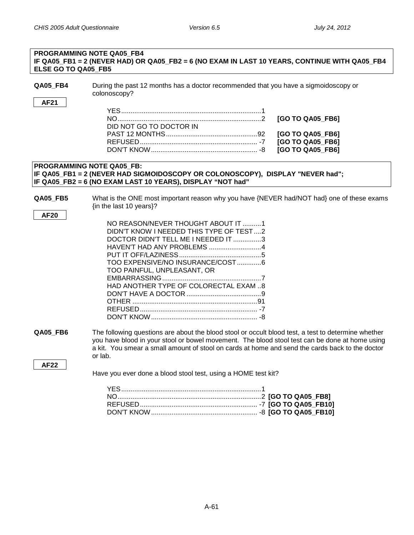## **PROGRAMMING NOTE QA05\_FB4 IF QA05\_FB1 = 2 (NEVER HAD) OR QA05\_FB2 = 6 (NO EXAM IN LAST 10 YEARS, CONTINUE WITH QA05\_FB4 ELSE GO TO QA05\_FB5 QA05\_FB4** During the past 12 months has a doctor recommended that you have a sigmoidoscopy or colonoscopy? **AF21** YES...........................................................................1 NO.............................................................................2 **[GO TO QA05\_FB6]** DID NOT GO TO DOCTOR IN PAST 12 MONTHS.................................................92 **[GO TO QA05\_FB6]** REFUSED............................................................... -7 **[GO TO QA05\_FB6]** DON'T KNOW......................................................... -8 **[GO TO QA05\_FB6] PROGRAMMING NOTE QA05\_FB: IF QA05\_FB1 = 2 (NEVER HAD SIGMOIDOSCOPY OR COLONOSCOPY), DISPLAY "NEVER had"; IF QA05\_FB2 = 6 (NO EXAM LAST 10 YEARS), DISPLAY "NOT had" QA05 FB5** What is the ONE most important reason why you have {NEVER had/NOT had} one of these exams {in the last 10 years}? **AF20** NO REASON/NEVER THOUGHT ABOUT IT ..........1 DIDN'T KNOW I NEEDED THIS TYPE OF TEST....2 DOCTOR DIDN'T TELL ME I NEEDED IT ...............3 HAVEN'T HAD ANY PROBLEMS ............................4 PUT IT OFF/LAZINESS............................................5 TOO EXPENSIVE/NO INSURANCE/COST.............6 TOO PAINFUL, UNPLEASANT, OR EMBARRASSING.....................................................7 HAD ANOTHER TYPE OF COLORECTAL EXAM ..8 DON'T HAVE A DOCTOR ........................................9 OTHER ...................................................................91 REFUSED............................................................... -7 DON'T KNOW......................................................... -8 **QA05 FB6** The following questions are about the blood stool or occult blood test, a test to determine whether you have blood in your stool or bowel movement. The blood stool test can be done at home using a kit. You smear a small amount of stool on cards at home and send the cards back to the doctor

**AF22**

or lab.

Have you ever done a blood stool test, using a HOME test kit?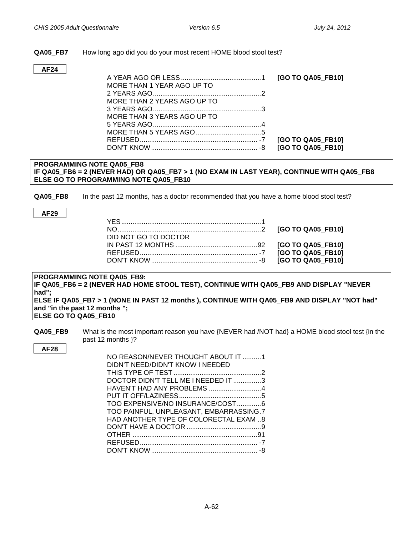#### **QA05\_FB7** How long ago did you do your most recent HOME blood stool test?

#### **AF24**

| MORE THAN 1 YEAR AGO UP TO  |                   |
|-----------------------------|-------------------|
|                             |                   |
| MORE THAN 2 YEARS AGO UP TO |                   |
|                             |                   |
| MORE THAN 3 YEARS AGO UP TO |                   |
|                             |                   |
|                             |                   |
|                             | [GO TO QA05_FB10] |
|                             | [GO TO QA05 FB10] |

#### **PROGRAMMING NOTE QA05\_FB8 IF QA05\_FB6 = 2 (NEVER HAD) OR QA05\_FB7 > 1 (NO EXAM IN LAST YEAR), CONTINUE WITH QA05\_FB8 ELSE GO TO PROGRAMMING NOTE QA05\_FB10**

**QA05\_FB8** In the past 12 months, has a doctor recommended that you have a home blood stool test?

**AF29**

| DID NOT GO TO DOCTOR |  |
|----------------------|--|
|                      |  |
|                      |  |
|                      |  |

#### **PROGRAMMING NOTE QA05\_FB9: IF QA05\_FB6 = 2 (NEVER HAD HOME STOOL TEST), CONTINUE WITH QA05\_FB9 AND DISPLAY "NEVER had"; ELSE IF QA05\_FB7 > 1 (NONE IN PAST 12 months ), CONTINUE WITH QA05\_FB9 AND DISPLAY "NOT had" and "in the past 12 months "; ELSE GO TO QA05\_FB10**

**QA05\_FB9** What is the most important reason you have {NEVER had /NOT had} a HOME blood stool test {in the past 12 months }?

| NO REASON/NEVER THOUGHT ABOUT IT 1      |
|-----------------------------------------|
| DIDN'T NEED/DIDN'T KNOW I NEEDED        |
|                                         |
| DOCTOR DIDN'T TELL ME I NEEDED IT 3     |
|                                         |
|                                         |
| TOO EXPENSIVE/NO INSURANCE/COST6        |
| TOO PAINFUL, UNPLEASANT, EMBARRASSING.7 |
| HAD ANOTHER TYPE OF COLORECTAL EXAM  8  |
|                                         |
|                                         |
|                                         |
|                                         |
|                                         |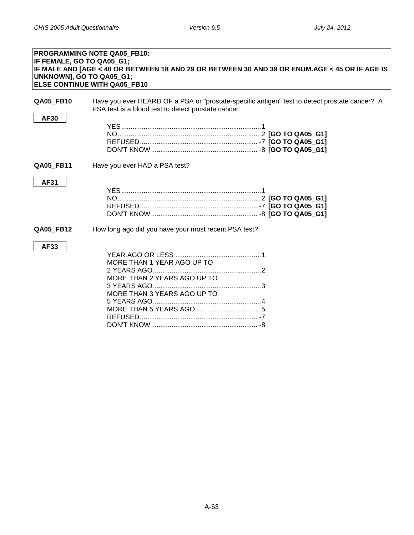#### **PROGRAMMING NOTE QA05\_FB10: IF FEMALE, GO TO QA05\_G1; IF MALE AND [AGE < 40 OR BETWEEN 18 AND 29 OR BETWEEN 30 AND 39 OR ENUM.AGE < 45 OR IF AGE IS UNKNOWN], GO TO QA05\_G1; ELSE CONTINUE WITH QA05\_FB10**

| <b>QA05 FB10</b> | Have you ever HEARD OF a PSA or "prostate-specific antigen" test to detect prostate cancer? A |
|------------------|-----------------------------------------------------------------------------------------------|
|                  | PSA test is a blood test to detect prostate cancer.                                           |

#### **QA05\_FB11** Have you ever HAD a PSA test?

#### **AF31**

**AF30**

#### **QA05\_FB12** How long ago did you have your most recent PSA test?

#### **AF33**

| MORE THAN 1 YEAR AGO UP TO  |
|-----------------------------|
|                             |
| MORE THAN 2 YEARS AGO UP TO |
|                             |
| MORE THAN 3 YEARS AGO UP TO |
|                             |
|                             |
|                             |
|                             |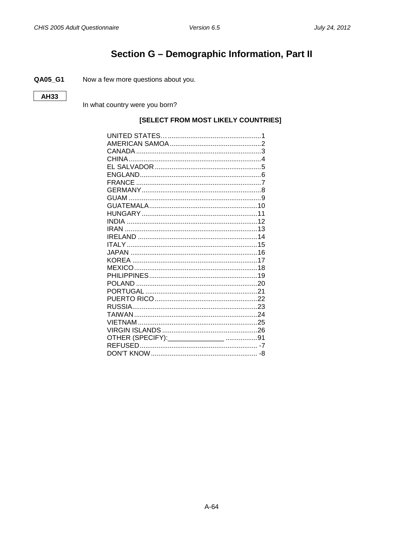# Section G - Demographic Information, Part II

Now a few more questions about you. QA05\_G1

## $AH33$

In what country were you born?

#### [SELECT FROM MOST LIKELY COUNTRIES]

| OTHER (SPECIFY):_________________ 91 |  |
|--------------------------------------|--|
|                                      |  |
|                                      |  |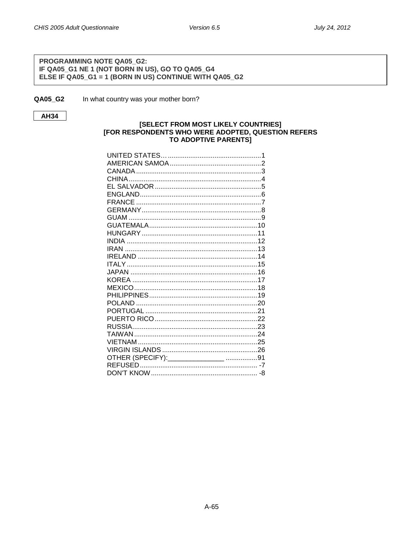#### PROGRAMMING NOTE QA05\_G2: IF QA05\_G1 NE 1 (NOT BORN IN US), GO TO QA05\_G4 ELSE IF QA05\_G1 = 1 (BORN IN US) CONTINUE WITH QA05\_G2

QA05\_G2

In what country was your mother born?

**AH34** 

#### [SELECT FROM MOST LIKELY COUNTRIES] [FOR RESPONDENTS WHO WERE ADOPTED, QUESTION REFERS TO ADOPTIVE PARENTS]

| OTHER (SPECIFY):_________________ 91 |  |
|--------------------------------------|--|
|                                      |  |
|                                      |  |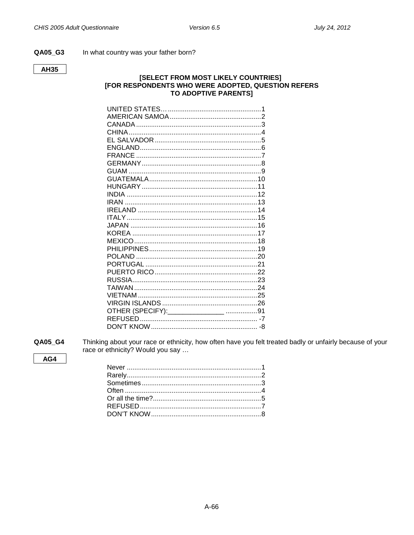#### QA05\_G3 In what country was your father born?

#### AH<sub>35</sub>  $\vert$

#### [SELECT FROM MOST LIKELY COUNTRIES] [FOR RESPONDENTS WHO WERE ADOPTED, QUESTION REFERS TO ADOPTIVE PARENTS]

| OTHER (SPECIFY):_________________ 91 |  |
|--------------------------------------|--|
|                                      |  |
|                                      |  |

Thinking about your race or ethnicity, how often have you felt treated badly or unfairly because of your QA05\_G4 race or ethnicity? Would you say ...

AG4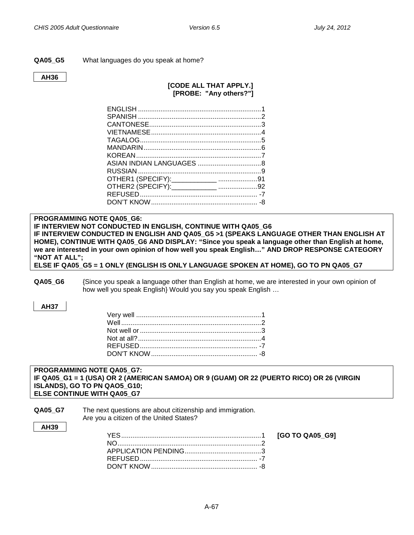#### **QA05\_G5** What languages do you speak at home?

#### **AH36**

#### **[CODE ALL THAT APPLY.] [PROBE: "Any others?"]**

| OTHER1 (SPECIFY):_____________ 91 |  |
|-----------------------------------|--|
|                                   |  |
|                                   |  |
|                                   |  |
|                                   |  |

**PROGRAMMING NOTE QA05\_G6: IF INTERVIEW NOT CONDUCTED IN ENGLISH, CONTINUE WITH QA05\_G6 IF INTERVIEW CONDUCTED IN ENGLISH AND QA05\_G5 >1 (SPEAKS LANGUAGE OTHER THAN ENGLISH AT HOME), CONTINUE WITH QA05\_G6 AND DISPLAY: "Since you speak a language other than English at home, we are interested in your own opinion of how well you speak English…" AND DROP RESPONSE CATEGORY "NOT AT ALL"; ELSE IF QA05\_G5 = 1 ONLY (ENGLISH IS ONLY LANGUAGE SPOKEN AT HOME), GO TO PN QA05\_G7**

**QA05\_G6** {Since you speak a language other than English at home, we are interested in your own opinion of how well you speak English} Would you say you speak English …

#### **AH37**

#### **PROGRAMMING NOTE QA05\_G7: IF QA05\_G1 = 1 (USA) OR 2 (AMERICAN SAMOA) OR 9 (GUAM) OR 22 (PUERTO RICO) OR 26 (VIRGIN ISLANDS), GO TO PN QAO5\_G10; ELSE CONTINUE WITH QA05\_G7**

| QA05 G7 | The next questions are about citizenship and immigration. |
|---------|-----------------------------------------------------------|
|         | Are you a citizen of the United States?                   |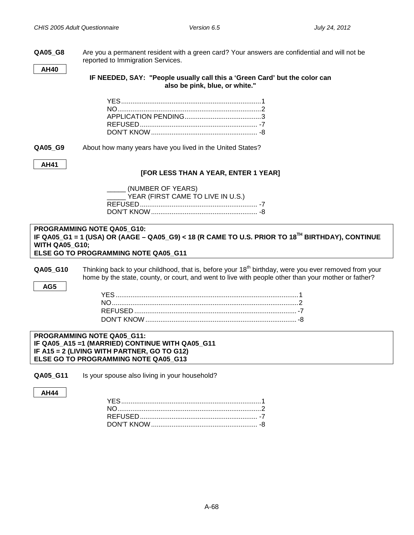**QA05\_G8** Are you a permanent resident with a green card? Your answers are confidential and will not be reported to Immigration Services.

**AH40**

**IF NEEDED, SAY: "People usually call this a 'Green Card' but the color can also be pink, blue, or white."**

**QA05 G9** About how many years have you lived in the United States?

**AH41**

#### **[FOR LESS THAN A YEAR, ENTER 1 YEAR]**

| (NUMBER OF YEARS)                       |  |
|-----------------------------------------|--|
| _____ YEAR (FIRST CAME TO LIVE IN U.S.) |  |
|                                         |  |
|                                         |  |

#### **PROGRAMMING NOTE QA05\_G10: IF QA05\_G1 = 1 (USA) OR (AAGE – QA05\_G9) < 18 (R CAME TO U.S. PRIOR TO 18TH BIRTHDAY), CONTINUE WITH QA05\_G10; ELSE GO TO PROGRAMMING NOTE QA05\_G11**

QA05\_G10 Thinking back to your childhood, that is, before your 18<sup>th</sup> birthday, were you ever removed from your home by the state, county, or court, and went to live with people other than your mother or father?

**AG5**

**PROGRAMMING NOTE QA05\_G11: IF QA05\_A15 =1 (MARRIED) CONTINUE WITH QA05\_G11 IF A15 = 2 (LIVING WITH PARTNER, GO TO G12) ELSE GO TO PROGRAMMING NOTE QA05\_G13**

**QA05\_G11** Is your spouse also living in your household?

**AH44**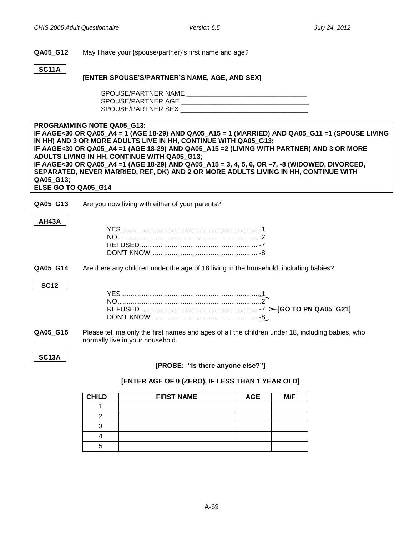## **QA05\_G12** May I have your {spouse/partner}'s first name and age?

## **SC11A**

## **[ENTER SPOUSE'S/PARTNER'S NAME, AGE, AND SEX]**

| SPOUSE/PARTNER NAME |  |
|---------------------|--|
| SPOUSE/PARTNER AGE  |  |
| SPOUSE/PARTNER SEX  |  |

#### **PROGRAMMING NOTE QA05\_G13:**

**IF AAGE<30 OR QA05\_A4 = 1 (AGE 18-29) AND QA05\_A15 = 1 (MARRIED) AND QA05\_G11 =1 (SPOUSE LIVING IN HH) AND 3 OR MORE ADULTS LIVE IN HH, CONTINUE WITH QA05\_G13; IF AAGE<30 OR QA05\_A4 =1 (AGE 18-29) AND QA05\_A15 =2 (LIVING WITH PARTNER) AND 3 OR MORE ADULTS LIVING IN HH, CONTINUE WITH QA05\_G13; IF AAGE<30 OR QA05\_A4 =1 (AGE 18-29) AND QA05\_A15 = 3, 4, 5, 6, OR –7, -8 (WIDOWED, DIVORCED, SEPARATED, NEVER MARRIED, REF, DK) AND 2 OR MORE ADULTS LIVING IN HH, CONTINUE WITH QA05\_G13; ELSE GO TO QA05\_G14**

**QA05\_G13** Are you now living with either of your parents?

#### **QA05\_G14** Are there any children under the age of 18 living in the household, including babies?

**SC12**

**AH43A**

| NO. |  |
|-----|--|
|     |  |
|     |  |

**QA05\_G15** Please tell me only the first names and ages of all the children under 18, including babies, who normally live in your household.

#### **SC13A**

#### **[PROBE: "Is there anyone else?"]**

#### **[ENTER AGE OF 0 (ZERO), IF LESS THAN 1 YEAR OLD]**

| <b>CHILD</b> | <b>FIRST NAME</b> | <b>AGE</b> | M/F |
|--------------|-------------------|------------|-----|
|              |                   |            |     |
|              |                   |            |     |
|              |                   |            |     |
|              |                   |            |     |
|              |                   |            |     |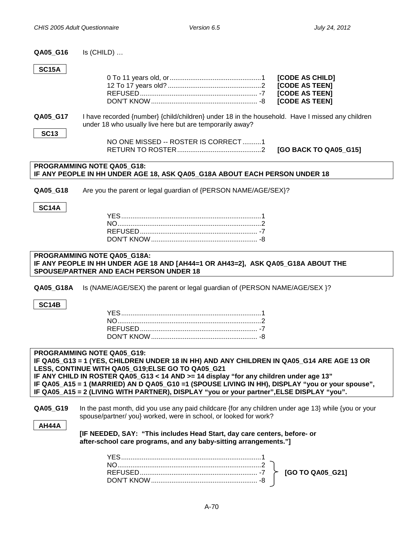| QA05_G16     | Is (CHILD)                                                                                                                                                                                |
|--------------|-------------------------------------------------------------------------------------------------------------------------------------------------------------------------------------------|
| <b>SC15A</b> |                                                                                                                                                                                           |
|              | [CODE AS CHILD]                                                                                                                                                                           |
|              | [CODE AS TEEN]                                                                                                                                                                            |
|              | <b>[CODE AS TEEN]</b><br>[CODE AS TEEN]                                                                                                                                                   |
|              |                                                                                                                                                                                           |
| QA05_G17     | I have recorded {number} {child/children} under 18 in the household. Have I missed any children<br>under 18 who usually live here but are temporarily away?                               |
| <b>SC13</b>  |                                                                                                                                                                                           |
|              | NO ONE MISSED -- ROSTER IS CORRECT 1                                                                                                                                                      |
|              | [GO BACK TO QA05_G15]                                                                                                                                                                     |
|              | PROGRAMMING NOTE QA05_G18:<br>IF ANY PEOPLE IN HH UNDER AGE 18, ASK QA05_G18A ABOUT EACH PERSON UNDER 18                                                                                  |
|              |                                                                                                                                                                                           |
| QA05_G18     | Are you the parent or legal guardian of {PERSON NAME/AGE/SEX}?                                                                                                                            |
| <b>SC14A</b> |                                                                                                                                                                                           |
|              |                                                                                                                                                                                           |
|              |                                                                                                                                                                                           |
|              |                                                                                                                                                                                           |
|              |                                                                                                                                                                                           |
|              | PROGRAMMING NOTE QA05_G18A:<br>IF ANY PEOPLE IN HH UNDER AGE 18 AND [AH44=1 OR AH43=2], ASK QA05_G18A ABOUT THE                                                                           |
|              | <b>SPOUSE/PARTNER AND EACH PERSON UNDER 18</b>                                                                                                                                            |
|              |                                                                                                                                                                                           |
| QA05_G18A    | Is (NAME/AGE/SEX) the parent or legal guardian of (PERSON NAME/AGE/SEX)?                                                                                                                  |
| <b>SC14B</b> |                                                                                                                                                                                           |
|              |                                                                                                                                                                                           |
|              |                                                                                                                                                                                           |
|              |                                                                                                                                                                                           |
|              |                                                                                                                                                                                           |
|              | PROGRAMMING NOTE QA05_G19:<br>IF QA05_G13 = 1 (YES, CHILDREN UNDER 18 IN HH) AND ANY CHILDREN IN QA05_G14 ARE AGE 13 OR                                                                   |
|              | LESS, CONTINUE WITH QA05_G19;ELSE GO TO QA05_G21                                                                                                                                          |
|              | IF ANY CHILD IN ROSTER QA05_G13 < 14 AND >= 14 display "for any children under age 13"<br>IF QA05_A15 = 1 (MARRIED) AN D QA05_G10 =1 (SPOUSE LIVING IN HH), DISPLAY "you or your spouse", |
|              | IF QA05_A15 = 2 (LIVING WITH PARTNER), DISPLAY "you or your partner", ELSE DISPLAY "you".                                                                                                 |
|              |                                                                                                                                                                                           |
| QA05 G19     | In the past month, did you use any paid childcare {for any children under age 13} while {you or your<br>spouse/partner/ you} worked, were in school, or looked for work?                  |
| AH44A        |                                                                                                                                                                                           |
|              | [IF NEEDED, SAY: "This includes Head Start, day care centers, before- or                                                                                                                  |
|              | after-school care programs, and any baby-sitting arrangements."]                                                                                                                          |
|              |                                                                                                                                                                                           |
|              |                                                                                                                                                                                           |
|              |                                                                                                                                                                                           |
|              | [GO TO QA05_G21]                                                                                                                                                                          |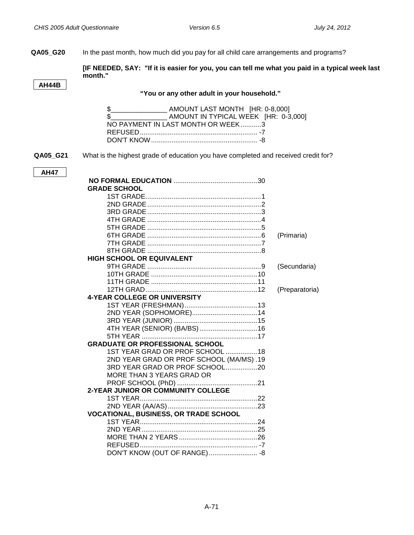## **QA05\_G20** In the past month, how much did you pay for all child care arrangements and programs?

## **[IF NEEDED, SAY: "If it is easier for you, you can tell me what you paid in a typical week last month."**

| AH44B       |                                                                                                                      |                |
|-------------|----------------------------------------------------------------------------------------------------------------------|----------------|
|             | "You or any other adult in your household."                                                                          |                |
|             | \$<br>______ AMOUNT IN TYPICAL WEEK [HR: 0-3,000]<br>NO PAYMENT IN LAST MONTH OR WEEK3                               |                |
| QA05 G21    | What is the highest grade of education you have completed and received credit for?                                   |                |
| <b>AH47</b> | <b>GRADE SCHOOL</b>                                                                                                  |                |
|             |                                                                                                                      |                |
|             |                                                                                                                      | (Primaria)     |
|             | <b>HIGH SCHOOL OR EQUIVALENT</b>                                                                                     | (Secundaria)   |
|             | <b>4-YEAR COLLEGE OR UNIVERSITY</b>                                                                                  | (Preparatoria) |
|             | 4TH YEAR (SENIOR) (BA/BS)  16                                                                                        |                |
|             | <b>GRADUATE OR PROFESSIONAL SCHOOL</b><br>1ST YEAR GRAD OR PROF SCHOOL 18<br>2ND YEAR GRAD OR PROF SCHOOL (MA/MS).19 |                |
|             | 3RD YEAR GRAD OR PROF SCHOOL20<br>MORE THAN 3 YEARS GRAD OR<br>2-YEAR JUNIOR OR COMMUNITY COLLEGE                    |                |
|             | <b>VOCATIONAL, BUSINESS, OR TRADE SCHOOL</b>                                                                         |                |
|             |                                                                                                                      |                |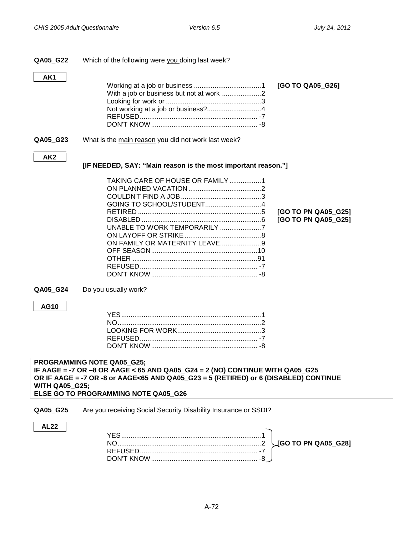| QA05_G22              | Which of the following were you doing last week?                                                                                                                                                                                           |                                            |
|-----------------------|--------------------------------------------------------------------------------------------------------------------------------------------------------------------------------------------------------------------------------------------|--------------------------------------------|
| AK1                   |                                                                                                                                                                                                                                            |                                            |
|                       |                                                                                                                                                                                                                                            | [GO TO QA05_G26]                           |
| QA05_G23              | What is the main reason you did not work last week?                                                                                                                                                                                        |                                            |
|                       |                                                                                                                                                                                                                                            |                                            |
| AK <sub>2</sub>       | [IF NEEDED, SAY: "Main reason is the most important reason."]                                                                                                                                                                              |                                            |
|                       | TAKING CARE OF HOUSE OR FAMILY 1<br>UNABLE TO WORK TEMPORARILY 7                                                                                                                                                                           | [GO TO PN QA05_G25]<br>[GO TO PN QA05_G25] |
| QA05_G24              | Do you usually work?                                                                                                                                                                                                                       |                                            |
| <b>AG10</b>           |                                                                                                                                                                                                                                            |                                            |
|                       |                                                                                                                                                                                                                                            |                                            |
| <b>WITH QA05_G25;</b> | PROGRAMMING NOTE QA05_G25;<br>IF AAGE = -7 OR -8 OR AAGE < 65 AND QA05_G24 = 2 (NO) CONTINUE WITH QA05_G25<br>OR IF AAGE = -7 OR -8 or AAGE<65 AND QA05 G23 = 5 (RETIRED) or 6 (DISABLED) CONTINUE<br>ELSE GO TO PROGRAMMING NOTE QA05_G26 |                                            |
| QA05 G25              | Are you receiving Social Security Disability Insurance or SSDI?                                                                                                                                                                            |                                            |
| <b>AL22</b>           |                                                                                                                                                                                                                                            |                                            |
|                       |                                                                                                                                                                                                                                            | <b>LGO TO PN QA05_G28]</b>                 |

REFUSED............................................................... -7 DON'T KNOW......................................................... -8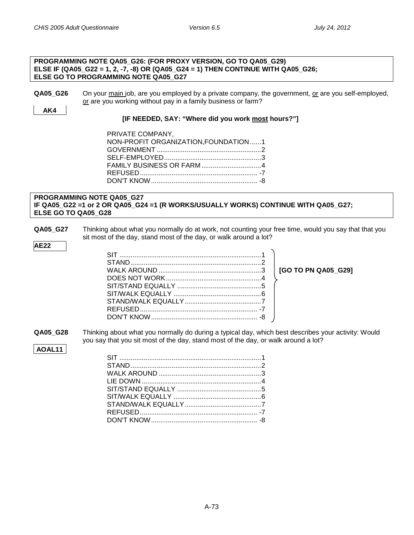#### **PROGRAMMING NOTE QA05\_G26: (FOR PROXY VERSION, GO TO QA05\_G29) ELSE IF (QA05\_G22 = 1, 2, -7, -8) OR (QA05\_G24 = 1) THEN CONTINUE WITH QA05\_G26; ELSE GO TO PROGRAMMING NOTE QA05\_G27**

**QA05 G26** On your main job, are you employed by a private company, the government, or are you self-employed, or are you working without pay in a family business or farm?

**AK4**

#### **[IF NEEDED, SAY: "Where did you work most hours?"]**

| PRIVATE COMPANY,                      |  |
|---------------------------------------|--|
| NON-PROFIT ORGANIZATION, FOUNDATION 1 |  |
|                                       |  |
|                                       |  |
|                                       |  |
|                                       |  |
|                                       |  |
|                                       |  |

#### **PROGRAMMING NOTE QA05\_G27 IF QA05\_G22 =1 or 2 OR QA05\_G24 =1 (R WORKS/USUALLY WORKS) CONTINUE WITH QA05\_G27; ELSE GO TO QA05\_G28**

**QA05\_G27** Thinking about what you normally do at work, not counting your free time, would you say that that you sit most of the day, stand most of the day, or walk around a lot?

 $\boxed{\text{GO TO PN QA05\_G29}}$ 

**QA05\_G28** Thinking about what you normally do during a typical day, which best describes your activity: Would you say that you sit most of the day, stand most of the day, or walk around a lot?

**AOAL11**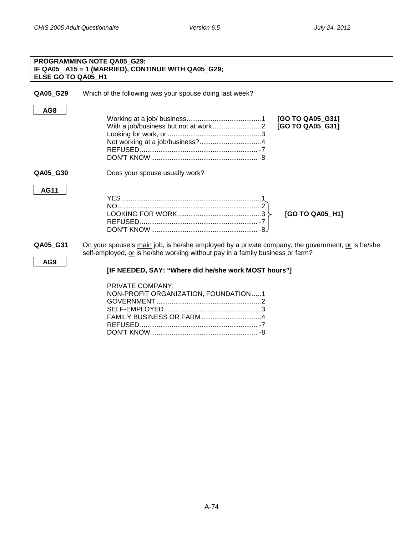#### **PROGRAMMING NOTE QA05\_G29: IF QA05\_ A15 = 1 (MARRIED), CONTINUE WITH QA05\_G29; ELSE GO TO QA05\_H1**

| QA05_G29        | Which of the following was your spouse doing last week?                                                                                                                           |
|-----------------|-----------------------------------------------------------------------------------------------------------------------------------------------------------------------------------|
| AG8             | [GO TO QA05_G31]<br>With a job/business but not at work2<br>[GO TO QA05_G31]                                                                                                      |
| QA05_G30        | Does your spouse usually work?                                                                                                                                                    |
| <b>AG11</b>     | [GO TO QA05_H1]                                                                                                                                                                   |
| QA05_G31<br>AG9 | On your spouse's main job, is he/she employed by a private company, the government, or is he/she<br>self-employed, or is he/she working without pay in a family business or farm? |
|                 | [IF NEEDED, SAY: "Where did he/she work MOST hours"]                                                                                                                              |
|                 | PRIVATE COMPANY,<br>NON-PROFIT ORGANIZATION, FOUNDATION1                                                                                                                          |

SELF-EMPLOYED....................................................3 FAMILY BUSINESS OR FARM ................................4 REFUSED............................................................... -7 DON'T KNOW......................................................... -8

A-74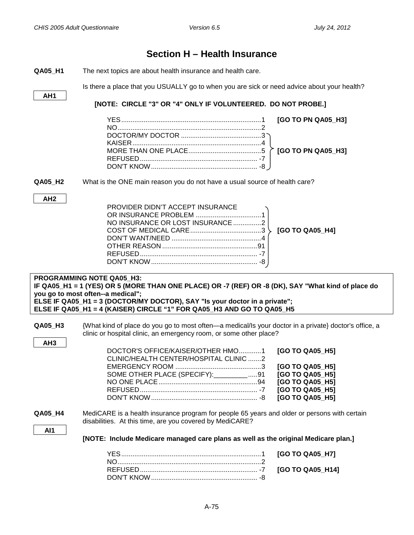# **Section H – Health Insurance**

**QA05 H1** The next topics are about health insurance and health care.

| 9790 LL                    | The next topics are about nearly insurance and nearly bar                                                                                                                                                                                                                                      |  |                                                                                                                |  |  |
|----------------------------|------------------------------------------------------------------------------------------------------------------------------------------------------------------------------------------------------------------------------------------------------------------------------------------------|--|----------------------------------------------------------------------------------------------------------------|--|--|
| AH <sub>1</sub>            | Is there a place that you USUALLY go to when you are sick or need advice about your health?                                                                                                                                                                                                    |  |                                                                                                                |  |  |
|                            | [NOTE: CIRCLE "3" OR "4" ONLY IF VOLUNTEERED. DO NOT PROBE.]                                                                                                                                                                                                                                   |  |                                                                                                                |  |  |
|                            |                                                                                                                                                                                                                                                                                                |  | [GO TO PN QA05_H3]                                                                                             |  |  |
| QA05_H2                    | What is the ONE main reason you do not have a usual source of health care?                                                                                                                                                                                                                     |  |                                                                                                                |  |  |
| AH <sub>2</sub>            | PROVIDER DIDN'T ACCEPT INSURANCE<br>NO INSURANCE OR LOST INSURANCE 2                                                                                                                                                                                                                           |  | [GO TO QA05_H4]                                                                                                |  |  |
|                            | PROGRAMMING NOTE QA05 H3:                                                                                                                                                                                                                                                                      |  |                                                                                                                |  |  |
|                            | IF QA05_H1 = 1 (YES) OR 5 (MORE THAN ONE PLACE) OR -7 (REF) OR -8 (DK), SAY "What kind of place do<br>you go to most often--a medical";<br>ELSE IF QA05_H1 = 3 (DOCTOR/MY DOCTOR), SAY "Is your doctor in a private";<br>ELSE IF QA05_H1 = 4 (KAISER) CIRCLE "1" FOR QA05_H3 AND GO TO QA05_H5 |  |                                                                                                                |  |  |
| QA05_H3<br>AH <sub>3</sub> | {What kind of place do you go to most often—a medical/Is your doctor in a private} doctor's office, a<br>clinic or hospital clinic, an emergency room, or some other place?                                                                                                                    |  |                                                                                                                |  |  |
|                            | DOCTOR'S OFFICE/KAISER/OTHER HMO1<br>CLINIC/HEALTH CENTER/HOSPITAL CLINIC 2<br>SOME OTHER PLACE (SPECIFY): 91                                                                                                                                                                                  |  | [GO TO QA05_H5]<br>[GO TO QA05_H5]<br>[GO TO QA05 H5]<br>[GO TO QA05_H5]<br>[GO TO QA05_H5]<br>[GO TO QA05_H5] |  |  |
| QA05_H4<br>Al1             | MediCARE is a health insurance program for people 65 years and older or persons with certain<br>disabilities. At this time, are you covered by MediCARE?                                                                                                                                       |  |                                                                                                                |  |  |
|                            | [NOTE: Include Medicare managed care plans as well as the original Medicare plan.]                                                                                                                                                                                                             |  |                                                                                                                |  |  |
|                            |                                                                                                                                                                                                                                                                                                |  | [GO TO QA05_H7]                                                                                                |  |  |
|                            |                                                                                                                                                                                                                                                                                                |  | [GO TO QA05_H14]                                                                                               |  |  |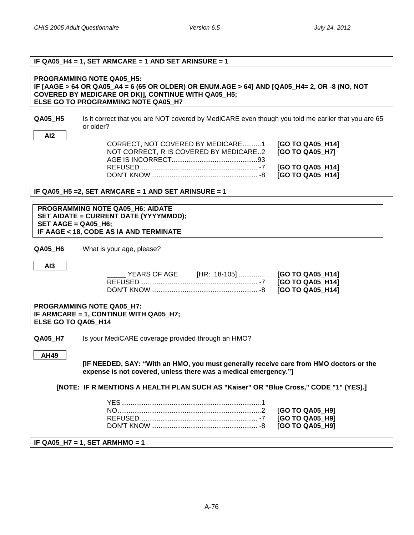#### **IF QA05\_H4 = 1, SET ARMCARE = 1 AND SET ARINSURE = 1**

#### **PROGRAMMING NOTE QA05\_H5: IF [AAGE > 64 OR QA05\_A4 = 6 (65 OR OLDER) OR ENUM.AGE > 64] AND [QA05\_H4= 2, OR -8 (NO, NOT COVERED BY MEDICARE OR DK)], CONTINUE WITH QA05\_H5; ELSE GO TO PROGRAMMING NOTE QA05\_H7**

**QA05\_H5** Is it correct that you are NOT covered by MediCARE even though you told me earlier that you are 65 or older?

**AI2**

| CORRECT, NOT COVERED BY MEDICARE1 [GO TO QA05 H14]<br>NOT CORRECT, R IS COVERED BY MEDICARE2 [GO TO QA05 H7] |  |
|--------------------------------------------------------------------------------------------------------------|--|
|                                                                                                              |  |
|                                                                                                              |  |
|                                                                                                              |  |

#### **IF QA05\_H5 =2, SET ARMCARE = 1 AND SET ARINSURE = 1**

#### **PROGRAMMING NOTE QA05\_H6: AIDATE SET AIDATE = CURRENT DATE (YYYYMMDD); SET AAGE = QA05\_H6; IF AAGE < 18, CODE AS IA AND TERMINATE**

**QA05\_H6** What is your age, please?

**AI3**

| YEARS OF AGE | [HR: 18-105]  [GO TO QA05_H14] |                  |
|--------------|--------------------------------|------------------|
|              |                                | [GO TO QA05_H14] |
|              |                                |                  |

**PROGRAMMING NOTE QA05\_H7: IF ARMCARE = 1, CONTINUE WITH QA05\_H7; ELSE GO TO QA05\_H14**

**QA05\_H7** Is your MediCARE coverage provided through an HMO?

**[IF NEEDED, SAY: "With an HMO, you must generally receive care from HMO doctors or the expense is not covered, unless there was a medical emergency."]**

**[NOTE: IF R MENTIONS A HEALTH PLAN SUCH AS "Kaiser" OR "Blue Cross," CODE "1" (YES).]**

**IF QA05\_H7 = 1, SET ARMHMO = 1** 

**AH49**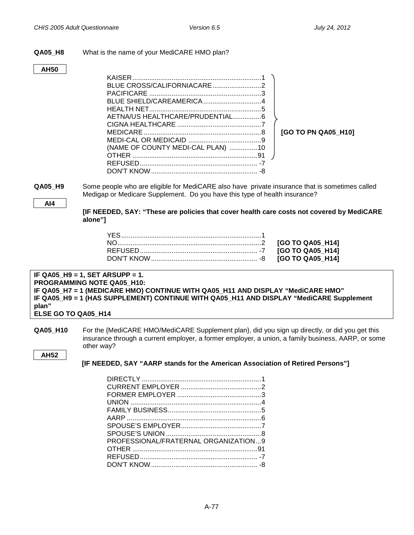### **QA05\_H8** What is the name of your MediCARE HMO plan?

#### **AH50**

| BLUE CROSS/CALIFORNIACARE2<br>AETNA/US HEALTHCARE/PRUDENTIAL6<br>(NAME OF COUNTY MEDI-CAL PLAN) 10 | [GO TO PN QA05 H10] |
|----------------------------------------------------------------------------------------------------|---------------------|
|                                                                                                    |                     |
|                                                                                                    |                     |

**QA05\_H9** Some people who are eligible for MediCARE also have private insurance that is sometimes called Medigap or Medicare Supplement. Do you have this type of health insurance?

```
AI4
```
**[IF NEEDED, SAY: "These are policies that cover health care costs not covered by MediCARE alone"]**

#### **IF QA05\_H9 = 1, SET ARSUPP = 1. PROGRAMMING NOTE QA05\_H10: IF QA05\_H7 = 1 (MEDICARE HMO) CONTINUE WITH QA05\_H11 AND DISPLAY "MediCARE HMO" IF QA05\_H9 = 1 (HAS SUPPLEMENT) CONTINUE WITH QA05\_H11 AND DISPLAY "MediCARE Supplement plan" ELSE GO TO QA05\_H14**

**QA05\_H10** For the {MediCARE HMO/MediCARE Supplement plan}, did you sign up directly, or did you get this insurance through a current employer, a former employer, a union, a family business, AARP, or some other way?

**AH52**

**[IF NEEDED, SAY "AARP stands for the American Association of Retired Persons"]**

| PROFESSIONAL/FRATERNAL ORGANIZATION9 |
|--------------------------------------|
|                                      |
|                                      |
|                                      |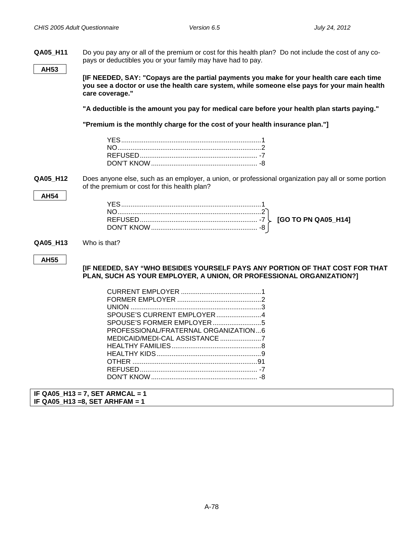**QA05\_H11** Do you pay any or all of the premium or cost for this health plan? Do not include the cost of any copays or deductibles you or your family may have had to pay.

## **AH53**

**[IF NEEDED, SAY: "Copays are the partial payments you make for your health care each time you see a doctor or use the health care system, while someone else pays for your main health care coverage."**

**"A deductible is the amount you pay for medical care before your health plan starts paying."**

**"Premium is the monthly charge for the cost of your health insurance plan."]**

**QA05\_H12** Does anyone else, such as an employer, a union, or professional organization pay all or some portion of the premium or cost for this health plan?

| <b>IGO TO PN QA05 H141</b> |
|----------------------------|
|                            |

#### **QA05\_H13** Who is that?

```
AH55
```
**AH54**

**[IF NEEDED, SAY "WHO BESIDES YOURSELF PAYS ANY PORTION OF THAT COST FOR THAT PLAN, SUCH AS YOUR EMPLOYER, A UNION, OR PROFESSIONAL ORGANIZATION?]**

| SPOUSE'S CURRENT EMPLOYER4           |  |
|--------------------------------------|--|
|                                      |  |
| PROFESSIONAL/FRATERNAL ORGANIZATION6 |  |
| MEDICAID/MEDI-CAL ASSISTANCE 7       |  |
|                                      |  |
|                                      |  |
|                                      |  |
|                                      |  |
|                                      |  |
|                                      |  |

**IF QA05\_H13 = 7, SET ARMCAL = 1 IF QA05\_H13 =8, SET ARHFAM = 1**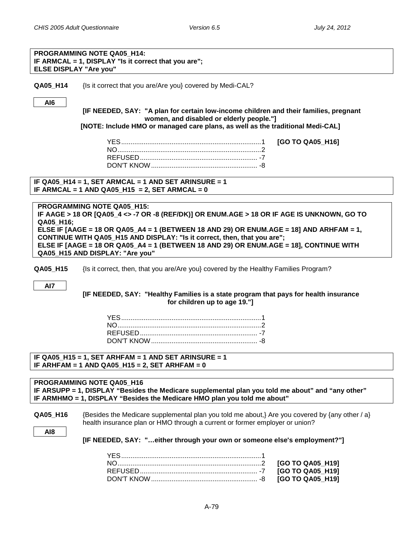#### **PROGRAMMING NOTE QA05\_H14: IF ARMCAL = 1, DISPLAY "Is it correct that you are"; ELSE DISPLAY "Are you"**

**QA05 H14** {Is it correct that you are/Are you} covered by Medi-CAL?

**AI6**

**[IF NEEDED, SAY: "A plan for certain low-income children and their families, pregnant women, and disabled or elderly people."]**

**[NOTE: Include HMO or managed care plans, as well as the traditional Medi-CAL]**

**IF QA05\_H14 = 1, SET ARMCAL = 1 AND SET ARINSURE = 1 IF ARMCAL = 1 AND QA05\_H15 = 2, SET ARMCAL = 0**

**PROGRAMMING NOTE QA05\_H15: IF AAGE > 18 OR [QA05\_4 <> -7 OR -8 (REF/DK)] OR ENUM.AGE > 18 OR IF AGE IS UNKNOWN, GO TO QA05\_H16; ELSE IF [AAGE = 18 OR QA05\_A4 = 1 (BETWEEN 18 AND 29) OR ENUM.AGE = 18] AND ARHFAM = 1, CONTINUE WITH QA05\_H15 AND DISPLAY: "Is it correct, then, that you are"; ELSE IF [AAGE = 18 OR QA05\_A4 = 1 (BETWEEN 18 AND 29) OR ENUM.AGE = 18], CONTINUE WITH QA05\_H15 AND DISPLAY: "Are you"**

**QA05\_H15** {Is it correct, then, that you are/Are you} covered by the Healthy Families Program?

**AI7**

**[IF NEEDED, SAY: "Healthy Families is a state program that pays for health insurance for children up to age 19."]**

**IF QA05\_H15 = 1, SET ARHFAM = 1 AND SET ARINSURE = 1 IF ARHFAM = 1 AND QA05\_H15 = 2, SET ARHFAM = 0**

**PROGRAMMING NOTE QA05\_H16 IF ARSUPP = 1, DISPLAY "Besides the Medicare supplemental plan you told me about" and "any other" IF ARMHMO = 1, DISPLAY "Besides the Medicare HMO plan you told me about"**

**QA05\_H16** {Besides the Medicare supplemental plan you told me about,} Are you covered by {any other / a} health insurance plan or HMO through a current or former employer or union?

**AI8**

**[IF NEEDED, SAY: "…either through your own or someone else's employment?"]**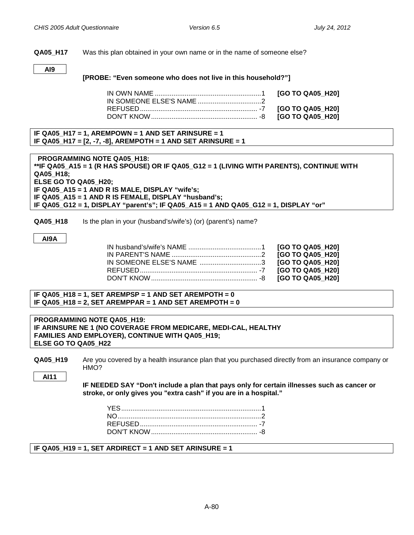#### **QA05\_H17** Was this plan obtained in your own name or in the name of someone else?

```
AI9
```
#### **[PROBE: "Even someone who does not live in this household?"]**

#### **IF QA05\_H17 = 1, AREMPOWN = 1 AND SET ARINSURE = 1 IF QA05\_H17 = [2, -7, -8], AREMPOTH = 1 AND SET ARINSURE = 1**

 **PROGRAMMING NOTE QA05\_H18: \*\*IF QA05\_A15 = 1 (R HAS SPOUSE) OR IF QA05\_G12 = 1 (LIVING WITH PARENTS), CONTINUE WITH QA05\_H18; ELSE GO TO QA05\_H20; IF QA05\_A15 = 1 AND R IS MALE, DISPLAY "wife's; IF QA05\_A15 = 1 AND R IS FEMALE, DISPLAY "husband's; IF QA05\_G12 = 1, DISPLAY "parent's"; IF QA05\_A15 = 1 AND QA05\_G12 = 1, DISPLAY "or"**

**QA05\_H18** Is the plan in your (husband's/wife's) (or) (parent's) name?

#### **AI9A**

**IF QA05\_H18 = 1, SET AREMPSP = 1 AND SET AREMPOTH = 0 IF QA05\_H18 = 2, SET AREMPPAR = 1 AND SET AREMPOTH = 0**

#### **PROGRAMMING NOTE QA05\_H19: IF ARINSURE NE 1 (NO COVERAGE FROM MEDICARE, MEDI-CAL, HEALTHY FAMILIES AND EMPLOYER), CONTINUE WITH QA05\_H19; ELSE GO TO QA05\_H22**

**QA05\_H19** Are you covered by a health insurance plan that you purchased directly from an insurance company or HMO?

**AI11**

**IF NEEDED SAY "Don't include a plan that pays only for certain illnesses such as cancer or stroke, or only gives you "extra cash" if you are in a hospital."**

#### **IF QA05\_H19 = 1, SET ARDIRECT = 1 AND SET ARINSURE = 1**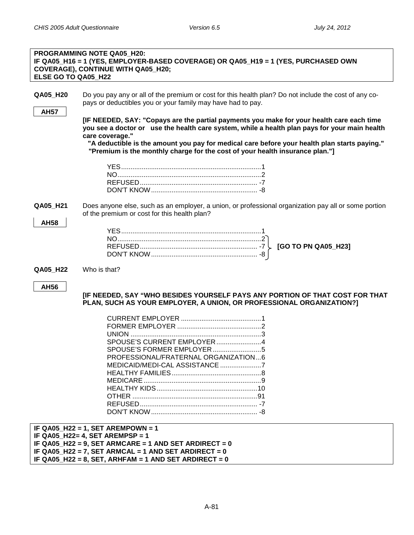## **PROGRAMMING NOTE QA05\_H20: IF QA05\_H16 = 1 (YES, EMPLOYER-BASED COVERAGE) OR QA05\_H19 = 1 (YES, PURCHASED OWN COVERAGE), CONTINUE WITH QA05\_H20; ELSE GO TO QA05\_H22 QA05\_H20** Do you pay any or all of the premium or cost for this health plan? Do not include the cost of any copays or deductibles you or your family may have had to pay. **AH57 [IF NEEDED, SAY: "Copays are the partial payments you make for your health care each time you see a doctor or use the health care system, while a health plan pays for your main health care coverage." "A deductible is the amount you pay for medical care before your health plan starts paying." "Premium is the monthly charge for the cost of your health insurance plan."]** YES...........................................................................1 NO.............................................................................2 REFUSED............................................................... -7 DON'T KNOW......................................................... -8 **QA05\_H21** Does anyone else, such as an employer, a union, or professional organization pay all or some portion of the premium or cost for this health plan? **AH58** YES...........................................................................1 NO.............................................................................2 REFUSED............................................................... -7 **[GO TO PN QA05\_H23]** DON'T KNOW......................................................... -8 **QA05\_H22** Who is that? **AH56 [IF NEEDED, SAY "WHO BESIDES YOURSELF PAYS ANY PORTION OF THAT COST FOR THAT PLAN, SUCH AS YOUR EMPLOYER, A UNION, OR PROFESSIONAL ORGANIZATION?]** CURRENT EMPLOYER ...........................................1 FORMER EMPLOYER .............................................2 UNION ......................................................................3 SPOUSE'S CURRENT EMPLOYER........................4 SPOUSE'S FORMER EMPLOYER..........................5 PROFESSIONAL/FRATERNAL ORGANIZATION...6 MEDICAID/MEDI-CAL ASSISTANCE ......................7 HEALTHY FAMILIES................................................8 MEDICARE...............................................................9 HEALTHY KIDS......................................................10 OTHER ...................................................................91 REFUSED............................................................... -7 DON'T KNOW......................................................... -8 **IF QA05\_H22 = 1, SET AREMPOWN = 1**

**IF QA05\_H22= 4, SET AREMPSP = 1 IF QA05\_H22 = 9, SET ARMCARE = 1 AND SET ARDIRECT = 0 IF QA05\_H22 = 7, SET ARMCAL = 1 AND SET ARDIRECT = 0 IF QA05\_H22 = 8, SET, ARHFAM = 1 AND SET ARDIRECT = 0**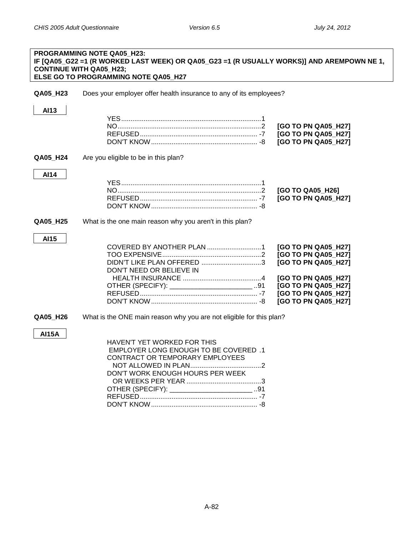| <b>PROGRAMMING NOTE QA05 H23:</b><br>IF [QA05_G22 =1 (R WORKED LAST WEEK) OR QA05_G23 =1 (R USUALLY WORKS)] AND AREMPOWN NE 1,<br><b>CONTINUE WITH QA05 H23;</b><br>ELSE GO TO PROGRAMMING NOTE QA05 H27 |                                                                                                                                                                                                     |                                                                                                                                                               |
|----------------------------------------------------------------------------------------------------------------------------------------------------------------------------------------------------------|-----------------------------------------------------------------------------------------------------------------------------------------------------------------------------------------------------|---------------------------------------------------------------------------------------------------------------------------------------------------------------|
| QA05_H23                                                                                                                                                                                                 | Does your employer offer health insurance to any of its employees?                                                                                                                                  |                                                                                                                                                               |
| AI13                                                                                                                                                                                                     |                                                                                                                                                                                                     | [GO TO PN QA05_H27]<br>[GO TO PN QA05_H27]<br>[GO TO PN QA05 H27]                                                                                             |
| QA05_H24                                                                                                                                                                                                 | Are you eligible to be in this plan?                                                                                                                                                                |                                                                                                                                                               |
| AI14                                                                                                                                                                                                     |                                                                                                                                                                                                     | [GO TO QA05_H26]<br>[GO TO PN QA05 H27]                                                                                                                       |
| QA05_H25                                                                                                                                                                                                 | What is the one main reason why you aren't in this plan?                                                                                                                                            |                                                                                                                                                               |
| AI15                                                                                                                                                                                                     | DIDN'T LIKE PLAN OFFERED 3<br>DON'T NEED OR BELIEVE IN<br>OTHER (SPECIFY): _________________________.91                                                                                             | [GO TO PN QA05 H27]<br>[GO TO PN QA05 H27]<br>[GO TO PN QA05 H27]<br>[GO TO PN QA05_H27]<br>[GO TO PN QA05_H27]<br>[GO TO PN QA05_H27]<br>[GO TO PN QA05_H27] |
| QA05_H26                                                                                                                                                                                                 | What is the ONE main reason why you are not eligible for this plan?                                                                                                                                 |                                                                                                                                                               |
| <b>AI15A</b>                                                                                                                                                                                             | HAVEN'T YET WORKED FOR THIS<br><b>EMPLOYER LONG ENOUGH TO BE COVERED .1</b><br>CONTRACT OR TEMPORARY EMPLOYEES<br>DON'T WORK ENOUGH HOURS PER WEEK<br>OTHER (SPECIFY): _________________________.91 |                                                                                                                                                               |

DON'T KNOW......................................................... -8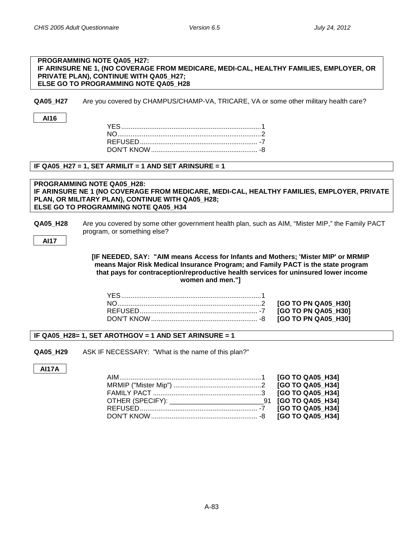#### **PROGRAMMING NOTE QA05\_H27: IF ARINSURE NE 1, (NO COVERAGE FROM MEDICARE, MEDI-CAL, HEALTHY FAMILIES, EMPLOYER, OR PRIVATE PLAN), CONTINUE WITH QA05\_H27; ELSE GO TO PROGRAMMING NOTE QA05\_H28**

**QA05 H27** Are you covered by CHAMPUS/CHAMP-VA, TRICARE, VA or some other military health care?

**AI16**

#### **IF QA05\_H27 = 1, SET ARMILIT = 1 AND SET ARINSURE = 1**

**PROGRAMMING NOTE QA05\_H28: IF ARINSURE NE 1 (NO COVERAGE FROM MEDICARE, MEDI-CAL, HEALTHY FAMILIES, EMPLOYER, PRIVATE PLAN, OR MILITARY PLAN), CONTINUE WITH QA05\_H28; ELSE GO TO PROGRAMMING NOTE QA05\_H34**

**QA05\_H28** Are you covered by some other government health plan, such as AIM, "Mister MIP," the Family PACT program, or something else?

**AI17**

**[IF NEEDED, SAY: "AIM means Access for Infants and Mothers; 'Mister MIP' or MRMIP means Major Risk Medical Insurance Program; and Family PACT is the state program that pays for contraception/reproductive health services for uninsured lower income women and men."]**

#### **IF QA05\_H28= 1, SET AROTHGOV = 1 AND SET ARINSURE = 1**

**QA05\_H29** ASK IF NECESSARY: "What is the name of this plan?"

**AI17A**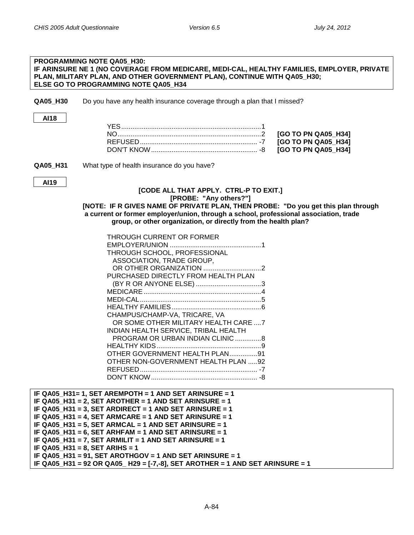## **PROGRAMMING NOTE QA05\_H30: IF ARINSURE NE 1 (NO COVERAGE FROM MEDICARE, MEDI-CAL, HEALTHY FAMILIES, EMPLOYER, PRIVATE PLAN, MILITARY PLAN, AND OTHER GOVERNMENT PLAN), CONTINUE WITH QA05\_H30; ELSE GO TO PROGRAMMING NOTE QA05\_H34 QA05 H30** Do you have any health insurance coverage through a plan that I missed? **AI18** YES...........................................................................1 NO.............................................................................2 **[GO TO PN QA05\_H34]** REFUSED............................................................... -7 **[GO TO PN QA05\_H34]** DON'T KNOW......................................................... -8 **[GO TO PN QA05\_H34] QA05 H31** What type of health insurance do you have? **AI19 [CODE ALL THAT APPLY. CTRL-P TO EXIT.] [PROBE: "Any others?"] [NOTE: IF R GIVES NAME OF PRIVATE PLAN, THEN PROBE: "Do you get this plan through a current or former employer/union, through a school, professional association, trade group, or other organization, or directly from the health plan?** THROUGH CURRENT OR FORMER EMPLOYER/UNION .................................................1 THROUGH SCHOOL, PROFESSIONAL ASSOCIATION, TRADE GROUP, OR OTHER ORGANIZATION ...............................2

| LIVIF LU I LIVUINIUIN                 |  |
|---------------------------------------|--|
| THROUGH SCHOOL, PROFESSIONAL          |  |
| ASSOCIATION, TRADE GROUP,             |  |
|                                       |  |
| PURCHASED DIRECTLY FROM HEALTH PLAN   |  |
|                                       |  |
|                                       |  |
|                                       |  |
|                                       |  |
| CHAMPUS/CHAMP-VA, TRICARE, VA         |  |
| OR SOME OTHER MILITARY HEALTH CARE  7 |  |
| INDIAN HEALTH SERVICE, TRIBAL HEALTH  |  |
| PROGRAM OR URBAN INDIAN CLINIC 8      |  |
|                                       |  |
| OTHER GOVERNMENT HEALTH PLAN91        |  |
| OTHER NON-GOVERNMENT HEALTH PLAN 92   |  |
|                                       |  |
|                                       |  |
|                                       |  |

| IF QA05 $H31 = 1$ , SET AREMPOTH = 1 AND SET ARINSURE = 1                    |
|------------------------------------------------------------------------------|
| IF QA05_H31 = 2, SET AROTHER = 1 AND SET ARINSURE = 1                        |
| IF QA05 H31 = 3, SET ARDIRECT = 1 AND SET ARINSURE = 1                       |
| IF QA05 H31 = 4, SET ARMCARE = 1 AND SET ARINSURE = 1                        |
| IF QA05 H31 = 5, SET ARMCAL = 1 AND SET ARINSURE = 1                         |
| IF QA05 H31 = 6, SET ARHFAM = 1 AND SET ARINSURE = 1                         |
| IF QA05 H31 = 7, SET ARMILIT = 1 AND SET ARINSURE = 1                        |
| IF QA05 H31 = 8, SET ARIHS = 1                                               |
| IF QA05_H31 = 91, SET AROTHGOV = 1 AND SET ARINSURE = 1                      |
| IF QA05_H31 = 92 OR QA05_H29 = [-7,-8], SET AROTHER = 1 AND SET ARINSURE = 1 |
|                                                                              |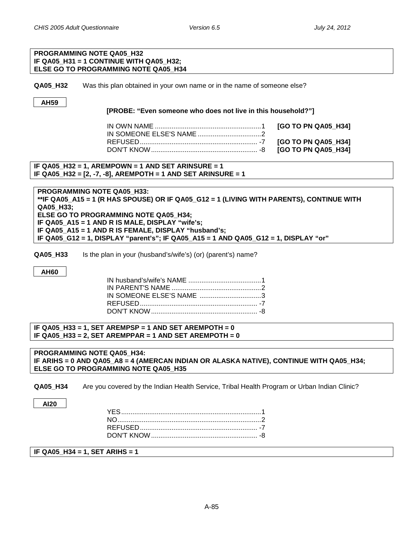#### **PROGRAMMING NOTE QA05\_H32 IF QA05\_H31 = 1 CONTINUE WITH QA05\_H32; ELSE GO TO PROGRAMMING NOTE QA05\_H34**

**QA05 H32** Was this plan obtained in your own name or in the name of someone else?

## **AH59**

**[PROBE: "Even someone who does not live in this household?"]**

#### **IF QA05\_H32 = 1, AREMPOWN = 1 AND SET ARINSURE = 1 IF QA05\_H32 = [2, -7, -8], AREMPOTH = 1 AND SET ARINSURE = 1**

**PROGRAMMING NOTE QA05\_H33: \*\*IF QA05\_A15 = 1 (R HAS SPOUSE) OR IF QA05\_G12 = 1 (LIVING WITH PARENTS), CONTINUE WITH QA05\_H33; ELSE GO TO PROGRAMMING NOTE QA05\_H34; IF QA05\_A15 = 1 AND R IS MALE, DISPLAY "wife's; IF QA05\_A15 = 1 AND R IS FEMALE, DISPLAY "husband's; IF QA05\_G12 = 1, DISPLAY "parent's"; IF QA05\_A15 = 1 AND QA05\_G12 = 1, DISPLAY "or"**

**QA05\_H33** Is the plan in your (husband's/wife's) (or) (parent's) name?

#### **AH60**

#### **IF QA05\_H33 = 1, SET AREMPSP = 1 AND SET AREMPOTH = 0 IF QA05\_H33 = 2, SET AREMPPAR = 1 AND SET AREMPOTH = 0**

**PROGRAMMING NOTE QA05\_H34:** IF ARIHS = 0 AND QA05 A8 = 4 (AMERCAN INDIAN OR ALASKA NATIVE), CONTINUE WITH QA05 H34; **ELSE GO TO PROGRAMMING NOTE QA05\_H35**

**QA05\_H34** Are you covered by the Indian Health Service, Tribal Health Program or Urban Indian Clinic?

**AI20**

**IF QA05\_H34 = 1, SET ARIHS = 1**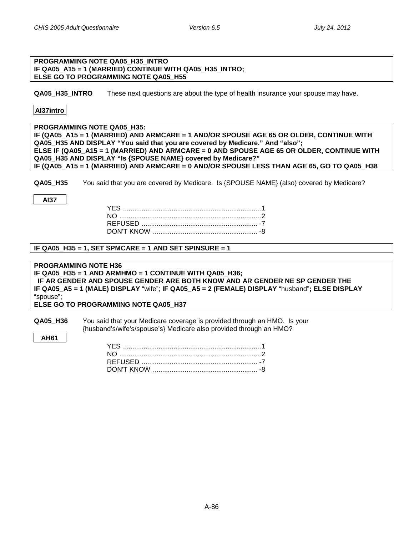#### **PROGRAMMING NOTE QA05\_H35\_INTRO IF QA05\_A15 = 1 (MARRIED) CONTINUE WITH QA05\_H35\_INTRO; ELSE GO TO PROGRAMMING NOTE QA05\_H55**

**QA05 H35 INTRO** These next questions are about the type of health insurance your spouse may have.

## **AI37intro**

**PROGRAMMING NOTE QA05\_H35: IF (QA05\_A15 = 1 (MARRIED) AND ARMCARE = 1 AND/OR SPOUSE AGE 65 OR OLDER, CONTINUE WITH QA05\_H35 AND DISPLAY "You said that you are covered by Medicare." And "also"; ELSE IF (QA05\_A15 = 1 (MARRIED) AND ARMCARE = 0 AND SPOUSE AGE 65 OR OLDER, CONTINUE WITH QA05\_H35 AND DISPLAY "Is {SPOUSE NAME} covered by Medicare?" IF (QA05\_A15 = 1 (MARRIED) AND ARMCARE = 0 AND/OR SPOUSE LESS THAN AGE 65, GO TO QA05\_H38**

**QA05\_H35** You said that you are covered by Medicare. Is {SPOUSE NAME} (also) covered by Medicare?

**AI37**

#### **IF QA05\_H35 = 1, SET SPMCARE = 1 AND SET SPINSURE = 1**

#### **PROGRAMMING NOTE H36**

**IF QA05\_H35 = 1 AND ARMHMO = 1 CONTINUE WITH QA05\_H36;** 

 **IF AR GENDER AND SPOUSE GENDER ARE BOTH KNOW AND AR GENDER NE SP GENDER THE IF QA05\_A5 = 1 (MALE) DISPLAY** "wife"; **IF QA05\_A5 = 2 (FEMALE) DISPLAY** "husband"**; ELSE DISPLAY**  "spouse";

**ELSE GO TO PROGRAMMING NOTE QA05\_H37**

**QA05 H36** You said that your Medicare coverage is provided through an HMO. Is your {husband's/wife's/spouse's} Medicare also provided through an HMO?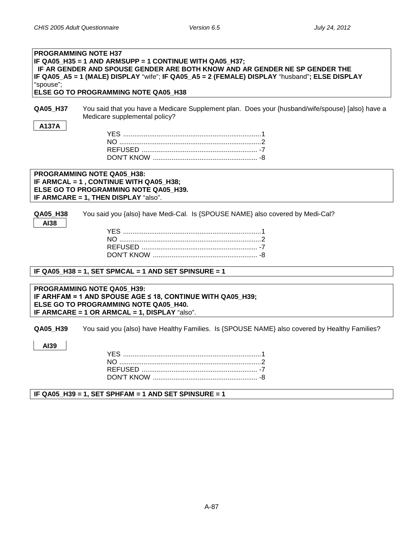#### **PROGRAMMING NOTE H37 IF QA05\_H35 = 1 AND ARMSUPP = 1 CONTINUE WITH QA05\_H37; IF AR GENDER AND SPOUSE GENDER ARE BOTH KNOW AND AR GENDER NE SP GENDER THE IF QA05\_A5 = 1 (MALE) DISPLAY** "wife"; **IF QA05\_A5 = 2 (FEMALE) DISPLAY** "husband"**; ELSE DISPLAY**  "spouse"; **ELSE GO TO PROGRAMMING NOTE QA05\_H38**

#### **QA05\_H37** You said that you have a Medicare Supplement plan. Does your {husband/wife/spouse} [also} have a Medicare supplemental policy?

**A137A**

**PROGRAMMING NOTE QA05\_H38: IF ARMCAL = 1 , CONTINUE WITH QA05\_H38; ELSE GO TO PROGRAMMING NOTE QA05\_H39. IF ARMCARE = 1, THEN DISPLAY** "also".

**AI38**

**QA05\_H38** You said you {also} have Medi-Cal. Is {SPOUSE NAME} also covered by Medi-Cal?

| 138 |  |  |
|-----|--|--|
|     |  |  |
|     |  |  |
|     |  |  |
|     |  |  |

## **IF QA05\_H38 = 1, SET SPMCAL = 1 AND SET SPINSURE = 1**

**PROGRAMMING NOTE QA05\_H39: IF ARHFAM = 1 AND SPOUSE AGE ≤ 18, CONTINUE WITH QA05\_H39; ELSE GO TO PROGRAMMING NOTE QA05\_H40. IF ARMCARE = 1 OR ARMCAL = 1, DISPLAY** "also".

**QA05\_H39** You said you {also} have Healthy Families. Is {SPOUSE NAME} also covered by Healthy Families?

**AI39**

#### **IF QA05\_H39 = 1, SET SPHFAM = 1 AND SET SPINSURE = 1**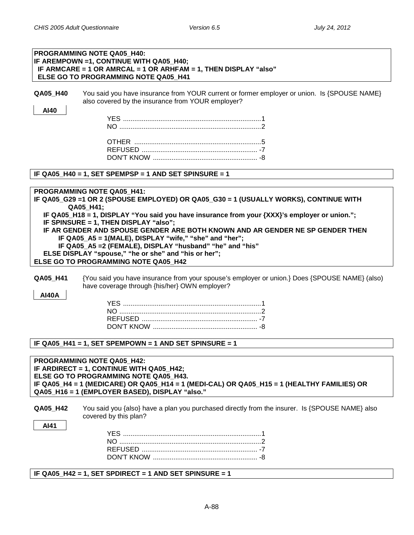$\Box$ 

|              | PROGRAMMING NOTE QA05 H40:<br>IF AREMPOWN =1, CONTINUE WITH QA05_H40;<br>IF ARMCARE = 1 OR AMRCAL = 1 OR ARHFAM = 1, THEN DISPLAY "also"<br>ELSE GO TO PROGRAMMING NOTE QA05_H41 |
|--------------|----------------------------------------------------------------------------------------------------------------------------------------------------------------------------------|
| QA05_H40     | You said you have insurance from YOUR current or former employer or union. Is {SPOUSE NAME}<br>also covered by the insurance from YOUR employer?                                 |
| AI40         |                                                                                                                                                                                  |
|              |                                                                                                                                                                                  |
|              |                                                                                                                                                                                  |
|              |                                                                                                                                                                                  |
|              | IF QA05_H40 = 1, SET SPEMPSP = 1 AND SET SPINSURE = 1                                                                                                                            |
|              |                                                                                                                                                                                  |
|              | PROGRAMMING NOTE QA05 H41:<br>IF QA05_G29 =1 OR 2 (SPOUSE EMPLOYED) OR QA05_G30 = 1 (USUALLY WORKS), CONTINUE WITH<br>QA05 H41:                                                  |
|              | IF QA05_H18 = 1, DISPLAY "You said you have insurance from your {XXX}'s employer or union.";                                                                                     |
|              | IF SPINSURE = 1, THEN DISPLAY "also";                                                                                                                                            |
|              | IF AR GENDER AND SPOUSE GENDER ARE BOTH KNOWN AND AR GENDER NE SP GENDER THEN                                                                                                    |
|              | IF QA05_A5 = 1(MALE), DISPLAY "wife," "she" and "her";                                                                                                                           |
|              | IF QA05_A5 =2 (FEMALE), DISPLAY "husband" "he" and "his"<br>ELSE DISPLAY "spouse," "he or she" and "his or her";                                                                 |
|              | ELSE GO TO PROGRAMMING NOTE QA05_H42                                                                                                                                             |
|              |                                                                                                                                                                                  |
| QA05_H41     | {You said you have insurance from your spouse's employer or union.} Does {SPOUSE NAME} (also)<br>have coverage through {his/her} OWN employer?                                   |
| <b>AI40A</b> |                                                                                                                                                                                  |
|              |                                                                                                                                                                                  |
|              |                                                                                                                                                                                  |
|              |                                                                                                                                                                                  |
|              |                                                                                                                                                                                  |
|              |                                                                                                                                                                                  |
|              | IF QA05_H41 = 1, SET SPEMPOWN = 1 AND SET SPINSURE = 1                                                                                                                           |
|              |                                                                                                                                                                                  |
|              | <b>PROGRAMMING NOTE QA05_H42:</b>                                                                                                                                                |
|              | IF ARDIRECT = 1, CONTINUE WITH QA05 H42;                                                                                                                                         |
|              | ELSE GO TO PROGRAMMING NOTE QA05 H43.                                                                                                                                            |
|              | IF QA05_H4 = 1 (MEDICARE) OR QA05_H14 = 1 (MEDI-CAL) OR QA05_H15 = 1 (HEALTHY FAMILIES) OR                                                                                       |
|              | QA05 H16 = 1 (EMPLOYER BASED), DISPLAY "also."                                                                                                                                   |
| QA05 H42     | You said you {also} have a plan you purchased directly from the insurer. Is {SPOUSE NAME} also<br>covered by this plan?                                                          |
| AI41         |                                                                                                                                                                                  |
|              |                                                                                                                                                                                  |
|              |                                                                                                                                                                                  |
|              |                                                                                                                                                                                  |
|              |                                                                                                                                                                                  |
|              |                                                                                                                                                                                  |
|              | IF QA05_H42 = 1, SET SPDIRECT = 1 AND SET SPINSURE = 1                                                                                                                           |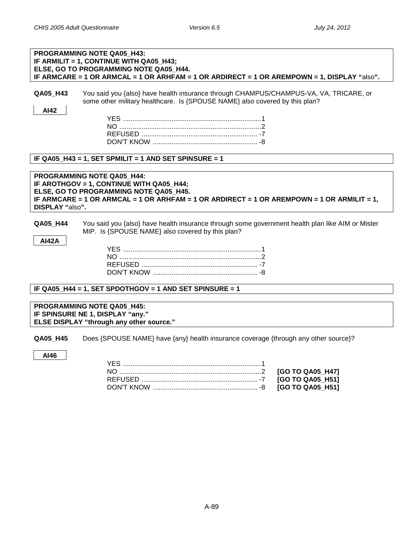|                  | PROGRAMMING NOTE QA05 H43:<br>IF ARMILIT = 1, CONTINUE WITH QA05_H43;                                                                                                                                                 |
|------------------|-----------------------------------------------------------------------------------------------------------------------------------------------------------------------------------------------------------------------|
|                  | ELSE, GO TO PROGRAMMING NOTE QA05_H44.<br>IF ARMCARE = 1 OR ARMCAL = 1 OR ARHFAM = 1 OR ARDIRECT = 1 OR AREMPOWN = 1, DISPLAY "also".                                                                                 |
| QA05_H43<br>AI42 | You said you {also} have health insurance through CHAMPUS/CHAMPUS-VA, VA, TRICARE, or<br>some other military healthcare. Is {SPOUSE NAME} also covered by this plan?                                                  |
|                  |                                                                                                                                                                                                                       |
|                  |                                                                                                                                                                                                                       |
|                  |                                                                                                                                                                                                                       |
|                  | IF QA05_H43 = 1, SET SPMILIT = 1 AND SET SPINSURE = 1                                                                                                                                                                 |
| DISPLAY "also".  | <b>PROGRAMMING NOTE QA05 H44:</b><br>IF AROTHGOV = 1, CONTINUE WITH QA05_H44;<br>ELSE, GO TO PROGRAMMING NOTE QA05 H45.<br>IF ARMCARE = 1 OR ARMCAL = 1 OR ARHFAM = 1 OR ARDIRECT = 1 OR AREMPOWN = 1 OR ARMILIT = 1, |
| <b>QA05 H44</b>  | You said you {also} have health insurance through some government health plan like AIM or Mister<br>MIP. Is {SPOUSE NAME} also covered by this plan?                                                                  |
| <b>AI42A</b>     |                                                                                                                                                                                                                       |
|                  |                                                                                                                                                                                                                       |
|                  |                                                                                                                                                                                                                       |
|                  | IF QA05_H44 = 1, SET SPDOTHGOV = 1 AND SET SPINSURE = 1                                                                                                                                                               |
|                  | PROGRAMMING NOTE QA05 H45:<br>IF SPINSURE NE 1, DISPLAY "any."<br>ELSE DISPLAY "through any other source."                                                                                                            |
| QA05 H45         | Does {SPOUSE NAME} have {any} health insurance coverage {through any other source}?                                                                                                                                   |
| AI46             | [GO TO QA05 H47]<br>[GO TO QA05_H51]<br>[GO TO QA05 H51]                                                                                                                                                              |
|                  |                                                                                                                                                                                                                       |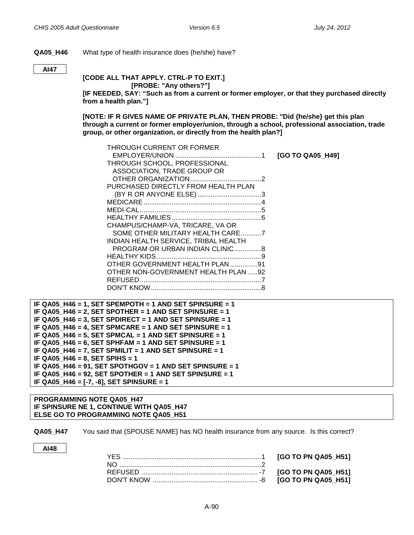#### **QA05\_H46** What type of health insurance does {he/she} have?

**AI47**

#### **[CODE ALL THAT APPLY. CTRL-P TO EXIT.] [PROBE: "Any others?"]**

**[IF NEEDED, SAY: "Such as from a current or former employer, or that they purchased directly from a health plan."]**

**[NOTE: IF R GIVES NAME OF PRIVATE PLAN, THEN PROBE: "Did {he/she} get this plan through a current or former employer/union, through a school, professional association, trade group, or other organization, or directly from the health plan?]**

| THROUGH CURRENT OR FORMER            |                  |
|--------------------------------------|------------------|
|                                      | [GO TO QA05_H49] |
| THROUGH SCHOOL, PROFESSIONAL         |                  |
| ASSOCIATION, TRADE GROUP OR          |                  |
|                                      |                  |
| PURCHASED DIRECTLY FROM HEALTH PLAN  |                  |
|                                      |                  |
|                                      |                  |
|                                      |                  |
|                                      |                  |
| CHAMPUS/CHAMP-VA, TRICARE, VA OR     |                  |
| SOME OTHER MILITARY HEALTH CARE7     |                  |
| INDIAN HEALTH SERVICE, TRIBAL HEALTH |                  |
| PROGRAM OR URBAN INDIAN CLINIC 8     |                  |
|                                      |                  |
| OTHER GOVERNMENT HEALTH PLAN91       |                  |
| OTHER NON-GOVERNMENT HEALTH PLAN 92  |                  |
| REFUSED                              |                  |
|                                      |                  |
|                                      |                  |

**IF QA05\_H46 = 1, SET SPEMPOTH = 1 AND SET SPINSURE = 1 IF QA05\_H46 = 2, SET SPOTHER = 1 AND SET SPINSURE = 1 IF QA05\_H46 = 3, SET SPDIRECT = 1 AND SET SPINSURE = 1 IF QA05\_H46 = 4, SET SPMCARE = 1 AND SET SPINSURE = 1 IF QA05\_H46 = 5, SET SPMCAL = 1 AND SET SPINSURE = 1 IF QA05\_H46 = 6, SET SPHFAM = 1 AND SET SPINSURE = 1 IF QA05\_H46 = 7, SET SPMILIT = 1 AND SET SPINSURE = 1 IF QA05\_H46 = 8, SET SPIHS = 1 IF QA05\_H46 = 91, SET SPOTHGOV = 1 AND SET SPINSURE = 1 IF QA05\_H46 = 92, SET SPOTHER = 1 AND SET SPINSURE = 1 IF QA05\_H46 = [-7, -8], SET SPINSURE = 1**

#### **PROGRAMMING NOTE QA05\_H47 IF SPINSURE NE 1, CONTINUE WITH QA05 H47 ELSE GO TO PROGRAMMING NOTE QA05\_H51**

**QA05\_H47** You said that {SPOUSE NAME} has NO health insurance from any source. Is this correct?

**AI48**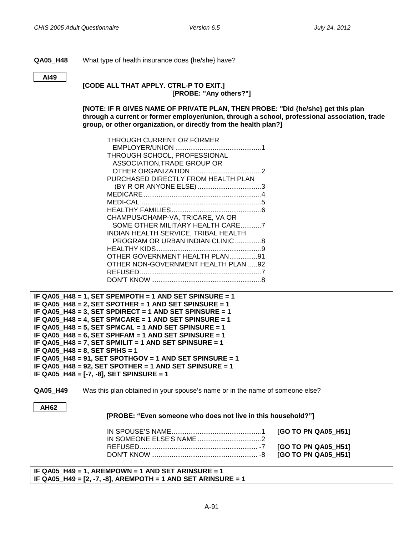#### **QA05\_H48** What type of health insurance does {he/she} have?

#### **AI49**

### **[CODE ALL THAT APPLY. CTRL-P TO EXIT.] [PROBE: "Any others?"]**

**[NOTE: IF R GIVES NAME OF PRIVATE PLAN, THEN PROBE: "Did {he/she} get this plan through a current or former employer/union, through a school, professional association, trade group, or other organization, or directly from the health plan?]**

| THROUGH CURRENT OR FORMER            |   |
|--------------------------------------|---|
|                                      |   |
| THROUGH SCHOOL, PROFESSIONAL         |   |
| ASSOCIATION, TRADE GROUP OR          |   |
|                                      |   |
| PURCHASED DIRECTLY FROM HEALTH PLAN  |   |
|                                      |   |
|                                      |   |
|                                      | 5 |
|                                      |   |
| CHAMPUS/CHAMP-VA, TRICARE, VA OR     |   |
| SOME OTHER MILITARY HEALTH CARE7     |   |
| INDIAN HEALTH SERVICE, TRIBAL HEALTH |   |
| PROGRAM OR URBAN INDIAN CLINIC 8     |   |
|                                      |   |
| OTHER GOVERNMENT HEALTH PLAN91       |   |
| OTHER NON-GOVERNMENT HEALTH PLAN 92  |   |
|                                      |   |
|                                      |   |
|                                      |   |

| IF QA05 H48 = 1, SET SPEMPOTH = 1 AND SET SPINSURE = 1  |
|---------------------------------------------------------|
| IF QA05 H48 = 2, SET SPOTHER = 1 AND SET SPINSURE = 1   |
| IF QA05 H48 = 3, SET SPDIRECT = 1 AND SET SPINSURE = 1  |
| IF QA05 H48 = 4, SET SPMCARE = 1 AND SET SPINSURE = 1   |
| IF QA05 H48 = 5, SET SPMCAL = 1 AND SET SPINSURE = 1    |
| IF QA05 H48 = 6, SET SPHFAM = 1 AND SET SPINSURE = 1    |
| IF QA05 H48 = 7, SET SPMILIT = 1 AND SET SPINSURE = 1   |
| IF QA05 H48 = 8, SET SPIHS = 1                          |
| IF QA05 H48 = 91, SET SPOTHGOV = 1 AND SET SPINSURE = 1 |
| IF QA05 H48 = 92, SET SPOTHER = 1 AND SET SPINSURE = 1  |
| IF QA05 H48 = [-7, -8], SET SPINSURE = 1                |
|                                                         |

**QA05\_H49** Was this plan obtained in your spouse's name or in the name of someone else?

**AH62**

#### **[PROBE: "Even someone who does not live in this household?"]**

| IF QA05 H49 = 1, AREMPOWN = 1 AND SET ARINSURE = 1              |  |  |
|-----------------------------------------------------------------|--|--|
| IF QA05_H49 = $[2, -7, -8]$ , AREMPOTH = 1 AND SET ARINSURE = 1 |  |  |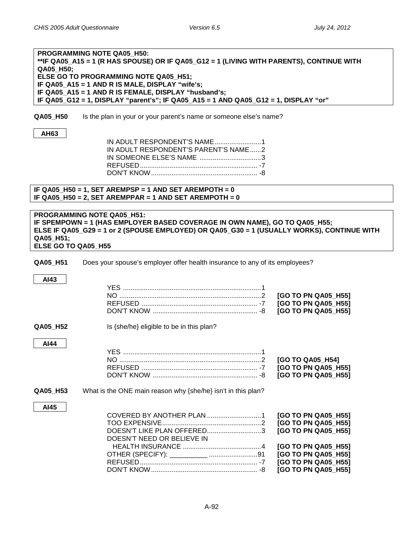**PROGRAMMING NOTE QA05\_H50: \*\*IF QA05\_A15 = 1 (R HAS SPOUSE) OR IF QA05\_G12 = 1 (LIVING WITH PARENTS), CONTINUE WITH QA05\_H50; ELSE GO TO PROGRAMMING NOTE QA05\_H51; IF QA05\_A15 = 1 AND R IS MALE, DISPLAY "wife's; IF QA05\_A15 = 1 AND R IS FEMALE, DISPLAY "husband's; IF QA05\_G12 = 1, DISPLAY "parent's"; IF QA05\_A15 = 1 AND QA05\_G12 = 1, DISPLAY "or"**

**QA05 H50** Is the plan in your or your parent's name or someone else's name?

**AH63**

| IN ADULT RESPONDENT'S NAME1          |  |
|--------------------------------------|--|
| IN ADULT RESPONDENT'S PARENT'S NAME2 |  |
| IN SOMEONE ELSE'S NAME 3             |  |
|                                      |  |
|                                      |  |

**IF QA05\_H50 = 1, SET AREMPSP = 1 AND SET AREMPOTH = 0 IF QA05\_H50 = 2, SET AREMPPAR = 1 AND SET AREMPOTH = 0**

**PROGRAMMING NOTE QA05\_H51: IF SPEMPOWN = 1 (HAS EMPLOYER BASED COVERAGE IN OWN NAME), GO TO QA05\_H55; ELSE IF QA05\_G29 = 1 or 2 (SPOUSE EMPLOYED) OR QA05\_G30 = 1 (USUALLY WORKS), CONTINUE WITH QA05\_H51; ELSE GO TO QA05\_H55**

**QA05\_H51** Does your spouse's employer offer health insurance to any of its employees?

**AI43**  $\blacksquare$ 

| A14J     |                                                              |                                                                   |
|----------|--------------------------------------------------------------|-------------------------------------------------------------------|
|          |                                                              | [GO TO PN QA05 H55]<br>[GO TO PN QA05 H55]<br>[GO TO PN QA05 H55] |
|          |                                                              |                                                                   |
| QA05 H52 | Is {she/he} eligible to be in this plan?                     |                                                                   |
| AI44     |                                                              |                                                                   |
|          |                                                              |                                                                   |
|          |                                                              | [GO TO QA05_H54]                                                  |
|          |                                                              | [GO TO PN QA05 H55]                                               |
|          |                                                              | [GO TO PN QA05 H55]                                               |
| QA05_H53 | What is the ONE main reason why {she/he} isn't in this plan? |                                                                   |
| AI45     |                                                              |                                                                   |
|          |                                                              | [GO TO PN QA05_H55]                                               |
|          |                                                              | [GO TO PN QA05 H55]                                               |
|          | DOESN'T LIKE PLAN OFFERED3                                   | [GO TO PN QA05 H55]                                               |
|          | DOESN'T NEED OR BELIEVE IN                                   |                                                                   |
|          |                                                              | [GO TO PN QA05_H55]                                               |
|          |                                                              | [GO TO PN QA05_H55]                                               |
|          |                                                              | [GO TO PN QA05_H55]                                               |
|          |                                                              | [GO TO PN QA05 H55]                                               |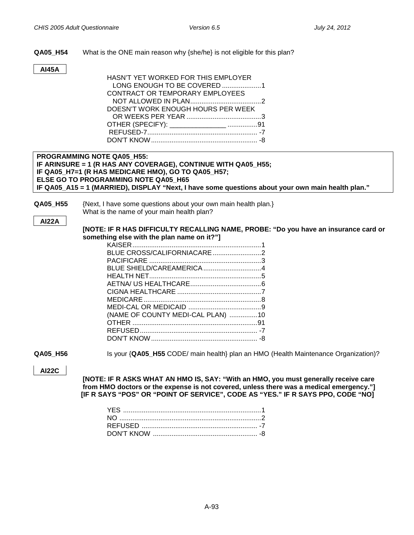#### **QA05\_H54** What is the ONE main reason why {she/he} is not eligible for this plan?

**AI45A**

| HASN'T YET WORKED FOR THIS EMPLOYER    |  |
|----------------------------------------|--|
| LONG ENOUGH TO BE COVERED1             |  |
| CONTRACT OR TEMPORARY EMPLOYEES        |  |
|                                        |  |
| DOESN'T WORK ENOUGH HOURS PER WEEK     |  |
|                                        |  |
| OTHER (SPECIFY): __________________ 91 |  |
|                                        |  |
|                                        |  |

#### **PROGRAMMING NOTE QA05\_H55: IF ARINSURE = 1 (R HAS ANY COVERAGE), CONTINUE WITH QA05\_H55; IF QA05\_H7=1 (R HAS MEDICARE HMO), GO TO QA05\_H57; ELSE GO TO PROGRAMMING NOTE QA05\_H65 IF QA05\_A15 = 1 (MARRIED), DISPLAY "Next, I have some questions about your own main health plan."**

**QA05\_H55** {Next, I have some questions about your own main health plan.} What is the name of your main health plan?

**AI22A**

#### **[NOTE: IF R HAS DIFFICULTY RECALLING NAME, PROBE: "Do you have an insurance card or something else with the plan name on it?"]**

**QA05 H56** Is your {**QA05 H55** CODE/ main health} plan an HMO (Health Maintenance Organization)?

**AI22C**

**[NOTE: IF R ASKS WHAT AN HMO IS, SAY: "With an HMO, you must generally receive care from HMO doctors or the expense is not covered, unless there was a medical emergency."] [IF R SAYS "POS" OR "POINT OF SERVICE", CODE AS "YES." IF R SAYS PPO, CODE "NO]**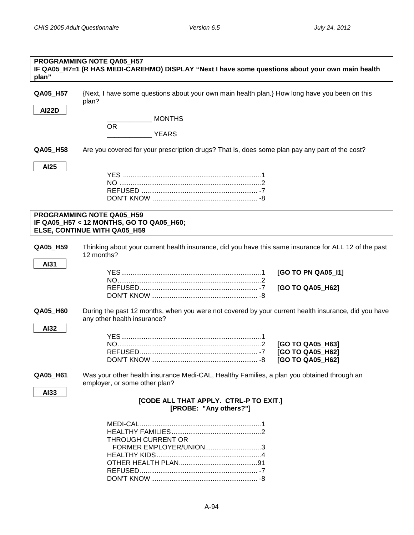| PROGRAMMING NOTE QA05_H57<br>IF QA05_H7=1 (R HAS MEDI-CAREHMO) DISPLAY "Next I have some questions about your own main health<br>plan" |                                                                                                                                    |  |
|----------------------------------------------------------------------------------------------------------------------------------------|------------------------------------------------------------------------------------------------------------------------------------|--|
| QA05_H57                                                                                                                               | {Next, I have some questions about your own main health plan.} How long have you been on this<br>plan?                             |  |
| <b>Al22D</b>                                                                                                                           | <b>MONTHS</b>                                                                                                                      |  |
|                                                                                                                                        | <b>OR</b><br>_____ YEARS                                                                                                           |  |
| QA05_H58                                                                                                                               | Are you covered for your prescription drugs? That is, does some plan pay any part of the cost?                                     |  |
| AI25                                                                                                                                   |                                                                                                                                    |  |
|                                                                                                                                        |                                                                                                                                    |  |
|                                                                                                                                        |                                                                                                                                    |  |
|                                                                                                                                        | PROGRAMMING NOTE QA05_H59<br>IF QA05_H57 < 12 MONTHS, GO TO QA05_H60;<br>ELSE, CONTINUE WITH QA05_H59                              |  |
| QA05_H59                                                                                                                               | Thinking about your current health insurance, did you have this same insurance for ALL 12 of the past                              |  |
| <b>AI31</b>                                                                                                                            | 12 months?                                                                                                                         |  |
|                                                                                                                                        | [GO TO PN QA05_I1]                                                                                                                 |  |
|                                                                                                                                        | [GO TO QA05_H62]                                                                                                                   |  |
| QA05_H60                                                                                                                               | During the past 12 months, when you were not covered by your current health insurance, did you have<br>any other health insurance? |  |
| AI32                                                                                                                                   |                                                                                                                                    |  |
|                                                                                                                                        | [GO TO QA05 H63]<br>[GO TO QA05 H62]                                                                                               |  |
|                                                                                                                                        | [GO TO QA05_H62]                                                                                                                   |  |
| QA05_H61                                                                                                                               | Was your other health insurance Medi-CAL, Healthy Families, a plan you obtained through an<br>employer, or some other plan?        |  |
| AI33<br>[CODE ALL THAT APPLY. CTRL-P TO EXIT.]<br>[PROBE: "Any others?"]                                                               |                                                                                                                                    |  |
|                                                                                                                                        |                                                                                                                                    |  |
|                                                                                                                                        |                                                                                                                                    |  |
|                                                                                                                                        | <b>THROUGH CURRENT OR</b><br>FORMER EMPLOYER/UNION3                                                                                |  |
|                                                                                                                                        |                                                                                                                                    |  |
|                                                                                                                                        |                                                                                                                                    |  |

DON'T KNOW......................................................... -8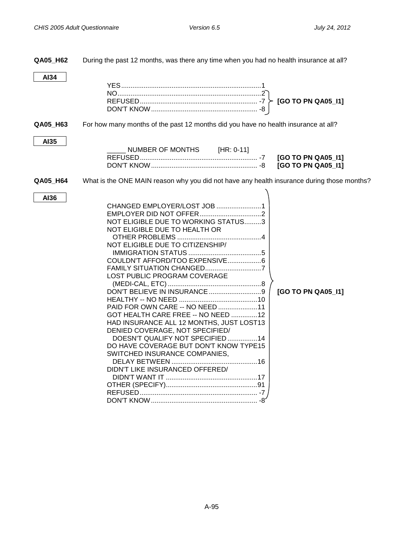| QA05_H62 | During the past 12 months, was there any time when you had no health insurance at all?                                                                                                                                                                                                                                                                                                                                                                                                                                                   |  |
|----------|------------------------------------------------------------------------------------------------------------------------------------------------------------------------------------------------------------------------------------------------------------------------------------------------------------------------------------------------------------------------------------------------------------------------------------------------------------------------------------------------------------------------------------------|--|
| AI34     |                                                                                                                                                                                                                                                                                                                                                                                                                                                                                                                                          |  |
| QA05_H63 | For how many months of the past 12 months did you have no health insurance at all?                                                                                                                                                                                                                                                                                                                                                                                                                                                       |  |
| AI35     | NUMBER OF MONTHS [HR: 0-11]<br>[GO TO PN QA05_I1]<br>[GO TO PN QA05_I1]                                                                                                                                                                                                                                                                                                                                                                                                                                                                  |  |
| QA05_H64 | What is the ONE MAIN reason why you did not have any health insurance during those months?                                                                                                                                                                                                                                                                                                                                                                                                                                               |  |
| AI36     | CHANGED EMPLOYER/LOST JOB 1<br>NOT ELIGIBLE DUE TO WORKING STATUS3<br>NOT ELIGIBLE DUE TO HEALTH OR<br>NOT ELIGIBLE DUE TO CITIZENSHIP/<br>COULDN'T AFFORD/TOO EXPENSIVE6<br>LOST PUBLIC PROGRAM COVERAGE<br>[GO TO PN QA05_I1]<br>PAID FOR OWN CARE -- NO NEED 11<br>GOT HEALTH CARE FREE -- NO NEED 12<br>HAD INSURANCE ALL 12 MONTHS, JUST LOST13<br>DENIED COVERAGE, NOT SPECIFIED/<br>DOESN'T QUALIFY NOT SPECIFIED14<br>DO HAVE COVERAGE BUT DON'T KNOW TYPE15<br>SWITCHED INSURANCE COMPANIES,<br>DIDN'T LIKE INSURANCED OFFERED/ |  |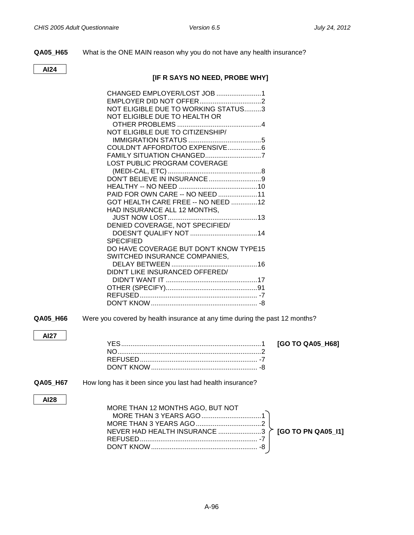**QA05\_H65** What is the ONE MAIN reason why you do not have any health insurance?

**AI24**

#### **[IF R SAYS NO NEED, PROBE WHY]**

|             | CHANGED EMPLOYER/LOST JOB 1                                                 |                  |
|-------------|-----------------------------------------------------------------------------|------------------|
|             |                                                                             |                  |
|             | NOT ELIGIBLE DUE TO WORKING STATUS3                                         |                  |
|             | NOT ELIGIBLE DUE TO HEALTH OR                                               |                  |
|             |                                                                             |                  |
|             | NOT ELIGIBLE DUE TO CITIZENSHIP/                                            |                  |
|             |                                                                             |                  |
|             | COULDN'T AFFORD/TOO EXPENSIVE6                                              |                  |
|             |                                                                             |                  |
|             | LOST PUBLIC PROGRAM COVERAGE                                                |                  |
|             |                                                                             |                  |
|             |                                                                             |                  |
|             |                                                                             |                  |
|             | PAID FOR OWN CARE -- NO NEED 11                                             |                  |
|             | GOT HEALTH CARE FREE -- NO NEED 12                                          |                  |
|             | HAD INSURANCE ALL 12 MONTHS,                                                |                  |
|             |                                                                             |                  |
|             | DENIED COVERAGE, NOT SPECIFIED/                                             |                  |
|             |                                                                             |                  |
|             | <b>SPECIFIED</b>                                                            |                  |
|             | DO HAVE COVERAGE BUT DON'T KNOW TYPE15                                      |                  |
|             | SWITCHED INSURANCE COMPANIES,                                               |                  |
|             |                                                                             |                  |
|             | DIDN'T LIKE INSURANCED OFFERED/                                             |                  |
|             |                                                                             |                  |
|             |                                                                             |                  |
|             |                                                                             |                  |
|             |                                                                             |                  |
|             |                                                                             |                  |
| QA05_H66    | Were you covered by health insurance at any time during the past 12 months? |                  |
|             |                                                                             |                  |
| AI27        |                                                                             |                  |
|             |                                                                             | [GO TO QA05_H68] |
|             |                                                                             |                  |
|             |                                                                             |                  |
|             |                                                                             |                  |
| QA05_H67    | How long has it been since you last had health insurance?                   |                  |
|             |                                                                             |                  |
| <b>AI28</b> |                                                                             |                  |
|             | MORE THAN 12 MONTHS AGO, BUT NOT                                            |                  |
|             |                                                                             |                  |
|             |                                                                             |                  |
|             |                                                                             |                  |

REFUSED............................................................... -7 DON'T KNOW......................................................... -8

NEVER HAD HEALTH INSURANCE .......................3 **[GO TO PN QA05\_I1]**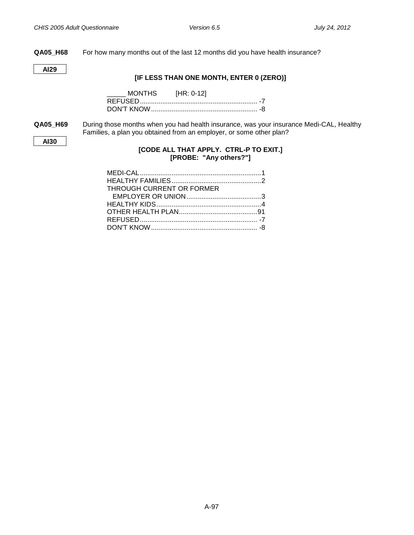**QA05\_H68** For how many months out of the last 12 months did you have health insurance? **AI29 [IF LESS THAN ONE MONTH, ENTER 0 (ZERO)]** \_\_\_\_\_ MONTHS [HR: 0-12] REFUSED............................................................... -7 DON'T KNOW......................................................... -8 **QA05\_H69** During those months when you had health insurance, was your insurance Medi-CAL, Healthy Families, a plan you obtained from an employer, or some other plan? **AI30 [CODE ALL THAT APPLY. CTRL-P TO EXIT.] [PROBE: "Any others?"]** MEDI-CAL.................................................................1 HEALTHY FAMILIES................................................2 THROUGH CURRENT OR FORMER

 EMPLOYER OR UNION........................................3 HEALTHY KIDS........................................................4 OTHER HEALTH PLAN..........................................91 REFUSED............................................................... -7 DON'T KNOW......................................................... -8

## A-97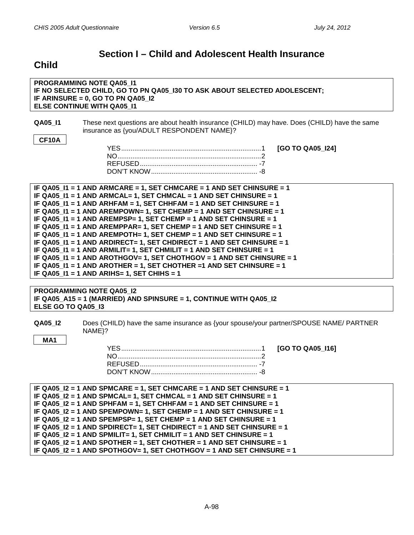# **Section I – Child and Adolescent Health Insurance**

## **Child**

#### **PROGRAMMING NOTE QA05\_I1 IF NO SELECTED CHILD, GO TO PN QA05\_I30 TO ASK ABOUT SELECTED ADOLESCENT; IF ARINSURE = 0, GO TO PN QA05\_I2 ELSE CONTINUE WITH QA05\_I1**

#### **QA05\_I1** These next questions are about health insurance (CHILD) may have. Does (CHILD) have the same insurance as {you/ADULT RESPONDENT NAME}?

**CF10A**

| IF QA05 I1 = 1 AND ARMCARE = 1, SET CHMCARE = 1 AND SET CHINSURE = 1  |  |
|-----------------------------------------------------------------------|--|
| IF QA05 I1 = 1 AND ARMCAL= 1, SET CHMCAL = 1 AND SET CHINSURE = 1     |  |
| IF QA05 I1 = 1 AND ARHFAM = 1, SET CHHFAM = 1 AND SET CHINSURE = 1    |  |
| IF QA05 I1 = 1 AND AREMPOWN= 1, SET CHEMP = 1 AND SET CHINSURE = 1    |  |
| IF QA05 I1 = 1 AND AREMPSP= 1, SET CHEMP = 1 AND SET CHINSURE = 1     |  |
| IF QA05 I1 = 1 AND AREMPPAR= 1, SET CHEMP = 1 AND SET CHINSURE = 1    |  |
| IF QA05 I1 = 1 AND AREMPOTH= 1, SET CHEMP = 1 AND SET CHINSURE = 1    |  |
| IF QA05 I1 = 1 AND ARDIRECT= 1, SET CHDIRECT = 1 AND SET CHINSURE = 1 |  |
| IF QA05 I1 = 1 AND ARMILIT= 1, SET CHMILIT = 1 AND SET CHINSURE = 1   |  |
| IF QA05 I1 = 1 AND AROTHGOV= 1, SET CHOTHGOV = 1 AND SET CHINSURE = 1 |  |
| IF QA05 I1 = 1 AND AROTHER = 1, SET CHOTHER = 1 AND SET CHINSURE = 1  |  |
| IF QA05 $11 = 1$ AND ARIHS= 1, SET CHIHS = 1                          |  |

#### **PROGRAMMING NOTE QA05\_I2 IF QA05\_A15 = 1 (MARRIED) AND SPINSURE = 1, CONTINUE WITH QA05\_I2 ELSE GO TO QA05\_I3**

**QA05\_I2** Does (CHILD) have the same insurance as {your spouse/your partner/SPOUSE NAME/ PARTNER NAME}?

**MA1**

| IF QA05 $12 = 1$ AND SPMCARE = 1, SET CHMCARE = 1 AND SET CHINSURE = 1  |
|-------------------------------------------------------------------------|
| IF QA05 $12 = 1$ AND SPMCAL= 1, SET CHMCAL = 1 AND SET CHINSURE = 1     |
| IF QA05 $12 = 1$ AND SPHFAM = 1, SET CHHFAM = 1 AND SET CHINSURE = 1    |
| IF QA05_I2 = 1 AND SPEMPOWN= 1, SET CHEMP = 1 AND SET CHINSURE = 1      |
| IF QA05 $12 = 1$ AND SPEMPSP= 1, SET CHEMP = 1 AND SET CHINSURE = 1     |
| IF QA05 $12 = 1$ AND SPDIRECT= 1, SET CHDIRECT = 1 AND SET CHINSURE = 1 |
| IF QA05 $12 = 1$ AND SPMILIT= 1, SET CHMILIT = 1 AND SET CHINSURE = 1   |
| IF QA05 I2 = 1 AND SPOTHER = 1, SET CHOTHER = 1 AND SET CHINSURE = 1    |
| IF QA05 $12 = 1$ AND SPOTHGOV= 1, SET CHOTHGOV = 1 AND SET CHINSURE = 1 |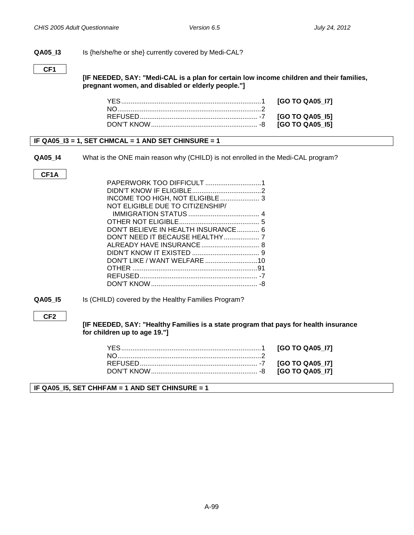#### **QA05\_I3** Is {he/she/he or she} currently covered by Medi-CAL?

**CF1**

**[IF NEEDED, SAY: "Medi-CAL is a plan for certain low income children and their families, pregnant women, and disabled or elderly people."]**

#### **IF QA05\_I3 = 1, SET CHMCAL = 1 AND SET CHINSURE = 1**

**QA05\_I4** What is the ONE main reason why (CHILD) is not enrolled in the Medi-CAL program?

#### **CF1A**

| INCOME TOO HIGH, NOT ELIGIBLE  3    |
|-------------------------------------|
| NOT ELIGIBLE DUE TO CITIZENSHIP/    |
|                                     |
|                                     |
| DON'T BELIEVE IN HEALTH INSURANCE 6 |
|                                     |
|                                     |
|                                     |
|                                     |
|                                     |
|                                     |
|                                     |

**QA05\_I5** Is (CHILD) covered by the Healthy Families Program?

#### **CF2**

**[IF NEEDED, SAY: "Healthy Families is a state program that pays for health insurance for children up to age 19."]**

**IF QA05\_I5, SET CHHFAM = 1 AND SET CHINSURE = 1**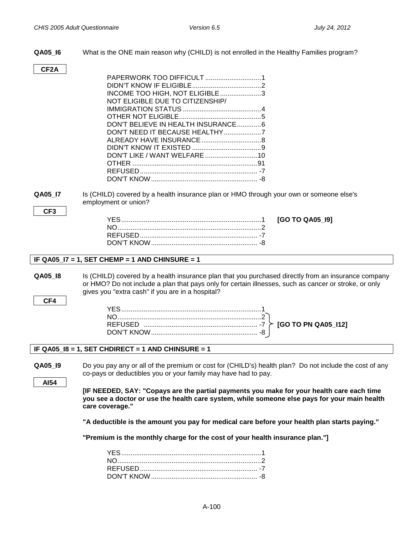- **QA05\_I6** What is the ONE main reason why (CHILD) is not enrolled in the Healthy Families program?
- **CF2A**

| 2                                  |  |
|------------------------------------|--|
| INCOME TOO HIGH, NOT ELIGIBLE3     |  |
| NOT ELIGIBLE DUE TO CITIZENSHIP/   |  |
|                                    |  |
|                                    |  |
| DON'T BELIEVE IN HEALTH INSURANCE6 |  |
| DON'T NEED IT BECAUSE HEALTHY7     |  |
|                                    |  |
|                                    |  |
|                                    |  |
|                                    |  |
|                                    |  |
|                                    |  |

**QA05 I7** Is (CHILD) covered by a health insurance plan or HMO through your own or someone else's employment or union?

**CF3**

#### **IF QA05\_I7 = 1, SET CHEMP = 1 AND CHINSURE = 1**

**QA05 I8** Is (CHILD) covered by a health insurance plan that you purchased directly from an insurance company or HMO? Do not include a plan that pays only for certain illnesses, such as cancer or stroke, or only gives you "extra cash" if you are in a hospital?

**CF4**

### **IF QA05\_I8 = 1, SET CHDIRECT = 1 AND CHINSURE = 1**

**QA05 I9** Do you pay any or all of the premium or cost for (CHILD's) health plan? Do not include the cost of any co-pays or deductibles you or your family may have had to pay.

**AI54**

**[IF NEEDED, SAY: "Copays are the partial payments you make for your health care each time you see a doctor or use the health care system, while someone else pays for your main health care coverage."**

**"A deductible is the amount you pay for medical care before your health plan starts paying."**

**"Premium is the monthly charge for the cost of your health insurance plan."]**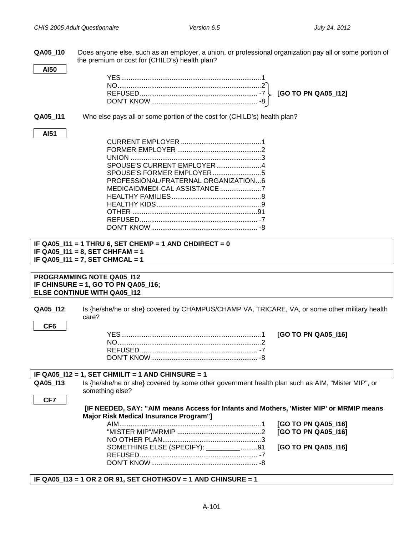**QA05\_I10** Does anyone else, such as an employer, a union, or professional organization pay all or some portion of the premium or cost for (CHILD's) health plan?

**AI50**

| . |  |  | $\mathbf{r}$ . The set of $\mathbf{r}$ is the set of $\mathbf{r}$ is the set of $\mathbf{r}$ |  |
|---|--|--|----------------------------------------------------------------------------------------------|--|

**QA05 111** Who else pays all or some portion of the cost for (CHILD's) health plan?

**AI51**

| PROFESSIONAL/FRATERNAL ORGANIZATION6 |  |
|--------------------------------------|--|
|                                      |  |
|                                      |  |
|                                      |  |
|                                      |  |
|                                      |  |
|                                      |  |

#### **IF QA05\_I11 = 1 THRU 6, SET CHEMP = 1 AND CHDIRECT = 0 IF QA05\_I11 = 8, SET CHHFAM = 1 IF QA05\_I11 = 7, SET CHMCAL = 1**

#### **PROGRAMMING NOTE QA05\_I12 IF CHINSURE = 1, GO TO PN QA05\_I16; ELSE CONTINUE WITH QA05\_I12**

**QA05\_I12** Is {he/she/he or she} covered by CHAMPUS/CHAMP VA, TRICARE, VA, or some other military health care?

**CF6**

[GO TO PN QA05\_I16]

## **IF QA05\_I12 = 1, SET CHMILIT = 1 AND CHINSURE = 1 QA05\_I13** Is {he/she/he or she} covered by some other government health plan such as AIM, "Mister MIP", or something else? **CF7 [IF NEEDED, SAY: "AIM means Access for Infants and Mothers, 'Mister MIP' or MRMIP means Major Risk Medical Insurance Program"]** AIM............................................................................1 **[GO TO PN QA05\_I16]** "MISTER MIP"/MRMIP .............................................2 **[GO TO PN QA05\_I16]** NO OTHER PLAN.....................................................3 SOMETHING ELSE (SPECIFY): \_\_\_\_\_\_\_\_\_.........91 **[GO TO PN QA05\_I16]** REFUSED............................................................... -7 DON'T KNOW......................................................... -8

#### **IF QA05\_I13 = 1 OR 2 OR 91, SET CHOTHGOV = 1 AND CHINSURE = 1**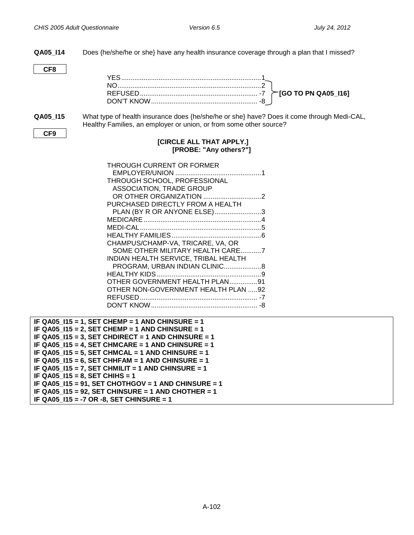**IF QA05\_I15 = -7 OR -8, SET CHINSURE = 1**

| QA05_I14        | Does {he/she/he or she} have any health insurance coverage through a plan that I missed?                                                                                                                                                                                                                                                                                                                                                                                                                                        |
|-----------------|---------------------------------------------------------------------------------------------------------------------------------------------------------------------------------------------------------------------------------------------------------------------------------------------------------------------------------------------------------------------------------------------------------------------------------------------------------------------------------------------------------------------------------|
| CF8             |                                                                                                                                                                                                                                                                                                                                                                                                                                                                                                                                 |
| QA05_I15<br>CF9 | What type of health insurance does {he/she/he or she} have? Does it come through Medi-CAL,<br>Healthy Families, an employer or union, or from some other source?                                                                                                                                                                                                                                                                                                                                                                |
|                 | [CIRCLE ALL THAT APPLY.]<br>[PROBE: "Any others?"]                                                                                                                                                                                                                                                                                                                                                                                                                                                                              |
|                 | THROUGH CURRENT OR FORMER<br>THROUGH SCHOOL, PROFESSIONAL<br>ASSOCIATION, TRADE GROUP<br>PURCHASED DIRECTLY FROM A HEALTH<br>PLAN (BY R OR ANYONE ELSE)3<br>CHAMPUS/CHAMP-VA, TRICARE, VA, OR<br>SOME OTHER MILITARY HEALTH CARE7<br>INDIAN HEALTH SERVICE, TRIBAL HEALTH<br>PROGRAM, URBAN INDIAN CLINIC8<br>OTHER GOVERNMENT HEALTH PLAN91<br>OTHER NON-GOVERNMENT HEALTH PLAN 92                                                                                                                                             |
|                 | IF QA05_I15 = 1, SET CHEMP = 1 AND CHINSURE = 1<br>IF QA05_I15 = 2, SET CHEMP = 1 AND CHINSURE = 1<br>IF QA05 $115 = 3$ , SET CHDIRECT = 1 AND CHINSURE = 1<br>IF QA05_I15 = 4, SET CHMCARE = 1 AND CHINSURE = 1<br>IF QA05_I15 = 5, SET CHMCAL = 1 AND CHINSURE = 1<br>IF QA05_I15 = 6, SET CHHFAM = 1 AND CHINSURE = 1<br>IF QA05_I15 = 7, SET CHMILIT = 1 AND CHINSURE = 1<br>IF QA05_I15 = 8, SET CHIHS = 1<br>IF QA05_I15 = 91, SET CHOTHGOV = 1 AND CHINSURE = 1<br>IF QA05 $115 = 92$ , SET CHINSURE = 1 AND CHOTHER = 1 |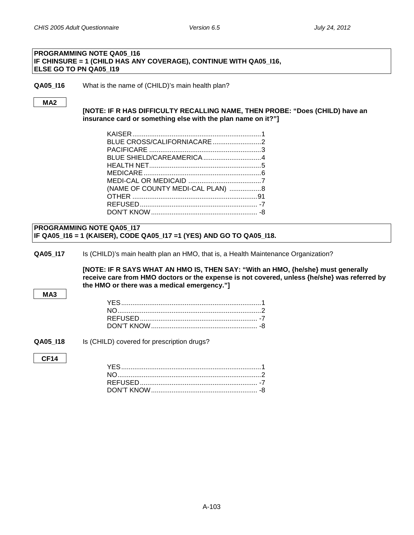#### **PROGRAMMING NOTE QA05\_I16 IF CHINSURE = 1 (CHILD HAS ANY COVERAGE), CONTINUE WITH QA05\_I16, ELSE GO TO PN QA05\_I19**

**QA05\_I16** What is the name of (CHILD)'s main health plan?

## **MA2**

**[NOTE: IF R HAS DIFFICULTY RECALLING NAME, THEN PROBE: "Does (CHILD) have an insurance card or something else with the plan name on it?"]**

| BLUE SHIELD/CAREAMERICA4         |  |
|----------------------------------|--|
|                                  |  |
|                                  |  |
|                                  |  |
| (NAME OF COUNTY MEDI-CAL PLAN) 8 |  |
|                                  |  |
|                                  |  |
|                                  |  |

### **PROGRAMMING NOTE QA05\_I17 IF QA05\_I16 = 1 (KAISER), CODE QA05\_I17 =1 (YES) AND GO TO QA05\_I18.**

**QA05\_I17** Is (CHILD)'s main health plan an HMO, that is, a Health Maintenance Organization?

**[NOTE: IF R SAYS WHAT AN HMO IS, THEN SAY: "With an HMO, {he/she} must generally receive care from HMO doctors or the expense is not covered, unless {he/she} was referred by the HMO or there was a medical emergency."]**

| MA3 |  |
|-----|--|
|     |  |
|     |  |

| QA05_I18 | Is (CHILD) covered for prescription drugs? |  |
|----------|--------------------------------------------|--|
|----------|--------------------------------------------|--|

**CF14**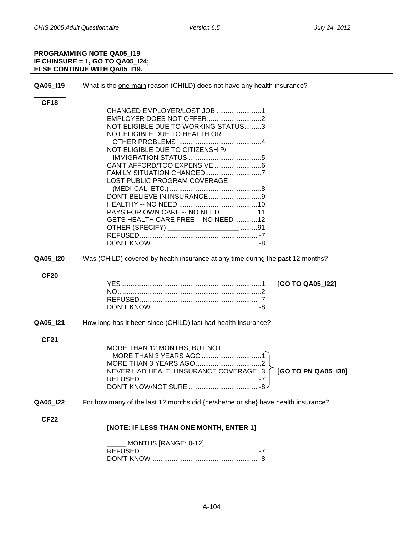| PROGRAMMING NOTE QA05 119<br>IF CHINSURE = 1, GO TO QA05_I24;<br>ELSE CONTINUE WITH QA05_I19. |                                                                                   |
|-----------------------------------------------------------------------------------------------|-----------------------------------------------------------------------------------|
|                                                                                               |                                                                                   |
| QA05_I19                                                                                      | What is the one main reason (CHILD) does not have any health insurance?           |
| CF <sub>18</sub>                                                                              |                                                                                   |
|                                                                                               | CHANGED EMPLOYER/LOST JOB 1                                                       |
|                                                                                               |                                                                                   |
|                                                                                               | NOT ELIGIBLE DUE TO WORKING STATUS3                                               |
|                                                                                               | NOT ELIGIBLE DUE TO HEALTH OR                                                     |
|                                                                                               |                                                                                   |
|                                                                                               | NOT ELIGIBLE DUE TO CITIZENSHIP/                                                  |
|                                                                                               |                                                                                   |
|                                                                                               |                                                                                   |
|                                                                                               | LOST PUBLIC PROGRAM COVERAGE                                                      |
|                                                                                               |                                                                                   |
|                                                                                               | DON'T BELIEVE IN INSURANCE 9                                                      |
|                                                                                               |                                                                                   |
|                                                                                               | PAYS FOR OWN CARE -- NO NEED11                                                    |
|                                                                                               | GETS HEALTH CARE FREE -- NO NEED 12<br>OTHER (SPECIFY) _______________________ 91 |
|                                                                                               |                                                                                   |
|                                                                                               |                                                                                   |
| QA05_I20                                                                                      | Was (CHILD) covered by health insurance at any time during the past 12 months?    |
| <b>CF20</b>                                                                                   |                                                                                   |
|                                                                                               | [GO TO QA05_I22]                                                                  |
|                                                                                               |                                                                                   |
|                                                                                               |                                                                                   |
|                                                                                               |                                                                                   |
| QA05_I21                                                                                      | How long has it been since (CHILD) last had health insurance?                     |
| <b>CF21</b>                                                                                   |                                                                                   |
|                                                                                               | MORE THAN 12 MONTHS, BUT NOT                                                      |
|                                                                                               |                                                                                   |
|                                                                                               |                                                                                   |
|                                                                                               | NEVER HAD HEALTH INSURANCE COVERAGE3<br>[GO TO PN QA05_I30]                       |
|                                                                                               |                                                                                   |
|                                                                                               |                                                                                   |
| QA05 122                                                                                      | For how many of the last 12 months did {he/she/he or she} have health insurance?  |
| <b>CF22</b>                                                                                   | [NOTE: IF LESS THAN ONE MONTH, ENTER 1]                                           |
|                                                                                               | MONTHS [RANGE: 0-12]                                                              |
|                                                                                               |                                                                                   |
|                                                                                               |                                                                                   |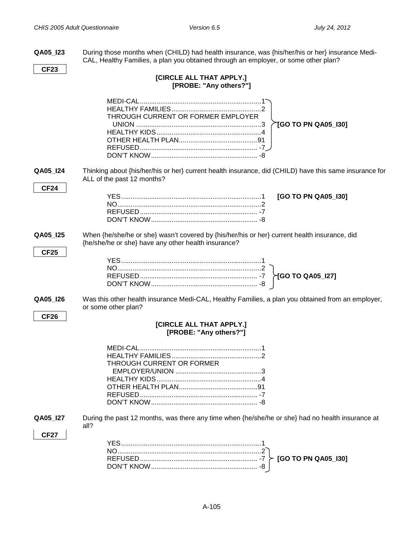**QA05\_I23** During those months when (CHILD) had health insurance, was {his/her/his or her} insurance Medi-CAL, Healthy Families, a plan you obtained through an employer, or some other plan? **CF23 [CIRCLE ALL THAT APPLY.] [PROBE: "Any others?"]** MEDI-CAL.................................................................1 HEALTHY FAMILIES................................................2 THROUGH CURRENT OR FORMER EMPLOYER UNION ...................................................................3 **[GO TO PN QA05\_I30]** HEALTHY KIDS........................................................4 OTHER HEALTH PLAN..........................................91 REFUSED............................................................... -7 DON'T KNOW......................................................... -8 **QA05\_I24** Thinking about {his/her/his or her} current health insurance, did (CHILD) have this same insurance for ALL of the past 12 months? **CF24** YES...........................................................................1 **[GO TO PN QA05\_I30]** NO.............................................................................2 REFUSED............................................................... -7 DON'T KNOW......................................................... -8 **QA05\_I25** When {he/she/he or she} wasn't covered by {his/her/his or her} current health insurance, did {he/she/he or she} have any other health insurance? **CF25** YES...........................................................................1 NO.............................................................................2 REFUSED............................................................... -7 **[GO TO QA05\_I27]** DON'T KNOW......................................................... -8 **QA05\_I26** Was this other health insurance Medi-CAL, Healthy Families, a plan you obtained from an employer, or some other plan? **CF26 [CIRCLE ALL THAT APPLY.] [PROBE: "Any others?"]** MEDI-CAL.................................................................1 HEALTHY FAMILIES................................................2 THROUGH CURRENT OR FORMER EMPLOYER/UNION ..............................................3 HEALTHY KIDS........................................................4 OTHER HEALTH PLAN..........................................91 REFUSED............................................................... -7 DON'T KNOW......................................................... -8 **QA05\_I27** During the past 12 months, was there any time when {he/she/he or she} had no health insurance at all? **CF27** YES...........................................................................1 NO.............................................................................2 REFUSED............................................................... -7 **[GO TO PN QA05\_I30]** DON'T KNOW......................................................... -8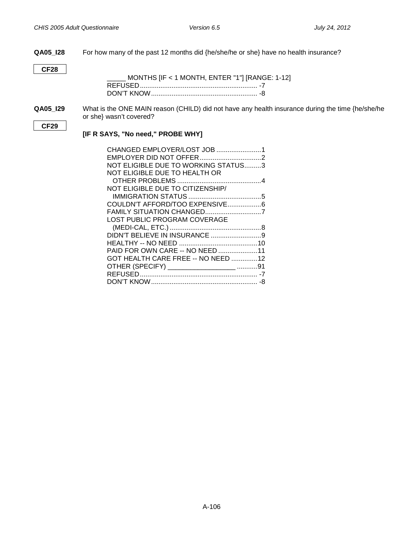| QA05_I28                     | For how many of the past 12 months did {he/she/he or she} have no health insurance?                                                                                                                                                            |
|------------------------------|------------------------------------------------------------------------------------------------------------------------------------------------------------------------------------------------------------------------------------------------|
| <b>CF28</b>                  | MONTHS [IF < 1 MONTH, ENTER "1"] [RANGE: 1-12]                                                                                                                                                                                                 |
| QA05_I29<br>CF <sub>29</sub> | What is the ONE MAIN reason (CHILD) did not have any health insurance during the time {he/she/he<br>or she} wasn't covered?                                                                                                                    |
|                              | [IF R SAYS, "No need," PROBE WHY]                                                                                                                                                                                                              |
|                              | NOT ELIGIBLE DUE TO WORKING STATUS3<br>NOT ELIGIBLE DUE TO HEALTH OR<br>NOT ELIGIBLE DUE TO CITIZENSHIP/<br>COULDN'T AFFORD/TOO EXPENSIVE6<br>LOST PUBLIC PROGRAM COVERAGE<br>DIDN'T BELIEVE IN INSURANCE 9<br>PAID FOR OWN CARE -- NO NEED 11 |

GOT HEALTH CARE FREE -- NO NEED ..............12 OTHER (SPECIFY) \_\_\_\_\_\_\_\_\_\_\_\_\_\_\_\_\_\_ ...........91 REFUSED............................................................... -7 DON'T KNOW......................................................... -8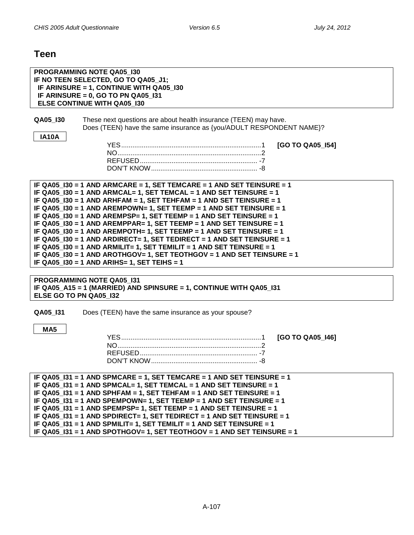## **Teen**

| <b>PROGRAMMING NOTE QA05 130</b><br>IF NO TEEN SELECTED, GO TO QA05_J1;<br>IF ARINSURE = 1, CONTINUE WITH QA05_I30<br>IF ARINSURE = 0, GO TO PN QA05_131<br><b>ELSE CONTINUE WITH QA05_I30</b>                                                                                                                                                                                                                                                                                                                                                                                                                                                                                                                                                                                           |  |  |
|------------------------------------------------------------------------------------------------------------------------------------------------------------------------------------------------------------------------------------------------------------------------------------------------------------------------------------------------------------------------------------------------------------------------------------------------------------------------------------------------------------------------------------------------------------------------------------------------------------------------------------------------------------------------------------------------------------------------------------------------------------------------------------------|--|--|
| QA05_I30<br>These next questions are about health insurance (TEEN) may have.<br>Does (TEEN) have the same insurance as {you/ADULT RESPONDENT NAME}?<br><b>IA10A</b><br>[GO TO QA05_154]                                                                                                                                                                                                                                                                                                                                                                                                                                                                                                                                                                                                  |  |  |
| IF QA05_I30 = 1 AND ARMCARE = 1, SET TEMCARE = 1 AND SET TEINSURE = 1<br>IF QA05_I30 = 1 AND ARMCAL= 1, SET TEMCAL = 1 AND SET TEINSURE = 1<br>IF QA05 130 = 1 AND ARHFAM = 1, SET TEHFAM = 1 AND SET TEINSURE = 1<br>IF QA05 130 = 1 AND AREMPOWN= 1, SET TEEMP = 1 AND SET TEINSURE = 1<br>IF QA05_130 = 1 AND AREMPSP= 1, SET TEEMP = 1 AND SET TEINSURE = 1<br>IF QA05_I30 = 1 AND AREMPPAR= 1, SET TEEMP = 1 AND SET TEINSURE = 1<br>IF QA05_I30 = 1 AND AREMPOTH= 1, SET TEEMP = 1 AND SET TEINSURE = 1<br>IF QA05_I30 = 1 AND ARDIRECT= 1, SET TEDIRECT = 1 AND SET TEINSURE = 1<br>IF QA05 130 = 1 AND ARMILIT= 1, SET TEMILIT = 1 AND SET TEINSURE = 1<br>IF QA05_I30 = 1 AND AROTHGOV= 1, SET TEOTHGOV = 1 AND SET TEINSURE = 1<br>IF QA05_I30 = 1 AND ARIHS= 1, SET TEIHS = 1 |  |  |
| <b>PROGRAMMING NOTE QA05_131</b><br>IF QA05_A15 = 1 (MARRIED) AND SPINSURE = 1, CONTINUE WITH QA05_131<br>ELSE GO TO PN QA05_I32                                                                                                                                                                                                                                                                                                                                                                                                                                                                                                                                                                                                                                                         |  |  |
| Does (TEEN) have the same insurance as your spouse?<br>QA05_I31<br>MA <sub>5</sub>                                                                                                                                                                                                                                                                                                                                                                                                                                                                                                                                                                                                                                                                                                       |  |  |
| [GO TO QA05_146]                                                                                                                                                                                                                                                                                                                                                                                                                                                                                                                                                                                                                                                                                                                                                                         |  |  |
| IF QA05_131 = 1 AND SPMCARE = 1, SET TEMCARE = 1 AND SET TEINSURE = 1<br>IF QA05_131 = 1 AND SPMCAL= 1, SET TEMCAL = 1 AND SET TEINSURE = 1<br>IF QA05 131 = 1 AND SPHFAM = 1, SET TEHFAM = 1 AND SET TEINSURE = 1<br>IF QA05_I31 = 1 AND SPEMPOWN= 1, SET TEEMP = 1 AND SET TEINSURE = 1<br>IF QA05 $131 = 1$ AND SPEMPSP= 1, SET TEEMP = 1 AND SET TEINSURE = 1<br>IF QA05 131 = 1 AND SPDIRECT= 1, SET TEDIRECT = 1 AND SET TEINSURE = 1<br>IF QA05 131 = 1 AND SPMILIT= 1, SET TEMILIT = 1 AND SET TEINSURE = 1<br>IF QA05_I31 = 1 AND SPOTHGOV= 1, SET TEOTHGOV = 1 AND SET TEINSURE = 1                                                                                                                                                                                            |  |  |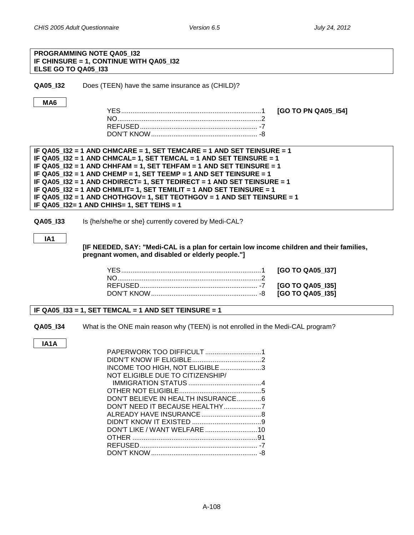| ELSE GO TO QA05_I33 | PROGRAMMING NOTE QA05_I32<br>IF CHINSURE = 1, CONTINUE WITH QA05_I32                                                                                                                                                                                                                                                                                                                                                                                                                                                                                              |
|---------------------|-------------------------------------------------------------------------------------------------------------------------------------------------------------------------------------------------------------------------------------------------------------------------------------------------------------------------------------------------------------------------------------------------------------------------------------------------------------------------------------------------------------------------------------------------------------------|
| QA05_I32            | Does (TEEN) have the same insurance as (CHILD)?                                                                                                                                                                                                                                                                                                                                                                                                                                                                                                                   |
| MA <sub>6</sub>     | [GO TO PN QA05_154]                                                                                                                                                                                                                                                                                                                                                                                                                                                                                                                                               |
|                     | IF QA05_I32 = 1 AND CHMCARE = 1, SET TEMCARE = 1 AND SET TEINSURE = 1<br>IF QA05_I32 = 1 AND CHMCAL= 1, SET TEMCAL = 1 AND SET TEINSURE = 1<br>IF QA05 I32 = 1 AND CHHFAM = 1, SET TEHFAM = 1 AND SET TEINSURE = 1<br>IF QA05_I32 = 1 AND CHEMP = 1, SET TEEMP = 1 AND SET TEINSURE = 1<br>IF QA05_I32 = 1 AND CHDIRECT= 1, SET TEDIRECT = 1 AND SET TEINSURE = 1<br>IF QA05_I32 = 1 AND CHMILIT= 1, SET TEMILIT = 1 AND SET TEINSURE = 1<br>IF QA05_I32 = 1 AND CHOTHGOV= 1, SET TEOTHGOV = 1 AND SET TEINSURE = 1<br>IF QA05_I32= 1 AND CHIHS= 1, SET TEIHS = 1 |
| QA05_I33            | Is {he/she/he or she} currently covered by Medi-CAL?                                                                                                                                                                                                                                                                                                                                                                                                                                                                                                              |
| IA <sub>1</sub>     | [IF NEEDED, SAY: "Medi-CAL is a plan for certain low income children and their families,<br>pregnant women, and disabled or elderly people."]                                                                                                                                                                                                                                                                                                                                                                                                                     |
|                     | [GO TO QA05_137]                                                                                                                                                                                                                                                                                                                                                                                                                                                                                                                                                  |
|                     | [GO TO QA05_135]<br>[GO TO QA05_135]                                                                                                                                                                                                                                                                                                                                                                                                                                                                                                                              |
|                     | IF QA05_I33 = 1, SET TEMCAL = 1 AND SET TEINSURE = 1                                                                                                                                                                                                                                                                                                                                                                                                                                                                                                              |
| QA05_I34            | What is the ONE main reason why (TEEN) is not enrolled in the Medi-CAL program?                                                                                                                                                                                                                                                                                                                                                                                                                                                                                   |
| IA1A                | PAPERWORK TOO DIFFICULT 1<br>INCOME TOO HIGH, NOT ELIGIBLE 3<br>NOT ELIGIBLE DUE TO CITIZENSHIP/<br>DON'T BELIEVE IN HEALTH INSURANCE6<br>DON'T NEED IT BECAUSE HEALTHY7                                                                                                                                                                                                                                                                                                                                                                                          |

DON'T KNOW......................................................... -8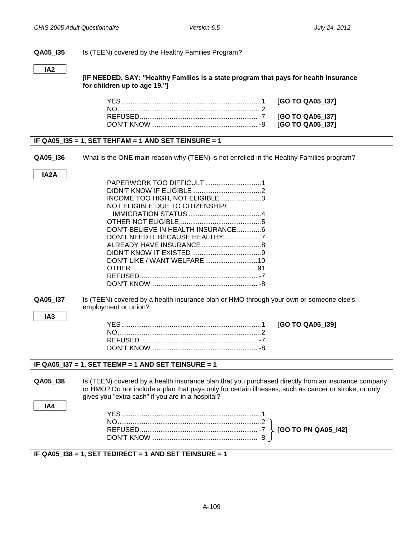#### **QA05\_I35** Is (TEEN) covered by the Healthy Families Program?

**IA2**

**[IF NEEDED, SAY: "Healthy Families is a state program that pays for health insurance for children up to age 19."]**

#### **IF QA05\_I35 = 1, SET TEHFAM = 1 AND SET TEINSURE = 1**

**QA05\_I36** What is the ONE main reason why (TEEN) is not enrolled in the Healthy Families program?

#### **IA2A**

| INCOME TOO HIGH, NOT ELIGIBLE3     |  |
|------------------------------------|--|
| NOT ELIGIBLE DUE TO CITIZENSHIP/   |  |
|                                    |  |
|                                    |  |
| DON'T BELIEVE IN HEALTH INSURANCE6 |  |
|                                    |  |
|                                    |  |
|                                    |  |
|                                    |  |
|                                    |  |
|                                    |  |
|                                    |  |
|                                    |  |

**QA05\_I37** Is (TEEN) covered by a health insurance plan or HMO through your own or someone else's employment or union?

**IA3**

**IA4**

#### **IF QA05\_I37 = 1, SET TEEMP = 1 AND SET TEINSURE = 1**

**QA05 138** Is (TEEN) covered by a health insurance plan that you purchased directly from an insurance company or HMO? Do not include a plan that pays only for certain illnesses, such as cancer or stroke, or only gives you "extra cash" if you are in a hospital?

#### **IF QA05\_I38 = 1, SET TEDIRECT = 1 AND SET TEINSURE = 1**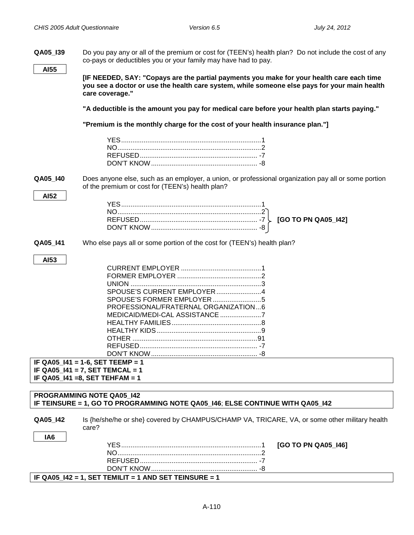| QA05 139        | Do you pay any or all of the premium or cost for (TEEN's) health plan? Do not include the cost of any<br>co-pays or deductibles you or your family may have had to pay.                                      |  |  |
|-----------------|--------------------------------------------------------------------------------------------------------------------------------------------------------------------------------------------------------------|--|--|
| AI55            |                                                                                                                                                                                                              |  |  |
|                 | [IF NEEDED, SAY: "Copays are the partial payments you make for your health care each time<br>you see a doctor or use the health care system, while someone else pays for your main health<br>care coverage." |  |  |
|                 | "A deductible is the amount you pay for medical care before your health plan starts paying."                                                                                                                 |  |  |
|                 | "Premium is the monthly charge for the cost of your health insurance plan."]                                                                                                                                 |  |  |
|                 |                                                                                                                                                                                                              |  |  |
|                 |                                                                                                                                                                                                              |  |  |
|                 |                                                                                                                                                                                                              |  |  |
|                 |                                                                                                                                                                                                              |  |  |
| QA05_I40        | Does anyone else, such as an employer, a union, or professional organization pay all or some portion<br>of the premium or cost for (TEEN's) health plan?                                                     |  |  |
| AI52            |                                                                                                                                                                                                              |  |  |
|                 |                                                                                                                                                                                                              |  |  |
|                 | [GO TO PN QA05_I42]                                                                                                                                                                                          |  |  |
|                 |                                                                                                                                                                                                              |  |  |
|                 |                                                                                                                                                                                                              |  |  |
| QA05_I41        | Who else pays all or some portion of the cost for (TEEN's) health plan?                                                                                                                                      |  |  |
|                 |                                                                                                                                                                                                              |  |  |
| AI53            |                                                                                                                                                                                                              |  |  |
|                 |                                                                                                                                                                                                              |  |  |
|                 |                                                                                                                                                                                                              |  |  |
|                 | SPOUSE'S CURRENT EMPLOYER4                                                                                                                                                                                   |  |  |
|                 |                                                                                                                                                                                                              |  |  |
|                 | PROFESSIONAL/FRATERNAL ORGANIZATION6                                                                                                                                                                         |  |  |
|                 | MEDICAID/MEDI-CAL ASSISTANCE 7                                                                                                                                                                               |  |  |
|                 |                                                                                                                                                                                                              |  |  |
|                 |                                                                                                                                                                                                              |  |  |
|                 |                                                                                                                                                                                                              |  |  |
|                 |                                                                                                                                                                                                              |  |  |
|                 |                                                                                                                                                                                                              |  |  |
|                 | IF QA05 141 = 1-6, SET TEEMP = 1                                                                                                                                                                             |  |  |
|                 | IF QA05_I41 = 7, SET TEMCAL = 1                                                                                                                                                                              |  |  |
|                 | IF QA05_I41 =8, SET TEHFAM = 1                                                                                                                                                                               |  |  |
|                 |                                                                                                                                                                                                              |  |  |
|                 | <b>PROGRAMMING NOTE QA05_I42</b><br>IF TEINSURE = 1, GO TO PROGRAMMING NOTE QA05_146; ELSE CONTINUE WITH QA05_142                                                                                            |  |  |
| QA05_I42        | Is {he/she/he or she} covered by CHAMPUS/CHAMP VA, TRICARE, VA, or some other military health<br>care?                                                                                                       |  |  |
| IA <sub>6</sub> |                                                                                                                                                                                                              |  |  |
|                 | [GO TO PN QA05_I46]                                                                                                                                                                                          |  |  |
|                 |                                                                                                                                                                                                              |  |  |
|                 |                                                                                                                                                                                                              |  |  |
|                 |                                                                                                                                                                                                              |  |  |

**IF QA05\_I42 = 1, SET TEMILIT = 1 AND SET TEINSURE = 1**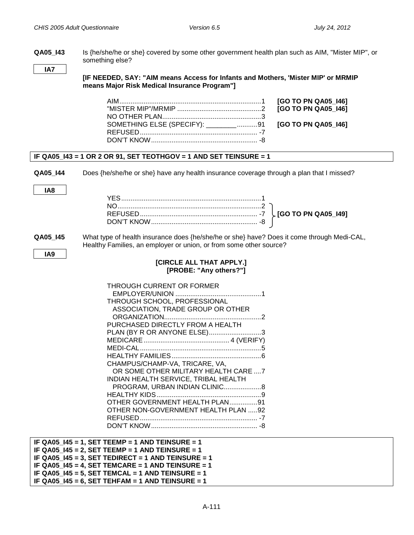**QA05\_I43** Is {he/she/he or she} covered by some other government health plan such as AIM, "Mister MIP", or something else?

**IA7**

**[IF NEEDED, SAY: "AIM means Access for Infants and Mothers, 'Mister MIP' or MRMIP means Major Risk Medical Insurance Program"]**

| SOMETHING ELSE (SPECIFY): ________91 [GO TO PN QA05_I46] |  |
|----------------------------------------------------------|--|
|                                                          |  |
|                                                          |  |

#### **IF QA05\_I43 = 1 OR 2 OR 91, SET TEOTHGOV = 1 AND SET TEINSURE = 1**

**QA05 144** Does {he/she/he or she} have any health insurance coverage through a plan that I missed?

#### **IA8**

| $\cup$ IGO TO PN QA05 1491 |
|----------------------------|
|                            |
|                            |

#### **QA05\_I45** What type of health insurance does {he/she/he or she} have? Does it come through Medi-CAL,

**IA9**

#### **[CIRCLE ALL THAT APPLY.] [PROBE: "Any others?"]**

Healthy Families, an employer or union, or from some other source?

| THROUGH CURRENT OR FORMER             |    |
|---------------------------------------|----|
|                                       |    |
| THROUGH SCHOOL, PROFESSIONAL          |    |
| ASSOCIATION, TRADE GROUP OR OTHER     |    |
|                                       |    |
| PURCHASED DIRECTLY FROM A HEALTH      |    |
| PLAN (BY R OR ANYONE ELSE)3           |    |
|                                       |    |
|                                       |    |
|                                       |    |
| CHAMPUS/CHAMP-VA, TRICARE, VA,        |    |
| OR SOME OTHER MILITARY HEALTH CARE  7 |    |
| INDIAN HEALTH SERVICE, TRIBAL HEALTH  |    |
| PROGRAM, URBAN INDIAN CLINIC8         |    |
|                                       |    |
| OTHER GOVERNMENT HEALTH PLAN91        |    |
| OTHER NON-GOVERNMENT HEALTH PLAN 92   |    |
|                                       |    |
|                                       | -8 |
|                                       |    |

**IF QA05\_I45 = 1, SET TEEMP = 1 AND TEINSURE = 1 IF QA05\_I45 = 2, SET TEEMP = 1 AND TEINSURE = 1 IF QA05\_I45 = 3, SET TEDIRECT = 1 AND TEINSURE = 1 IF QA05\_I45 = 4, SET TEMCARE = 1 AND TEINSURE = 1 IF QA05\_I45 = 5, SET TEMCAL = 1 AND TEINSURE = 1 IF QA05\_I45 = 6, SET TEHFAM = 1 AND TEINSURE = 1**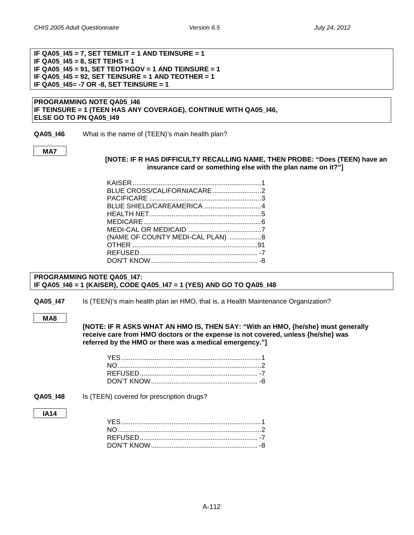```
IF QA05_I45 = 7, SET TEMILIT = 1 AND TEINSURE = 1
IF QA05_I45 = 8, SET TEIHS = 1
IF QA05_I45 = 91, SET TEOTHGOV = 1 AND TEINSURE = 1
IF QA05_I45 = 92, SET TEINSURE = 1 AND TEOTHER = 1
IF QA05_I45= -7 OR -8, SET TEINSURE = 1
```
**PROGRAMMING NOTE QA05\_I46 IF TEINSURE = 1 (TEEN HAS ANY COVERAGE), CONTINUE WITH QA05\_I46, ELSE GO TO PN QA05\_I49**

**QA05\_I46** What is the name of (TEEN)'s main health plan?

#### **MA7**

#### **[NOTE: IF R HAS DIFFICULTY RECALLING NAME, THEN PROBE: "Does (TEEN) have an insurance card or something else with the plan name on it?"]**

| BLUE SHIELD/CAREAMERICA4         |
|----------------------------------|
|                                  |
|                                  |
|                                  |
| (NAME OF COUNTY MEDI-CAL PLAN) 8 |
|                                  |
|                                  |
|                                  |
|                                  |

#### **PROGRAMMING NOTE QA05\_I47: IF QA05\_I46 = 1 (KAISER), CODE QA05\_I47 = 1 (YES) AND GO TO QA05\_I48**

**QA05\_I47** Is (TEEN)'s main health plan an HMO, that is, a Health Maintenance Organization?

#### **MA8**

**[NOTE: IF R ASKS WHAT AN HMO IS, THEN SAY: "With an HMO, {he/she} must generally receive care from HMO doctors or the expense is not covered, unless {he/she} was referred by the HMO or there was a medical emergency."]**

**QA05\_I48** Is (TEEN) covered for prescription drugs?

#### **IA14**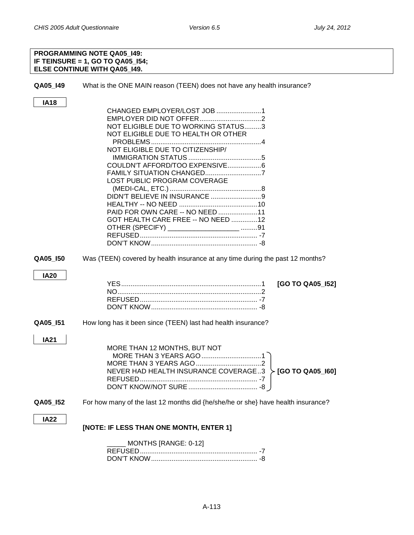|                         | <b>PROGRAMMING NOTE QA05_149:</b><br>IF TEINSURE = 1, GO TO QA05 154;<br><b>ELSE CONTINUE WITH QA05 149.</b>                                                                                                                                     |
|-------------------------|--------------------------------------------------------------------------------------------------------------------------------------------------------------------------------------------------------------------------------------------------|
| QA05 149                | What is the ONE MAIN reason (TEEN) does not have any health insurance?                                                                                                                                                                           |
| <b>IA18</b>             | CHANGED EMPLOYER/LOST JOB 1<br>NOT ELIGIBLE DUE TO WORKING STATUS3<br>NOT ELIGIBLE DUE TO HEALTH OR OTHER<br>NOT ELIGIBLE DUE TO CITIZENSHIP/<br>COULDN'T AFFORD/TOO EXPENSIVE6<br>LOST PUBLIC PROGRAM COVERAGE<br>DIDN'T BELIEVE IN INSURANCE 9 |
| QA05_I50<br><b>IA20</b> | PAID FOR OWN CARE -- NO NEED 11<br>GOT HEALTH CARE FREE -- NO NEED 12<br>OTHER (SPECIFY) ___________________________91<br>Was (TEEN) covered by health insurance at any time during the past 12 months?<br>[GO TO QA05_152]                      |
| QA05_151                | How long has it been since (TEEN) last had health insurance?                                                                                                                                                                                     |
| <b>IA21</b>             | MORE THAN 12 MONTHS, BUT NOT<br>NEVER HAD HEALTH INSURANCE COVERAGE3 > [GO TO QA05_160]                                                                                                                                                          |
| QA05_I52<br><b>IA22</b> | For how many of the last 12 months did {he/she/he or she} have health insurance?                                                                                                                                                                 |
|                         | [NOTE: IF LESS THAN ONE MONTH, ENTER 1]<br>MONTHS [RANGE: 0-12]                                                                                                                                                                                  |
|                         |                                                                                                                                                                                                                                                  |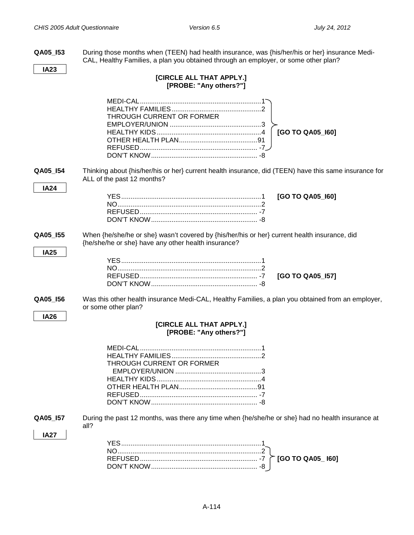**QA05\_I53** During those months when (TEEN) had health insurance, was {his/her/his or her} insurance Medi-CAL, Healthy Families, a plan you obtained through an employer, or some other plan?

|--|

#### **[CIRCLE ALL THAT APPLY.] [PROBE: "Any others?"]**

| QA05_I54    | THROUGH CURRENT OR FORMER<br>[GO TO QA05_160]<br>Thinking about {his/her/his or her} current health insurance, did (TEEN) have this same insurance for |
|-------------|--------------------------------------------------------------------------------------------------------------------------------------------------------|
|             | ALL of the past 12 months?                                                                                                                             |
| <b>IA24</b> | [GO TO QA05_160]                                                                                                                                       |
| QA05_155    | When {he/she/he or she} wasn't covered by {his/her/his or her} current health insurance, did<br>{he/she/he or she} have any other health insurance?    |
| <b>IA25</b> | [GO TO QA05_157]                                                                                                                                       |
| QA05_I56    | Was this other health insurance Medi-CAL, Healthy Families, a plan you obtained from an employer,<br>or some other plan?                               |
| <b>IA26</b> | [CIRCLE ALL THAT APPLY.]<br>[PROBE: "Any others?"]                                                                                                     |
|             | THROUGH CURRENT OR FORMER<br><b>REELISED</b>                                                                                                           |
| QA05_I57    | During the past 12 months, was there any time when {he/she/he or she} had no health insurance at<br>all?                                               |
| <b>IA27</b> |                                                                                                                                                        |
|             |                                                                                                                                                        |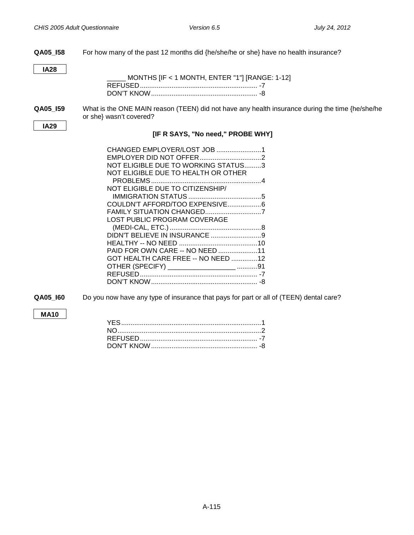| QA05 158    | For how many of the past 12 months did {he/she/he or she} have no health insurance?                                                                                                                                                                                                                                       |  |  |
|-------------|---------------------------------------------------------------------------------------------------------------------------------------------------------------------------------------------------------------------------------------------------------------------------------------------------------------------------|--|--|
| <b>IA28</b> | MONTHS [IF < 1 MONTH, ENTER "1"] [RANGE: 1-12]                                                                                                                                                                                                                                                                            |  |  |
| QA05 159    | What is the ONE MAIN reason (TEEN) did not have any health insurance during the time {he/she/he<br>or she} wasn't covered?                                                                                                                                                                                                |  |  |
| <b>IA29</b> | [IF R SAYS, "No need," PROBE WHY]                                                                                                                                                                                                                                                                                         |  |  |
|             | CHANGED EMPLOYER/LOST JOB 1<br>NOT ELIGIBLE DUE TO WORKING STATUS3<br>NOT ELIGIBLE DUE TO HEALTH OR OTHER<br>NOT ELIGIBLE DUE TO CITIZENSHIP/<br>COULDN'T AFFORD/TOO EXPENSIVE6<br>LOST PUBLIC PROGRAM COVERAGE<br>DIDN'T BELIEVE IN INSURANCE 9<br>PAID FOR OWN CARE -- NO NEED 11<br>GOT HEALTH CARE FREE -- NO NEED 12 |  |  |
| QA05 160    | Do you now have any type of insurance that pays for part or all of (TEEN) dental care?                                                                                                                                                                                                                                    |  |  |
| <b>MA10</b> | VES                                                                                                                                                                                                                                                                                                                       |  |  |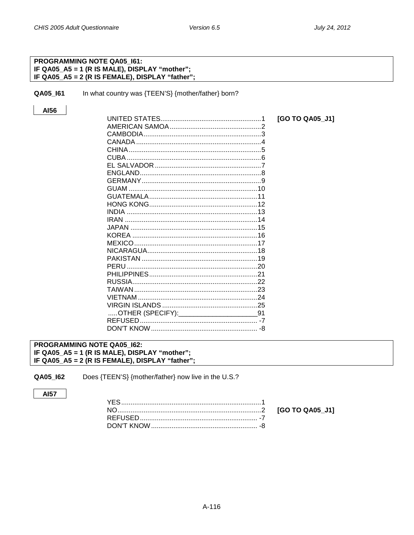[GO TO QA05\_J1]

#### PROGRAMMING NOTE QA05\_I61: IF QA05\_A5 = 1 (R IS MALE), DISPLAY "mother"; IF QA05\_A5 = 2 (R IS FEMALE), DISPLAY "father";

QA05\_I61 In what country was {TEEN'S} {mother/father} born?

#### AI56

| OTHER (SPECIFY):________________________91 |  |
|--------------------------------------------|--|
|                                            |  |
|                                            |  |

PROGRAMMING NOTE QA05\_I62: IF QA05\_A5 = 1 (R IS MALE), DISPLAY "mother"; IF QA05\_A5 = 2 (R IS FEMALE), DISPLAY "father";

QA05\_I62 Does {TEEN'S} {mother/father} now live in the U.S.?

**AI57**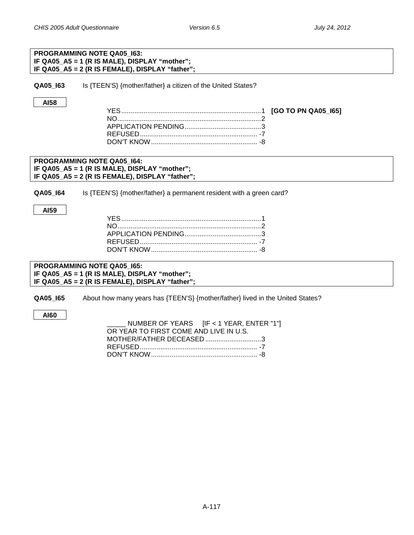| <b>PROGRAMMING NOTE QA05 163:</b> |                                                                                    |  |  |
|-----------------------------------|------------------------------------------------------------------------------------|--|--|
|                                   | IF QA05_A5 = 1 (R IS MALE), DISPLAY "mother";                                      |  |  |
|                                   | IF QA05_A5 = 2 (R IS FEMALE), DISPLAY "father";                                    |  |  |
| QA05_I63                          | Is {TEEN'S} {mother/father} a citizen of the United States?                        |  |  |
| AI58                              |                                                                                    |  |  |
|                                   |                                                                                    |  |  |
|                                   |                                                                                    |  |  |
|                                   |                                                                                    |  |  |
|                                   |                                                                                    |  |  |
|                                   |                                                                                    |  |  |
|                                   | <b>PROGRAMMING NOTE QA05 164:</b>                                                  |  |  |
|                                   | IF QA05_A5 = 1 (R IS MALE), DISPLAY "mother";                                      |  |  |
|                                   | IF QA05_A5 = 2 (R IS FEMALE), DISPLAY "father";                                    |  |  |
| QA05 164                          | Is {TEEN'S} {mother/father} a permanent resident with a green card?                |  |  |
| AI59                              |                                                                                    |  |  |
|                                   |                                                                                    |  |  |
|                                   |                                                                                    |  |  |
|                                   |                                                                                    |  |  |
|                                   |                                                                                    |  |  |
|                                   |                                                                                    |  |  |
|                                   |                                                                                    |  |  |
|                                   | <b>PROGRAMMING NOTE QA05 165:</b><br>IF QA05_A5 = 1 (R IS MALE), DISPLAY "mother"; |  |  |
|                                   | IF QA05_A5 = 2 (R IS FEMALE), DISPLAY "father";                                    |  |  |
| QA05_I65                          | About how many years has {TEEN'S} {mother/father} lived in the United States?      |  |  |
|                                   |                                                                                    |  |  |
| <b>AI60</b>                       |                                                                                    |  |  |
|                                   | NUMBER OF YEARS [IF < 1 YEAR, ENTER "1"]                                           |  |  |
|                                   | OR YEAR TO FIRST COME AND LIVE IN U.S.                                             |  |  |
|                                   | MOTHER/FATHER DECEASED3                                                            |  |  |
|                                   |                                                                                    |  |  |
|                                   |                                                                                    |  |  |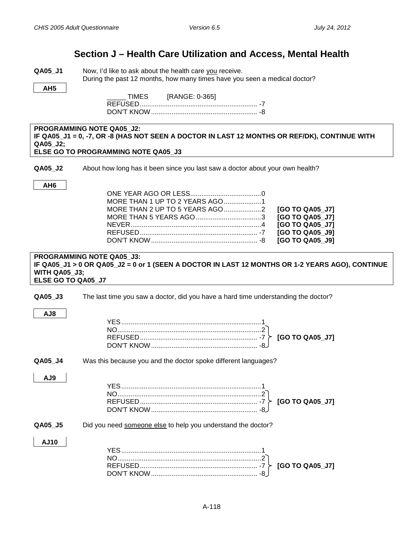# **Section J – Health Care Utilization and Access, Mental Health**

QA05\_J1 Now, I'd like to ask about the health care you receive. During the past 12 months, how many times have you seen a medical doctor?

**AH5**

| TIMES [RANGE: 0-365] |
|----------------------|
|                      |
|                      |

| QA05_J2;                                   | PROGRAMMING NOTE QA05 J2:<br>IF QA05_J1 = 0, -7, OR -8 (HAS NOT SEEN A DOCTOR IN LAST 12 MONTHS OR REF/DK), CONTINUE WITH<br>ELSE GO TO PROGRAMMING NOTE QA05_J3 |                                                                                             |
|--------------------------------------------|------------------------------------------------------------------------------------------------------------------------------------------------------------------|---------------------------------------------------------------------------------------------|
| QA05_J2                                    | About how long has it been since you last saw a doctor about your own health?                                                                                    |                                                                                             |
| AH <sub>6</sub>                            | MORE THAN 1 UP TO 2 YEARS AGO 1<br>MORE THAN 2 UP TO 5 YEARS AGO2                                                                                                | [GO TO QA05_J7]<br>[GO TO QA05_J7]<br>[GO TO QA05_J7]<br>[GO TO QA05_J9]<br>[GO TO QA05_J9] |
| <b>WITH QA05_J3;</b><br>ELSE GO TO QA05_J7 | PROGRAMMING NOTE QA05_J3:<br>IF QA05_J1 > 0 OR QA05_J2 = 0 or 1 (SEEN A DOCTOR IN LAST 12 MONTHS OR 1-2 YEARS AGO), CONTINUE                                     |                                                                                             |
| QA05_J3                                    | The last time you saw a doctor, did you have a hard time understanding the doctor?                                                                               |                                                                                             |
| AJ8                                        |                                                                                                                                                                  | [GO TO QA05_J7]                                                                             |
| QA05_J4                                    | Was this because you and the doctor spoke different languages?                                                                                                   |                                                                                             |
| AJ9                                        |                                                                                                                                                                  | [GO TO QA05_J7]                                                                             |
| QA05_J5                                    | Did you need someone else to help you understand the doctor?                                                                                                     |                                                                                             |
| <b>AJ10</b>                                |                                                                                                                                                                  |                                                                                             |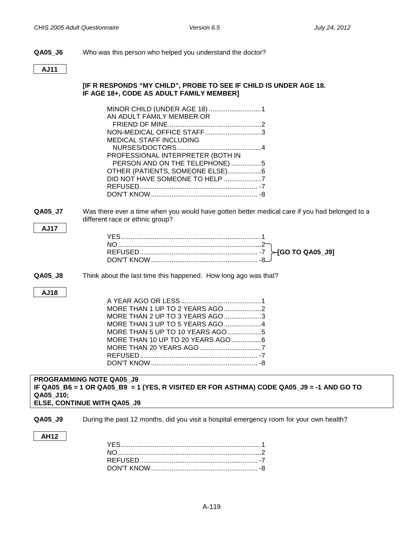**QA05\_J6** Who was this person who helped you understand the doctor?

#### **AJ11**

#### **[IF R RESPONDS "MY CHILD", PROBE TO SEE IF CHILD IS UNDER AGE 18. IF AGE 18+, CODE AS ADULT FAMILY MEMBER]**

|             | MINOR CHILD (UNDER AGE 18) 1                                                                                                     |
|-------------|----------------------------------------------------------------------------------------------------------------------------------|
|             | AN ADULT FAMILY MEMBER OR                                                                                                        |
|             | NON-MEDICAL OFFICE STAFF3                                                                                                        |
|             | MEDICAL STAFF INCLUDING                                                                                                          |
|             |                                                                                                                                  |
|             | PROFESSIONAL INTERPRETER (BOTH IN                                                                                                |
|             | PERSON AND ON THE TELEPHONE) 5                                                                                                   |
|             | OTHER (PATIENTS, SOMEONE ELSE)6                                                                                                  |
|             | DID NOT HAVE SOMEONE TO HELP 7                                                                                                   |
|             |                                                                                                                                  |
|             |                                                                                                                                  |
|             |                                                                                                                                  |
| QA05_J7     | Was there ever a time when you would have gotten better medical care if you had belonged to a<br>different race or ethnic group? |
| <b>AJ17</b> |                                                                                                                                  |
|             |                                                                                                                                  |
|             |                                                                                                                                  |
|             |                                                                                                                                  |
|             |                                                                                                                                  |
| QA05 J8     | Think about the last time this happened. How long ago was that?                                                                  |
| AJ18        |                                                                                                                                  |
|             |                                                                                                                                  |
|             | MORE THAN 1 UP TO 2 YEARS AGO2                                                                                                   |
|             | MORE THAN 2 UP TO 3 YEARS AGO3                                                                                                   |
|             | MORE THAN 3 UP TO 5 YEARS AGO4                                                                                                   |
|             | MORE THAN 5 UP TO 10 YEARS AGO 5                                                                                                 |
|             | MORE THAN 10 UP TO 20 YEARS AGO6                                                                                                 |
|             |                                                                                                                                  |
|             |                                                                                                                                  |
|             |                                                                                                                                  |
|             |                                                                                                                                  |
|             | PROGRAMMING NOTE QA05_J9                                                                                                         |

## **IF QA05\_B6 = 1 OR QA05\_B9 = 1 (YES, R VISITED ER FOR ASTHMA) CODE QA05\_J9 = -1 AND GO TO QA05\_J10; ELSE, CONTINUE WITH QA05\_J9**

**QA05\_J9** During the past 12 months, did you visit a hospital emergency room for your own health?

**AH12**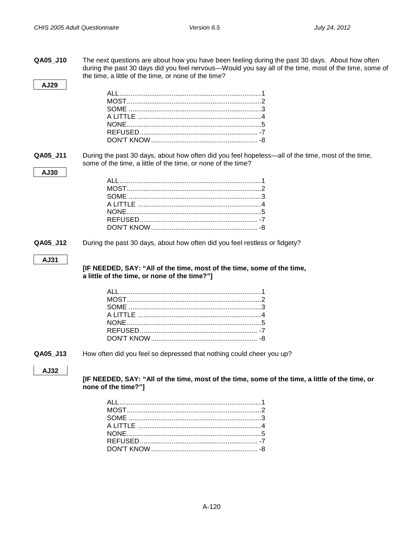**QA05\_J10** The next questions are about how you have been feeling during the past 30 days. About how often during the past 30 days did you feel nervous—Would you say all of the time, most of the time, some of the time, a little of the time, or none of the time? **AJ29**

**QA05\_J11** During the past 30 days, about how often did you feel hopeless—all of the time, most of the time, some of the time, a little of the time, or none of the time?

|--|

**QA05\_J12** During the past 30 days, about how often did you feel restless or fidgety?

**AJ31**

**[IF NEEDED, SAY: "All of the time, most of the time, some of the time, a little of the time, or none of the time?"]**

**QA05\_J13** How often did you feel so depressed that nothing could cheer you up?

**AJ32**

**[IF NEEDED, SAY: "All of the time, most of the time, some of the time, a little of the time, or none of the time?"]**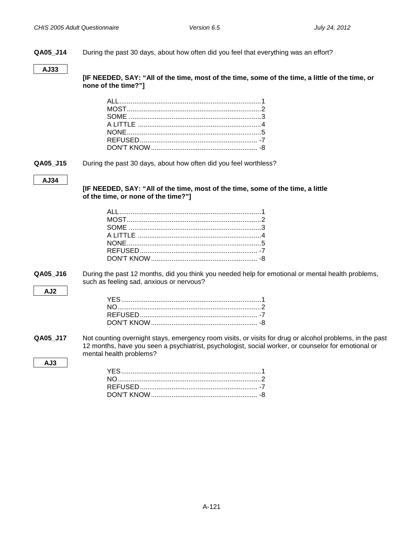**QA05\_J14** During the past 30 days, about how often did you feel that everything was an effort?

#### **AJ33**

**[IF NEEDED, SAY: "All of the time, most of the time, some of the time, a little of the time, or none of the time?"]**

#### **QA05\_J15** During the past 30 days, about how often did you feel worthless?

#### **AJ34**

**[IF NEEDED, SAY: "All of the time, most of the time, some of the time, a little of the time, or none of the time?"]**

**QA05\_J16** During the past 12 months, did you think you needed help for emotional or mental health problems, such as feeling sad, anxious or nervous?

**QA05\_J17** Not counting overnight stays, emergency room visits, or visits for drug or alcohol problems, in the past 12 months, have you seen a psychiatrist, psychologist, social worker, or counselor for emotional or mental health problems?

#### **AJ3**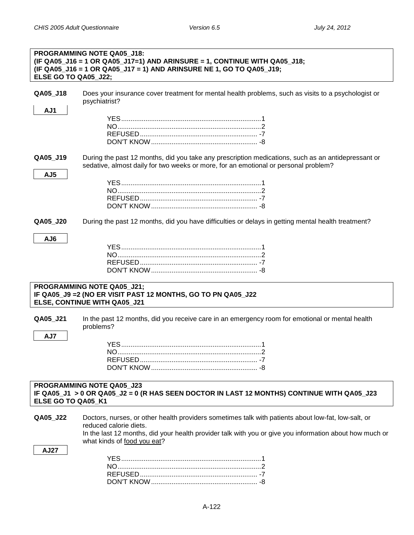| PROGRAMMING NOTE QA05_J18:<br>(IF QA05_J16 = 1 OR QA05_J17=1) AND ARINSURE = 1, CONTINUE WITH QA05_J18;<br>(IF QA05_J16 = 1 OR QA05_J17 = 1) AND ARINSURE NE 1, GO TO QA05_J19;<br>ELSE GO TO QA05 J22; |                                                                                                                                                                                           |  |
|---------------------------------------------------------------------------------------------------------------------------------------------------------------------------------------------------------|-------------------------------------------------------------------------------------------------------------------------------------------------------------------------------------------|--|
| QA05_J18                                                                                                                                                                                                | Does your insurance cover treatment for mental health problems, such as visits to a psychologist or<br>psychiatrist?                                                                      |  |
| AJ1                                                                                                                                                                                                     |                                                                                                                                                                                           |  |
|                                                                                                                                                                                                         |                                                                                                                                                                                           |  |
|                                                                                                                                                                                                         |                                                                                                                                                                                           |  |
|                                                                                                                                                                                                         |                                                                                                                                                                                           |  |
|                                                                                                                                                                                                         |                                                                                                                                                                                           |  |
| QA05_J19                                                                                                                                                                                                | During the past 12 months, did you take any prescription medications, such as an antidepressant or<br>sedative, almost daily for two weeks or more, for an emotional or personal problem? |  |
| AJ5                                                                                                                                                                                                     |                                                                                                                                                                                           |  |
|                                                                                                                                                                                                         |                                                                                                                                                                                           |  |
|                                                                                                                                                                                                         |                                                                                                                                                                                           |  |
|                                                                                                                                                                                                         |                                                                                                                                                                                           |  |
|                                                                                                                                                                                                         |                                                                                                                                                                                           |  |
| QA05_J20                                                                                                                                                                                                | During the past 12 months, did you have difficulties or delays in getting mental health treatment?                                                                                        |  |
| AJ6                                                                                                                                                                                                     |                                                                                                                                                                                           |  |
|                                                                                                                                                                                                         |                                                                                                                                                                                           |  |
|                                                                                                                                                                                                         |                                                                                                                                                                                           |  |
|                                                                                                                                                                                                         |                                                                                                                                                                                           |  |
|                                                                                                                                                                                                         |                                                                                                                                                                                           |  |
|                                                                                                                                                                                                         |                                                                                                                                                                                           |  |
|                                                                                                                                                                                                         | PROGRAMMING NOTE QA05_J21;<br>IF QA05_J9 = 2 (NO ER VISIT PAST 12 MONTHS, GO TO PN QA05_J22<br>ELSE, CONTINUE WITH QA05_J21                                                               |  |
| QA05 J21                                                                                                                                                                                                | In the past 12 months, did you receive care in an emergency room for emotional or mental health<br>problems?                                                                              |  |
| AJ7                                                                                                                                                                                                     |                                                                                                                                                                                           |  |
|                                                                                                                                                                                                         |                                                                                                                                                                                           |  |
|                                                                                                                                                                                                         |                                                                                                                                                                                           |  |
|                                                                                                                                                                                                         |                                                                                                                                                                                           |  |
|                                                                                                                                                                                                         |                                                                                                                                                                                           |  |
|                                                                                                                                                                                                         | PROGRAMMING NOTE QA05_J23<br>IF QA05_J1 > 0 OR QA05_J2 = 0 (R HAS SEEN DOCTOR IN LAST 12 MONTHS) CONTINUE WITH QA05_J23                                                                   |  |
| ELSE GO TO QA05 K1                                                                                                                                                                                      |                                                                                                                                                                                           |  |
|                                                                                                                                                                                                         |                                                                                                                                                                                           |  |
| QA05 J22                                                                                                                                                                                                | Doctors, nurses, or other health providers sometimes talk with patients about low-fat, low-salt, or<br>reduced calorie diets.                                                             |  |
|                                                                                                                                                                                                         | In the last 12 months, did your health provider talk with you or give you information about how much or                                                                                   |  |
|                                                                                                                                                                                                         | what kinds of food you eat?                                                                                                                                                               |  |
| <b>AJ27</b>                                                                                                                                                                                             |                                                                                                                                                                                           |  |
|                                                                                                                                                                                                         |                                                                                                                                                                                           |  |
|                                                                                                                                                                                                         |                                                                                                                                                                                           |  |
|                                                                                                                                                                                                         |                                                                                                                                                                                           |  |
|                                                                                                                                                                                                         |                                                                                                                                                                                           |  |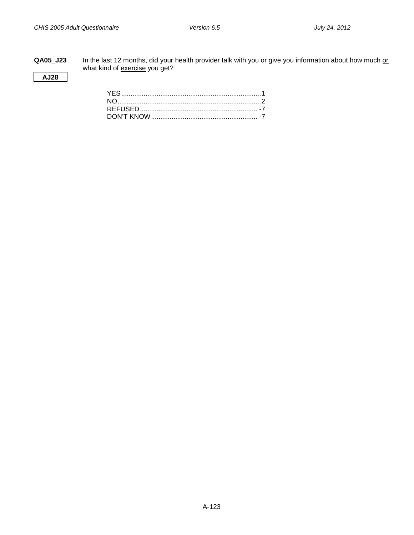#### QA05\_J23 In the last 12 months, did your health provider talk with you or give you information about how much or what kind of exercise you get? **AJ28**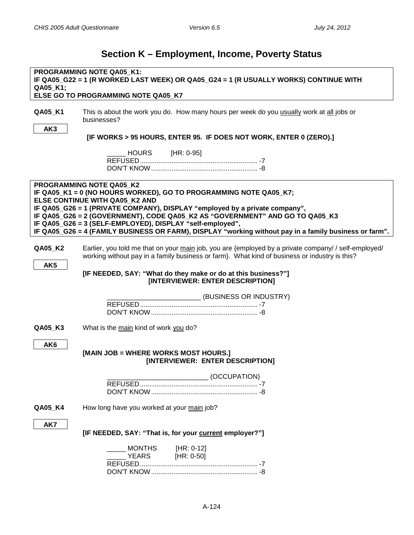# **Section K – Employment, Income, Poverty Status**

| QA05 K1;                   | <b>PROGRAMMING NOTE QA05 K1:</b><br>IF QA05_G22 = 1 (R WORKED LAST WEEK) OR QA05_G24 = 1 (R USUALLY WORKS) CONTINUE WITH<br>ELSE GO TO PROGRAMMING NOTE QA05_K7                                                                                                                                                                                                                                                                                                       |
|----------------------------|-----------------------------------------------------------------------------------------------------------------------------------------------------------------------------------------------------------------------------------------------------------------------------------------------------------------------------------------------------------------------------------------------------------------------------------------------------------------------|
| QA05_K1<br>AK3             | This is about the work you do. How many hours per week do you usually work at all jobs or<br>businesses?<br>[IF WORKS > 95 HOURS, ENTER 95. IF DOES NOT WORK, ENTER 0 (ZERO).]                                                                                                                                                                                                                                                                                        |
|                            | HOURS [HR: 0-95]                                                                                                                                                                                                                                                                                                                                                                                                                                                      |
|                            | PROGRAMMING NOTE QA05 K2<br>IF QA05_K1 = 0 (NO HOURS WORKED), GO TO PROGRAMMING NOTE QA05_K7;<br>ELSE CONTINUE WITH QA05_K2 AND<br>IF QA05_G26 = 1 (PRIVATE COMPANY), DISPLAY "employed by a private company",<br>IF QA05_G26 = 2 (GOVERNMENT), CODE QA05_K2 AS "GOVERNMENT" AND GO TO QA05_K3<br>IF QA05_G26 = 3 (SELF-EMPLOYED), DISPLAY "self-employed",<br>IF QA05_G26 = 4 (FAMILY BUSINESS OR FARM), DISPLAY "working without pay in a family business or farm". |
| QA05_K2<br>AK <sub>5</sub> | Earlier, you told me that on your main job, you are {employed by a private company/ / self-employed/<br>working without pay in a family business or farm}. What kind of business or industry is this?<br>[IF NEEDED, SAY: "What do they make or do at this business?"]<br>[INTERVIEWER: ENTER DESCRIPTION]                                                                                                                                                            |
|                            | ____________ (BUSINESS OR INDUSTRY)                                                                                                                                                                                                                                                                                                                                                                                                                                   |
| QA05 K3                    | What is the main kind of work you do?                                                                                                                                                                                                                                                                                                                                                                                                                                 |
| AK6                        | [MAIN JOB = WHERE WORKS MOST HOURS.]<br>[INTERVIEWER: ENTER DESCRIPTION]                                                                                                                                                                                                                                                                                                                                                                                              |
|                            | (OCCUPATION)                                                                                                                                                                                                                                                                                                                                                                                                                                                          |
| QA05_K4                    | How long have you worked at your main job?                                                                                                                                                                                                                                                                                                                                                                                                                            |
| AK7                        | [IF NEEDED, SAY: "That is, for your current employer?"]                                                                                                                                                                                                                                                                                                                                                                                                               |
|                            | MONTHS [HR: 0-12]<br>YEARS [HR: 0-50]                                                                                                                                                                                                                                                                                                                                                                                                                                 |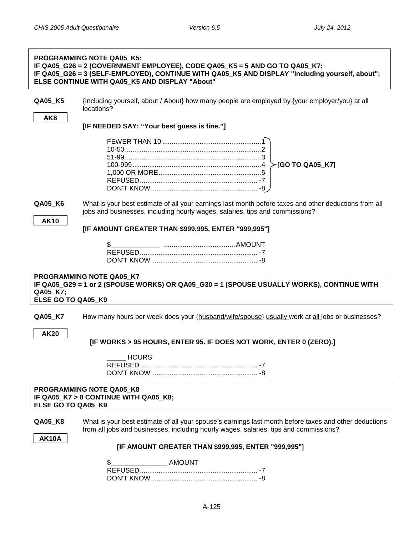| <b>PROGRAMMING NOTE QA05_K5:</b><br>IF QA05_G26 = 2 (GOVERNMENT EMPLOYEE), CODE QA05_K5 = 5 AND GO TO QA05_K7;<br>IF QA05_G26 = 3 (SELF-EMPLOYED), CONTINUE WITH QA05_K5 AND DISPLAY "Including yourself, about";<br>ELSE CONTINUE WITH QA05 K5 AND DISPLAY "About" |                                                                                                                                                                                                                                                       |  |  |  |  |  |
|---------------------------------------------------------------------------------------------------------------------------------------------------------------------------------------------------------------------------------------------------------------------|-------------------------------------------------------------------------------------------------------------------------------------------------------------------------------------------------------------------------------------------------------|--|--|--|--|--|
| QA05_K5<br>AK8                                                                                                                                                                                                                                                      | {Including yourself, about / About} how many people are employed by {your employer/you} at all<br>locations?<br>[IF NEEDED SAY: "Your best guess is fine."]                                                                                           |  |  |  |  |  |
|                                                                                                                                                                                                                                                                     | [GO TO QA05_K7]                                                                                                                                                                                                                                       |  |  |  |  |  |
| QA05_K6<br><b>AK10</b>                                                                                                                                                                                                                                              | What is your best estimate of all your earnings last month before taxes and other deductions from all<br>jobs and businesses, including hourly wages, salaries, tips and commissions?<br>[IF AMOUNT GREATER THAN \$999,995, ENTER "999,995"]          |  |  |  |  |  |
|                                                                                                                                                                                                                                                                     | \$_                                                                                                                                                                                                                                                   |  |  |  |  |  |
| QA05_K7;<br>ELSE GO TO QA05_K9                                                                                                                                                                                                                                      | PROGRAMMING NOTE QA05 K7<br>IF QA05_G29 = 1 or 2 (SPOUSE WORKS) OR QA05_G30 = 1 (SPOUSE USUALLY WORKS), CONTINUE WITH                                                                                                                                 |  |  |  |  |  |
| QA05_K7<br><b>AK20</b>                                                                                                                                                                                                                                              | How many hours per week does your {husband/wife/spouse} usually work at all jobs or businesses?                                                                                                                                                       |  |  |  |  |  |
|                                                                                                                                                                                                                                                                     | [IF WORKS > 95 HOURS, ENTER 95. IF DOES NOT WORK, ENTER 0 (ZERO).]<br><b>HOURS</b>                                                                                                                                                                    |  |  |  |  |  |
| ELSE GO TO QA05 K9                                                                                                                                                                                                                                                  | PROGRAMMING NOTE QA05_K8<br>IF QA05_K7 > 0 CONTINUE WITH QA05_K8;                                                                                                                                                                                     |  |  |  |  |  |
| QA05_K8<br><b>AK10A</b>                                                                                                                                                                                                                                             | What is your best estimate of all your spouse's earnings last month before taxes and other deductions<br>from all jobs and businesses, including hourly wages, salaries, tips and commissions?<br>[IF AMOUNT GREATER THAN \$999,995, ENTER "999,995"] |  |  |  |  |  |
|                                                                                                                                                                                                                                                                     | AMOUNT<br>\$                                                                                                                                                                                                                                          |  |  |  |  |  |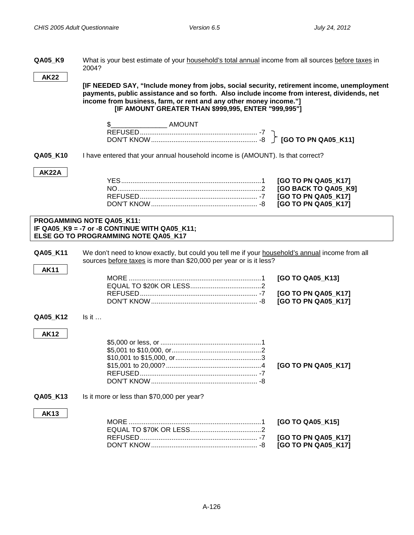| QA05_K9                 | 2004?                                                                                                                    | What is your best estimate of your household's total annual income from all sources before taxes in                                                                                       |
|-------------------------|--------------------------------------------------------------------------------------------------------------------------|-------------------------------------------------------------------------------------------------------------------------------------------------------------------------------------------|
| <b>AK22</b>             | income from business, farm, or rent and any other money income."]<br>[IF AMOUNT GREATER THAN \$999,995, ENTER "999,995"] | [IF NEEDED SAY, "Include money from jobs, social security, retirement income, unemployment<br>payments, public assistance and so forth. Also include income from interest, dividends, net |
|                         |                                                                                                                          |                                                                                                                                                                                           |
| QA05_K10                | I have entered that your annual household income is (AMOUNT). Is that correct?                                           |                                                                                                                                                                                           |
| <b>AK22A</b>            |                                                                                                                          | [GO TO PN QA05_K17]<br>[GO BACK TO QA05_K9]<br>[GO TO PN QA05_K17]<br>[GO TO PN QA05_K17]                                                                                                 |
|                         | PROGAMMING NOTE QA05 K11:<br>IF QA05_K9 = -7 or -8 CONTINUE WITH QA05_K11;<br>ELSE GO TO PROGRAMMING NOTE QA05 K17       |                                                                                                                                                                                           |
| QA05_K11<br><b>AK11</b> | sources before taxes is more than \$20,000 per year or is it less?                                                       | We don't need to know exactly, but could you tell me if your household's annual income from all<br>[GO TO QA05_K13]                                                                       |
|                         |                                                                                                                          | [GO TO PN QA05_K17]<br>[GO TO PN QA05_K17]                                                                                                                                                |
| QA05_K12                | Is it                                                                                                                    |                                                                                                                                                                                           |
| <b>AK12</b>             |                                                                                                                          | [GO TO PN QA05_K17]                                                                                                                                                                       |
| QA05_K13                | Is it more or less than \$70,000 per year?                                                                               |                                                                                                                                                                                           |
| <b>AK13</b>             |                                                                                                                          | [GO TO QA05_K15]<br>[GO TO PN QA05_K17]<br>[GO TO PN QA05_K17]                                                                                                                            |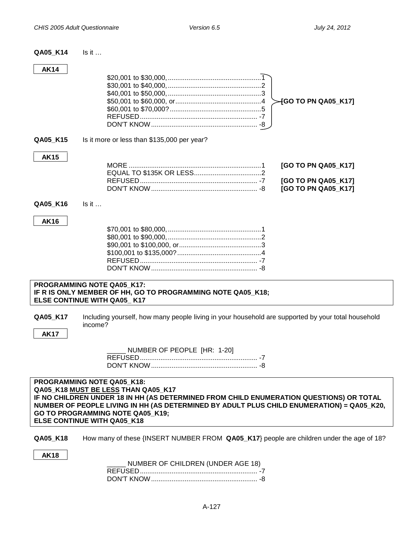| QA05_K14    | Is it                                                                                                                                                        |
|-------------|--------------------------------------------------------------------------------------------------------------------------------------------------------------|
|             |                                                                                                                                                              |
| <b>AK14</b> |                                                                                                                                                              |
|             |                                                                                                                                                              |
|             |                                                                                                                                                              |
|             |                                                                                                                                                              |
|             | <b>-{GO TO PN QA05_K17]</b>                                                                                                                                  |
|             |                                                                                                                                                              |
|             |                                                                                                                                                              |
|             |                                                                                                                                                              |
| QA05_K15    | Is it more or less than \$135,000 per year?                                                                                                                  |
| <b>AK15</b> |                                                                                                                                                              |
|             | [GO TO PN QA05_K17]                                                                                                                                          |
|             |                                                                                                                                                              |
|             | [GO TO PN QA05 K17]                                                                                                                                          |
|             | [GO TO PN QA05_K17]                                                                                                                                          |
| QA05_K16    | Is it                                                                                                                                                        |
|             |                                                                                                                                                              |
| AK16        |                                                                                                                                                              |
|             |                                                                                                                                                              |
|             |                                                                                                                                                              |
|             |                                                                                                                                                              |
|             |                                                                                                                                                              |
|             |                                                                                                                                                              |
|             |                                                                                                                                                              |
|             |                                                                                                                                                              |
|             | PROGRAMMING NOTE QA05_K17:                                                                                                                                   |
|             | IF R IS ONLY MEMBER OF HH, GO TO PROGRAMMING NOTE QA05_K18;                                                                                                  |
|             | <b>ELSE CONTINUE WITH QA05 K17</b>                                                                                                                           |
| QA05_K17    | Including yourself, how many people living in your household are supported by your total household<br>income?                                                |
| <b>AK17</b> |                                                                                                                                                              |
|             | NUMBER OF PEOPLE [HR: 1-20]                                                                                                                                  |
|             |                                                                                                                                                              |
|             |                                                                                                                                                              |
|             |                                                                                                                                                              |
|             | PROGRAMMING NOTE QA05_K18:<br>QA05_K18 MUST BE LESS THAN QA05_K17<br>IF NO CHILDREN UNDER 18 IN HH (AS DETERMINED FROM CHILD ENUMERATION QUESTIONS) OR TOTAL |
|             | NUMBER OF PEOPLE LIVING IN HH (AS DETERMINED BY ADULT PLUS CHILD ENUMERATION) = QA05_K20,<br>GO TO PROGRAMMING NOTE QA05 K19;<br>ELSE CONTINUE WITH QA05_K18 |
| QA05_K18    | How many of these {INSERT NUMBER FROM QA05_K17} people are children under the age of 18?                                                                     |
| <b>AK18</b> | NUMBER OF CHILDREN (UNDER AGE 18)                                                                                                                            |

| NUMBER OF CHILDREN (UNDER AGE 18) |  |
|-----------------------------------|--|
|                                   |  |
|                                   |  |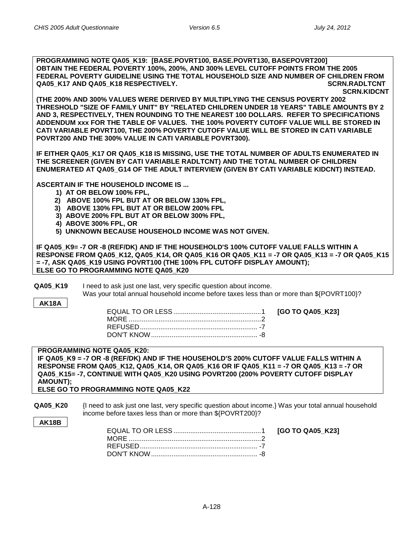**Poverty level test**

**PROGRAMMING NOTE QA05\_K19: [BASE.POVRT100, BASE.POVRT130, BASEPOVRT200] OBTAIN THE FEDERAL POVERTY 100%, 200%, AND 300% LEVEL CUTOFF POINTS FROM THE 2005 FEDERAL POVERTY GUIDELINE USING THE TOTAL HOUSEHOLD SIZE AND NUMBER OF CHILDREN FROM QA05\_K17 AND QA05\_K18 RESPECTIVELY. SCRN.RADLTCNT SCRN.KIDCNT**

**(THE 200% AND 300% VALUES WERE DERIVED BY MULTIPLYING THE CENSUS POVERTY 2002 THRESHOLD "SIZE OF FAMILY UNIT" BY "RELATED CHILDREN UNDER 18 YEARS" TABLE AMOUNTS BY 2 AND 3, RESPECTIVELY, THEN ROUNDING TO THE NEAREST 100 DOLLARS. REFER TO SPECIFICATIONS ADDENDUM xxx FOR THE TABLE OF VALUES. THE 100% POVERTY CUTOFF VALUE WILL BE STORED IN CATI VARIABLE POVRT100, THE 200% POVERTY CUTOFF VALUE WILL BE STORED IN CATI VARIABLE POVRT200 AND THE 300% VALUE IN CATI VARIABLE POVRT300).**

**IF EITHER QA05\_K17 OR QA05\_K18 IS MISSING, USE THE TOTAL NUMBER OF ADULTS ENUMERATED IN THE SCREENER (GIVEN BY CATI VARIABLE RADLTCNT) AND THE TOTAL NUMBER OF CHILDREN ENUMERATED AT QA05\_G14 OF THE ADULT INTERVIEW (GIVEN BY CATI VARIABLE KIDCNT) INSTEAD.**

**ASCERTAIN IF THE HOUSEHOLD INCOME IS ...**

- **1) AT OR BELOW 100% FPL,**
- **2) ABOVE 100% FPL BUT AT OR BELOW 130% FPL,**
- **3) ABOVE 130% FPL BUT AT OR BELOW 200% FPL**
- **3) ABOVE 200% FPL BUT AT OR BELOW 300% FPL,**
- **4) ABOVE 300% FPL, OR**
- **5) UNKNOWN BECAUSE HOUSEHOLD INCOME WAS NOT GIVEN.**

**IF QA05\_K9= -7 OR -8 (REF/DK) AND IF THE HOUSEHOLD'S 100% CUTOFF VALUE FALLS WITHIN A RESPONSE FROM QA05\_K12, QA05\_K14, OR QA05\_K16 OR QA05\_K11 = -7 OR QA05\_K13 = -7 OR QA05\_K15 = -7, ASK QA05\_K19 USING POVRT100 (THE 100% FPL CUTOFF DISPLAY AMOUNT); ELSE GO TO PROGRAMMING NOTE QA05\_K20**

**QA05\_K19** I need to ask just one last, very specific question about income.

Was your total annual household income before taxes less than or more than \${POVRT100}?

**AK18A**

EQUAL TO OR LESS...............................................1 **[GO TO QA05\_K23]**

#### **PROGRAMMING NOTE QA05\_K20:**

**IF QA05\_K9 = -7 OR -8 (REF/DK) AND IF THE HOUSEHOLD'S 200% CUTOFF VALUE FALLS WITHIN A RESPONSE FROM QA05\_K12, QA05\_K14, OR QA05\_K16 OR IF QA05\_K11 = -7 OR QA05\_K13 = -7 OR QA05\_K15= -7, CONTINUE WITH QA05\_K20 USING POVRT200 (200% POVERTY CUTOFF DISPLAY AMOUNT); ELSE GO TO PROGRAMMING NOTE QA05\_K22**

**QA05 K20** {I need to ask just one last, very specific question about income.} Was your total annual household income before taxes less than or more than \${POVRT200}?

**AK18B**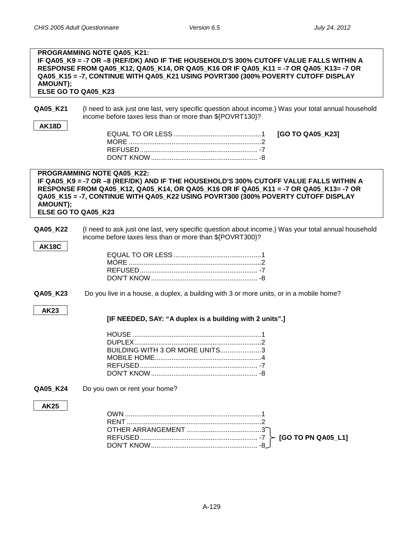| AMOUNT);<br>ELSE GO TO QA05_K23 | PROGRAMMING NOTE QA05 K21:<br>IF QA05_K9 = -7 OR -8 (REF/DK) AND IF THE HOUSEHOLD'S 300% CUTOFF VALUE FALLS WITHIN A<br>RESPONSE FROM QA05_K12, QA05_K14, OR QA05_K16 OR IF QA05_K11 = -7 OR QA05_K13= -7 OR<br>QA05_K15 = -7, CONTINUE WITH QA05_K21 USING POVRT300 (300% POVERTY CUTOFF DISPLAY |
|---------------------------------|---------------------------------------------------------------------------------------------------------------------------------------------------------------------------------------------------------------------------------------------------------------------------------------------------|
| QA05_K21<br><b>AK18D</b>        | {I need to ask just one last, very specific question about income.} Was your total annual household<br>income before taxes less than or more than \${POVRT130}?                                                                                                                                   |
|                                 | [GO TO QA05 K23]                                                                                                                                                                                                                                                                                  |
| AMOUNT);<br>ELSE GO TO QA05 K23 | PROGRAMMING NOTE QA05 K22:<br>IF QA05_K9 = -7 OR -8 (REF/DK) AND IF THE HOUSEHOLD'S 300% CUTOFF VALUE FALLS WITHIN A<br>RESPONSE FROM QA05_K12, QA05_K14, OR QA05_K16 OR IF QA05_K11 = -7 OR QA05_K13= -7 OR<br>QA05 K15 = -7, CONTINUE WITH QA05 K22 USING POVRT300 (300% POVERTY CUTOFF DISPLAY |
| QA05_K22<br><b>AK18C</b>        | {I need to ask just one last, very specific question about income.} Was your total annual household<br>income before taxes less than or more than \${POVRT300}?                                                                                                                                   |
| QA05_K23<br><b>AK23</b>         | Do you live in a house, a duplex, a building with 3 or more units, or in a mobile home?<br>[IF NEEDED, SAY: "A duplex is a building with 2 units".]<br>BUILDING WITH 3 OR MORE UNITS3                                                                                                             |
| QA05_K24<br><b>AK25</b>         | Do you own or rent your home?                                                                                                                                                                                                                                                                     |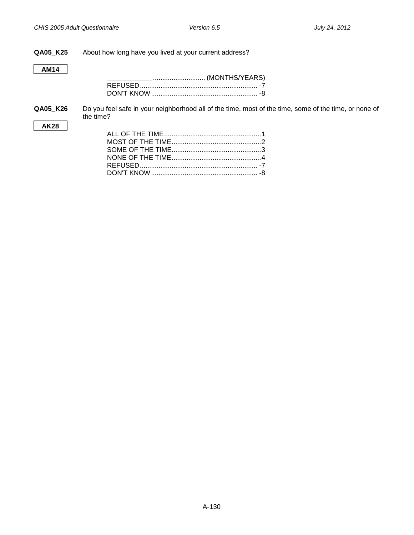| QA05 K25                | About how long have you lived at your current address? |                                                                                                       |  |
|-------------------------|--------------------------------------------------------|-------------------------------------------------------------------------------------------------------|--|
| <b>AM14</b>             |                                                        |                                                                                                       |  |
|                         |                                                        |                                                                                                       |  |
|                         |                                                        |                                                                                                       |  |
|                         |                                                        |                                                                                                       |  |
| QA05 K26<br><b>AK28</b> | the time?                                              | Do you feel safe in your neighborhood all of the time, most of the time, some of the time, or none of |  |
|                         |                                                        |                                                                                                       |  |
|                         |                                                        |                                                                                                       |  |
|                         |                                                        |                                                                                                       |  |
|                         |                                                        |                                                                                                       |  |
|                         |                                                        |                                                                                                       |  |
|                         |                                                        |                                                                                                       |  |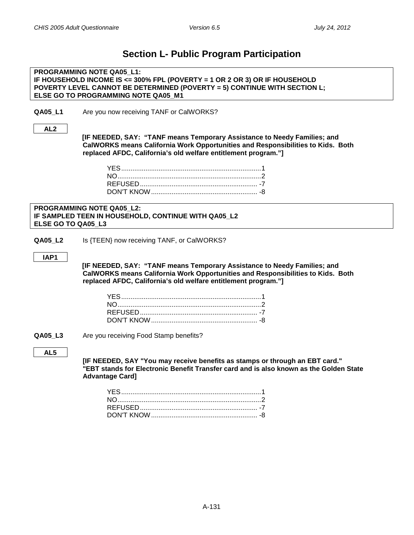## **Section L- Public Program Participation**

**PROGRAMMING NOTE QA05\_L1: IF HOUSEHOLD INCOME IS <= 300% FPL (POVERTY = 1 OR 2 OR 3) OR IF HOUSEHOLD POVERTY LEVEL CANNOT BE DETERMINED (POVERTY = 5) CONTINUE WITH SECTION L; ELSE GO TO PROGRAMMING NOTE QA05\_M1**

**QA05\_L1** Are you now receiving TANF or CalWORKS?

## **AL2**

**[IF NEEDED, SAY: "TANF means Temporary Assistance to Needy Families; and CalWORKS means California Work Opportunities and Responsibilities to Kids. Both replaced AFDC, California's old welfare entitlement program."]**

**PROGRAMMING NOTE QA05\_L2: IF SAMPLED TEEN IN HOUSEHOLD, CONTINUE WITH QA05\_L2 ELSE GO TO QA05\_L3**

**QA05 L2** Is {TEEN} now receiving TANF, or CalWORKS?

#### **IAP1**

**[IF NEEDED, SAY: "TANF means Temporary Assistance to Needy Families; and CalWORKS means California Work Opportunities and Responsibilities to Kids. Both replaced AFDC, California's old welfare entitlement program."]**

**QA05 L3** Are you receiving Food Stamp benefits?

#### **AL5**

**[IF NEEDED, SAY "You may receive benefits as stamps or through an EBT card." "EBT stands for Electronic Benefit Transfer card and is also known as the Golden State Advantage Card]**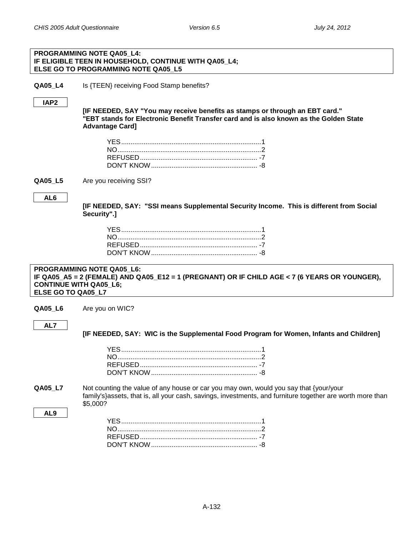#### **PROGRAMMING NOTE QA05\_L4: IF ELIGIBLE TEEN IN HOUSEHOLD, CONTINUE WITH QA05\_L4; ELSE GO TO PROGRAMMING NOTE QA05\_L5**

**QA05\_L4** Is {TEEN} receiving Food Stamp benefits?

### **IAP2**

**[IF NEEDED, SAY "You may receive benefits as stamps or through an EBT card." "EBT stands for Electronic Benefit Transfer card and is also known as the Golden State Advantage Card]**

**QA05\_L5** Are you receiving SSI?

#### **AL6**

**[IF NEEDED, SAY: "SSI means Supplemental Security Income. This is different from Social Security".]**

#### **PROGRAMMING NOTE QA05\_L6: IF QA05\_A5 = 2 (FEMALE) AND QA05\_E12 = 1 (PREGNANT) OR IF CHILD AGE < 7 (6 YEARS OR YOUNGER), CONTINUE WITH QA05\_L6; ELSE GO TO QA05\_L7**

#### **QA05\_L6** Are you on WIC?

### **AL7**

**[IF NEEDED, SAY: WIC is the Supplemental Food Program for Women, Infants and Children]**

**QA05 L7** Not counting the value of any house or car you may own, would you say that {your/your family's}assets, that is, all your cash, savings, investments, and furniture together are worth more than \$5,000?

#### **AL9**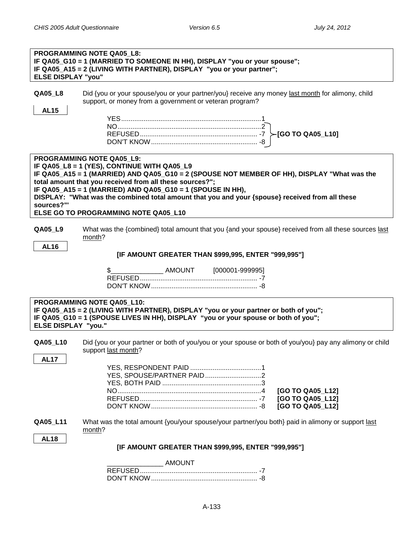| PROGRAMMING NOTE QA05 L8:<br>IF QA05_G10 = 1 (MARRIED TO SOMEONE IN HH), DISPLAY "you or your spouse";<br>IF QA05_A15 = 2 (LIVING WITH PARTNER), DISPLAY "you or your partner";<br><b>ELSE DISPLAY "you"</b>                                                                                                                                                                                                                                               |                                                                                                                                                                       |  |  |
|------------------------------------------------------------------------------------------------------------------------------------------------------------------------------------------------------------------------------------------------------------------------------------------------------------------------------------------------------------------------------------------------------------------------------------------------------------|-----------------------------------------------------------------------------------------------------------------------------------------------------------------------|--|--|
| QA05_L8<br><b>AL15</b>                                                                                                                                                                                                                                                                                                                                                                                                                                     | Did {you or your spouse/you or your partner/you} receive any money last month for alimony, child<br>support, or money from a government or veteran program?           |  |  |
| PROGRAMMING NOTE QA05 L9:<br>IF QA05_L8 = 1 (YES), CONTINUE WITH QA05_L9<br>IF QA05_A15 = 1 (MARRIED) AND QA05_G10 = 2 (SPOUSE NOT MEMBER OF HH), DISPLAY "What was the<br>total amount that you received from all these sources?";<br>IF QA05_A15 = 1 (MARRIED) AND QA05_G10 = 1 (SPOUSE IN HH),<br>DISPLAY: "What was the combined total amount that you and your {spouse} received from all these<br>sources?"'<br>ELSE GO TO PROGRAMMING NOTE QA05_L10 |                                                                                                                                                                       |  |  |
| QA05_L9<br><b>AL16</b>                                                                                                                                                                                                                                                                                                                                                                                                                                     | What was the {combined} total amount that you {and your spouse} received from all these sources last<br>month?<br>[IF AMOUNT GREATER THAN \$999,995, ENTER "999,995"] |  |  |
|                                                                                                                                                                                                                                                                                                                                                                                                                                                            |                                                                                                                                                                       |  |  |
| PROGRAMMING NOTE QA05 L10:<br>IF QA05_A15 = 2 (LIVING WITH PARTNER), DISPLAY "you or your partner or both of you";<br>IF QA05_G10 = 1 (SPOUSE LIVES IN HH), DISPLAY "you or your spouse or both of you";<br><b>ELSE DISPLAY "you."</b>                                                                                                                                                                                                                     |                                                                                                                                                                       |  |  |
| QA05_L10<br><b>AL17</b>                                                                                                                                                                                                                                                                                                                                                                                                                                    | Did {you or your partner or both of you/you or your spouse or both of you/you} pay any alimony or child<br>support last month?                                        |  |  |
|                                                                                                                                                                                                                                                                                                                                                                                                                                                            | YES, SPOUSE/PARTNER PAID2<br>[GO TO QA05_L12]<br>[GO TO QA05_L12]<br>[GO TO QA05 L12]                                                                                 |  |  |
| QA05_L11                                                                                                                                                                                                                                                                                                                                                                                                                                                   | What was the total amount {you/your spouse/your partner/you both} paid in alimony or support last<br>month?                                                           |  |  |
| <b>AL18</b>                                                                                                                                                                                                                                                                                                                                                                                                                                                | [IF AMOUNT GREATER THAN \$999,995, ENTER "999,995"]                                                                                                                   |  |  |
|                                                                                                                                                                                                                                                                                                                                                                                                                                                            | ________ AMOUNT                                                                                                                                                       |  |  |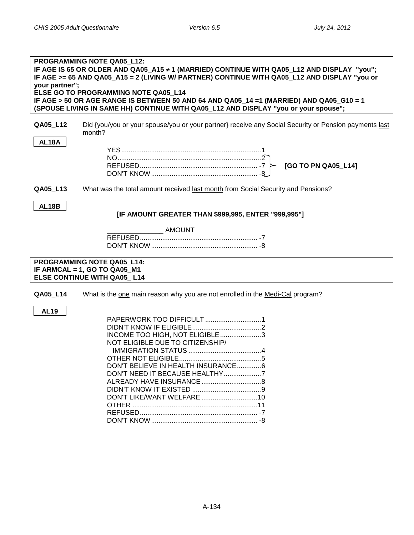|                | PROGRAMMING NOTE QA05_L12:                                                                                                                                                                                                                                                                                                                                        |  |
|----------------|-------------------------------------------------------------------------------------------------------------------------------------------------------------------------------------------------------------------------------------------------------------------------------------------------------------------------------------------------------------------|--|
|                | IF AGE IS 65 OR OLDER AND QA05_A15 ≠ 1 (MARRIED) CONTINUE WITH QA05_L12 AND DISPLAY "you";                                                                                                                                                                                                                                                                        |  |
|                | IF AGE >= 65 AND QA05_A15 = 2 (LIVING W/ PARTNER) CONTINUE WITH QA05_L12 AND DISPLAY "you or                                                                                                                                                                                                                                                                      |  |
| your partner"; |                                                                                                                                                                                                                                                                                                                                                                   |  |
|                | ELSE GO TO PROGRAMMING NOTE QA05_L14                                                                                                                                                                                                                                                                                                                              |  |
|                | IF AGE > 50 OR AGE RANGE IS BETWEEN 50 AND 64 AND QA05_14 =1 (MARRIED) AND QA05_G10 = 1                                                                                                                                                                                                                                                                           |  |
|                | (SPOUSE LIVING IN SAME HH) CONTINUE WITH QA05_L12 AND DISPLAY "you or your spouse";                                                                                                                                                                                                                                                                               |  |
|                |                                                                                                                                                                                                                                                                                                                                                                   |  |
| QA05_L12       | Did {you/you or your spouse/you or your partner} receive any Social Security or Pension payments last                                                                                                                                                                                                                                                             |  |
|                | month?                                                                                                                                                                                                                                                                                                                                                            |  |
|                |                                                                                                                                                                                                                                                                                                                                                                   |  |
| AL18A          |                                                                                                                                                                                                                                                                                                                                                                   |  |
|                | $\begin{picture}(120,115) \put(0,0){\vector(1,0){150}} \put(15,0){\vector(1,0){150}} \put(15,0){\vector(1,0){150}} \put(15,0){\vector(1,0){150}} \put(15,0){\vector(1,0){150}} \put(15,0){\vector(1,0){150}} \put(15,0){\vector(1,0){150}} \put(15,0){\vector(1,0){150}} \put(15,0){\vector(1,0){150}} \put(15,0){\vector(1,0){150}} \put(15,0){\vector(1,0){150$ |  |
|                |                                                                                                                                                                                                                                                                                                                                                                   |  |
|                | [GO TO PN QA05_L14]                                                                                                                                                                                                                                                                                                                                               |  |
|                |                                                                                                                                                                                                                                                                                                                                                                   |  |
|                |                                                                                                                                                                                                                                                                                                                                                                   |  |
| QA05 L13       | What was the total amount received last month from Social Security and Pensions?                                                                                                                                                                                                                                                                                  |  |
|                |                                                                                                                                                                                                                                                                                                                                                                   |  |
| <b>AL18B</b>   |                                                                                                                                                                                                                                                                                                                                                                   |  |
|                | [IF AMOUNT GREATER THAN \$999,995, ENTER "999,995"]                                                                                                                                                                                                                                                                                                               |  |
|                |                                                                                                                                                                                                                                                                                                                                                                   |  |
|                |                                                                                                                                                                                                                                                                                                                                                                   |  |
|                |                                                                                                                                                                                                                                                                                                                                                                   |  |
|                |                                                                                                                                                                                                                                                                                                                                                                   |  |
|                | <b>PROGRAMMING NOTE QA05 L14:</b>                                                                                                                                                                                                                                                                                                                                 |  |
|                | IF ARMCAL = 1, GO TO QA05 M1                                                                                                                                                                                                                                                                                                                                      |  |
|                | ELSE CONTINUE WITH QA05_L14                                                                                                                                                                                                                                                                                                                                       |  |
|                |                                                                                                                                                                                                                                                                                                                                                                   |  |

**QA05\_L14** What is the <u>one</u> main reason why you are not enrolled in the <u>Medi-Cal</u> program?

| INCOME TOO HIGH, NOT ELIGIBLE 3    |  |
|------------------------------------|--|
| NOT ELIGIBLE DUE TO CITIZENSHIP/   |  |
|                                    |  |
|                                    |  |
| DON'T BELIEVE IN HEALTH INSURANCE6 |  |
|                                    |  |
|                                    |  |
|                                    |  |
| DON'T LIKE/WANT WELFARE 10         |  |
|                                    |  |
|                                    |  |
|                                    |  |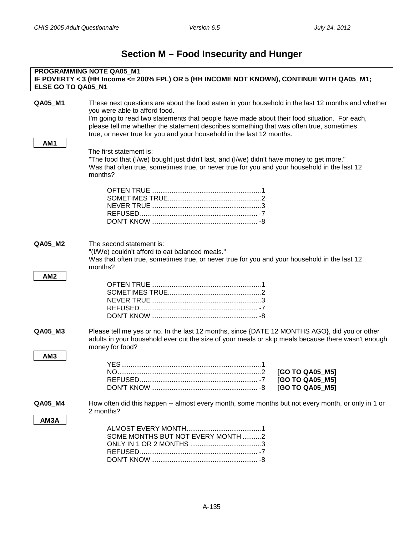# **Section M – Food Insecurity and Hunger**

| PROGRAMMING NOTE QA05 M1<br>IF POVERTY < 3 (HH Income <= 200% FPL) OR 5 (HH INCOME NOT KNOWN), CONTINUE WITH QA05_M1;<br>ELSE GO TO QA05 N1 |                                                                                                                                                                                                                                                                                                                                                                                                        |  |
|---------------------------------------------------------------------------------------------------------------------------------------------|--------------------------------------------------------------------------------------------------------------------------------------------------------------------------------------------------------------------------------------------------------------------------------------------------------------------------------------------------------------------------------------------------------|--|
| QA05_M1<br>AM1                                                                                                                              | These next questions are about the food eaten in your household in the last 12 months and whether<br>you were able to afford food.<br>I'm going to read two statements that people have made about their food situation. For each,<br>please tell me whether the statement describes something that was often true, sometimes<br>true, or never true for you and your household in the last 12 months. |  |
|                                                                                                                                             | The first statement is:<br>"The food that (I/we) bought just didn't last, and (I/we) didn't have money to get more."<br>Was that often true, sometimes true, or never true for you and your household in the last 12<br>months?                                                                                                                                                                        |  |
|                                                                                                                                             |                                                                                                                                                                                                                                                                                                                                                                                                        |  |
| QA05_M2                                                                                                                                     | The second statement is:<br>"(I/We) couldn't afford to eat balanced meals."<br>Was that often true, sometimes true, or never true for you and your household in the last 12<br>months?                                                                                                                                                                                                                 |  |
| AM <sub>2</sub>                                                                                                                             |                                                                                                                                                                                                                                                                                                                                                                                                        |  |
| QA05_M3<br>AM <sub>3</sub>                                                                                                                  | Please tell me yes or no. In the last 12 months, since {DATE 12 MONTHS AGO}, did you or other<br>adults in your household ever cut the size of your meals or skip meals because there wasn't enough<br>money for food?                                                                                                                                                                                 |  |
|                                                                                                                                             | [GO TO QA05 M5]<br>[GO TO QA05_M5]<br>[GO TO QA05 M5]                                                                                                                                                                                                                                                                                                                                                  |  |
| QA05 M4<br>AM3A                                                                                                                             | How often did this happen -- almost every month, some months but not every month, or only in 1 or<br>2 months?                                                                                                                                                                                                                                                                                         |  |
|                                                                                                                                             | SOME MONTHS BUT NOT EVERY MONTH 2                                                                                                                                                                                                                                                                                                                                                                      |  |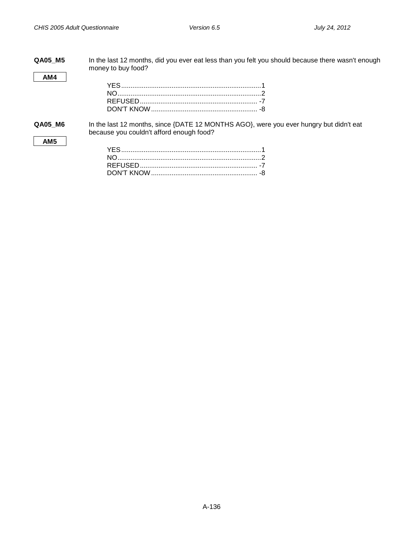| QA05_M5         | money to buy food?                                                                                                                 | In the last 12 months, did you ever eat less than you felt you should because there wasn't enough |  |
|-----------------|------------------------------------------------------------------------------------------------------------------------------------|---------------------------------------------------------------------------------------------------|--|
| AM4             |                                                                                                                                    |                                                                                                   |  |
|                 |                                                                                                                                    |                                                                                                   |  |
|                 |                                                                                                                                    |                                                                                                   |  |
|                 |                                                                                                                                    |                                                                                                   |  |
|                 |                                                                                                                                    |                                                                                                   |  |
| QA05_M6         | In the last 12 months, since {DATE 12 MONTHS AGO}, were you ever hungry but didn't eat<br>because you couldn't afford enough food? |                                                                                                   |  |
| AM <sub>5</sub> |                                                                                                                                    |                                                                                                   |  |
|                 |                                                                                                                                    |                                                                                                   |  |
|                 |                                                                                                                                    |                                                                                                   |  |
|                 |                                                                                                                                    |                                                                                                   |  |

DON'T KNOW......................................................... -8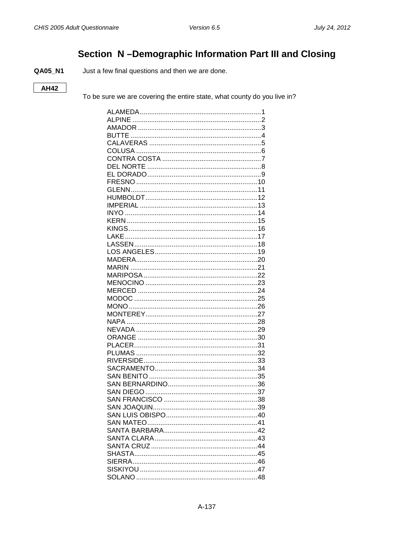# Section N-Demographic Information Part III and Closing

Just a few final questions and then we are done. **QA05\_N1** 

#### **AH42**

To be sure we are covering the entire state, what county do you live in?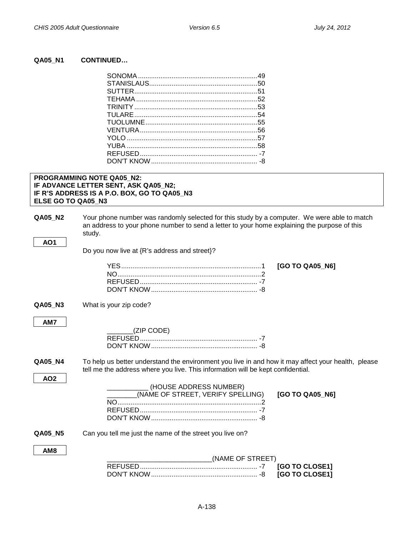#### **QA05\_N1 CONTINUED…**

#### **PROGRAMMING NOTE QA05\_N2: IF ADVANCE LETTER SENT, ASK QA05\_N2; IF R'S ADDRESS IS A P.O. BOX, GO TO QA05\_N3 ELSE GO TO QA05\_N3**

| QA05 N2<br><b>AO1</b> | Your phone number was randomly selected for this study by a computer. We were able to match<br>an address to your phone number to send a letter to your home explaining the purpose of this<br>study. |
|-----------------------|-------------------------------------------------------------------------------------------------------------------------------------------------------------------------------------------------------|
|                       | Do you now live at ${R's}$ address and street $?$<br><b>IGO TO QA05 N61</b>                                                                                                                           |
| QA05 N3               | What is your zip code?                                                                                                                                                                                |

#### **AM7**

| $(ZIP$ CODE) |
|--------------|
|              |
|              |

#### **QA05\_N4** To help us better understand the environment you live in and how it may affect your health, please tell me the address where you live. This information will be kept confidential.

| (HOUSE ADDRESS NUMBER) |                                   |
|------------------------|-----------------------------------|
|                        | [GO TO QA05_N6]                   |
|                        |                                   |
|                        |                                   |
|                        |                                   |
|                        |                                   |
|                        | (NAME OF STREET, VERIFY SPELLING) |

## **QA05\_N5** Can you tell me just the name of the street you live on?

#### **AM8**

| (NAME OF STREET) |  |
|------------------|--|
|                  |  |
|                  |  |